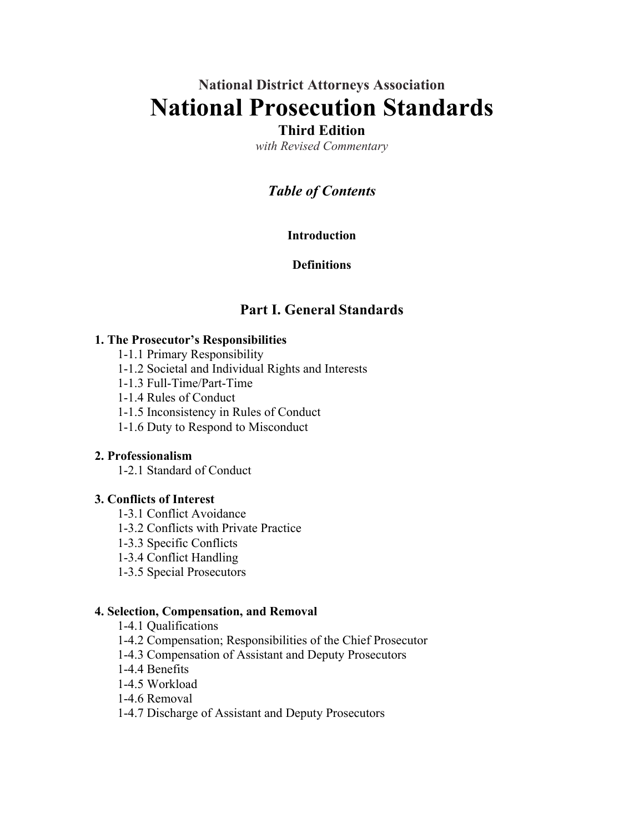# **National District Attorneys Association National Prosecution Standards**

# **Third Edition**

*with Revised Commentary*

# *Table of Contents*

# **[Introduction](#page-9-0)**

# **[Definitions](#page-9-0)**

# **Part I. General [Standards](#page-10-0)**

#### **1. The Prosecutor's Responsibilities**

- 1-1.1 Primary Responsibility
- [1-1.2 Societal and Individual Rights and Interests](#page-10-0)
- [1-1.3 Full-Time/Part-Time](#page-10-0)
- 1-1.4 Rules of Conduct
- [1-1.5 Inconsistency in Rules of Conduct](#page-11-0)
- 1-1.6 Duty to Respond to Misconduct

## **2. Professionalism**

[1-2.1 Standard of Conduct](#page-13-0)

# **3. Conflicts of Interest**

- 1-3.1 Conflict Avoidance
- [1-3.2 Conflicts with Private Practice](#page-14-0)
- [1-3.3 Specific Conflicts](#page-15-0)
- 1-3.4 Conflict Handling
- [1-3.5 Special Prosecutors](#page-15-0)

#### **4. Selection, Compensation, and Removal**

- 1-4.1 Qualifications
- [1-4.2 Compensation; Responsibilities of the Chief Prosecutor](#page-16-0)
- [1-4.3 Compensation of Assistant and Deputy Prosecutors](#page-17-0)
- 1-4.4 Benefits
- [1-4.5 Workload](#page-17-0)
- [1-4.6 Removal](#page-17-0)
- [1-4.7 Discharge of Assistant and Deputy Prosecutors](#page-18-0)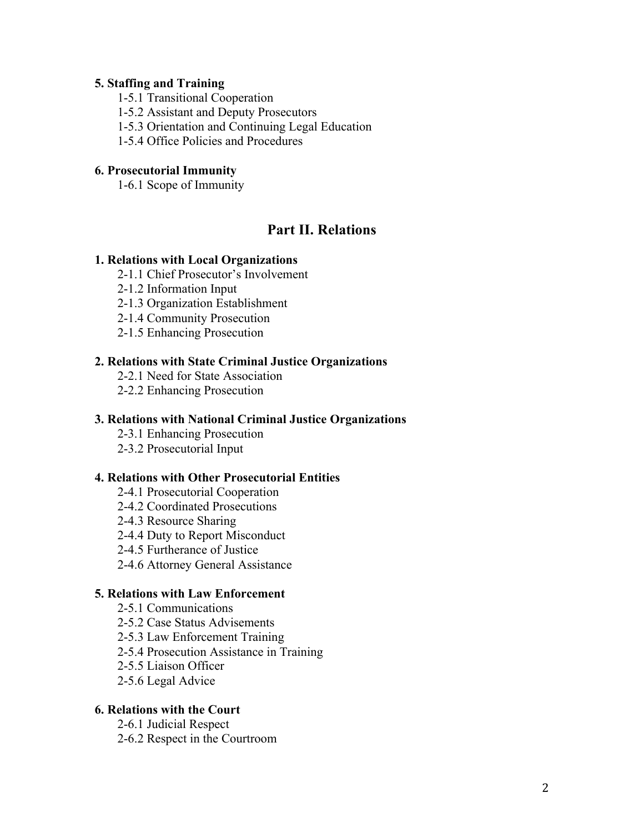# **5. Staffing and Training**

- [1-5.1 Transitional Cooperation](#page-19-0)
- [1-5.2 Assistant and Deputy Prosecutors](#page-20-0)
- [1-5.3 Orientation and Continuing Legal Education](#page-20-0)
- [1-5.4 Office Policies and Procedures](#page-21-0)

# **[6. Prosecutorial Immunity](#page-24-0)**

1-6.1 Scope of Immunity

# **Part II. [Relations](#page-25-0)**

# **[1. Relations with Local Organizations](#page-25-0)**

- 2-1.1 Chief Prosecutor's Involvement
- 2-1.2 Information Input
- 2-1.3 Organization Establishment
- 2-1.4 Community Prosecution
- [2-1.5 Enhancing Prosecution](#page-26-0)

# **[2. Relations with State Criminal Justice Organizations](#page-26-0)**

- 2-2.1 Need for State Association
- [2-2.2 Enhancing Prosecution](#page-26-0)

# **[3. Relations with National Criminal Justice Organizations](#page-27-0)**

- 2-3.1 Enhancing Prosecution
- 2-3.2 Prosecutorial Input

# **[4. Relations with Other Prosecutorial Entities](#page-28-0)**

- 2-4.1 Prosecutorial Cooperation
- 2-4.2 Coordinated Prosecutions
- 2-4.3 Resource Sharing
- [2-4.4 Duty to Report Misconduct](#page-29-0)
- 2-4.5 Furtherance of Justice
- [2-4.6 Attorney General Assistance](#page-29-0)

#### **[5. Relations with Law Enforcement](#page-30-0)**

- 2-5.1 Communications
- 2-5.2 Case Status Advisements
- 2-5.3 Law Enforcement Training
- [2-5.4 Prosecution Assistance in Training](#page-30-0)
- 2-5.5 Liaison Officer
- 2-5.6 Legal Advice

#### **6. Relations with the Court**

2-6.1 Judicial Respect

[2-6.2 Respect in the Courtroom](#page-32-0)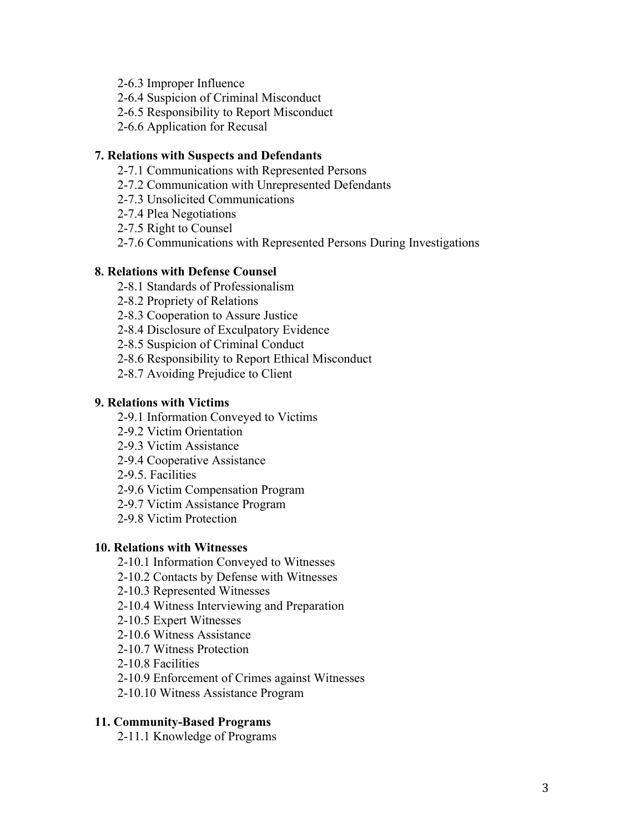- 2-6.3 Improper Influence
- 2-6.4 Suspicion of Criminal Misconduct
- [2-6.5 Responsibility to Report Misconduct](#page-32-0)
- [2-6.6 Application for Recusal](#page-33-0)

# **7. Relations with Suspects and Defendants**

- [2-7.1 Communications with Represented Persons](#page-33-0)
- [2-7.2 Communication with Unrepresented Defendants](#page-34-0)
- [2-7.3 Unsolicited Communications](#page-34-0)
- 2-7.4 Plea Negotiations
- 2-7.5 Right to Counsel
- [2-7.6 Communications with Represented Persons During Investigations](#page-35-0)

# **[8. Relations with Defense Counsel](#page-37-0)**

- 2-8.1 Standards of Professionalism
- 2-8.2 Propriety of Relations
- 2-8.3 Cooperation to Assure Justice
- [2-8.4 Disclosure of Exculpatory Evidence](#page-37-0)
- 2-8.5 Suspicion of Criminal Conduct
- [2-8.6 Responsibility to Report Ethical Misconduct](#page-37-0)
- [2-8.7 Avoiding Prejudice to Client](#page-38-0)

# **9. Relations with Victims**

- [2-9.1 Information Conveyed to Victims](#page-39-0)
- 2-9.2 Victim Orientation
- [2-9.3 Victim Assistance](#page-39-0)
- [2-9.4 Cooperative Assistance](#page-40-0)
- 2-9.5. Facilities
- [2-9.6 Victim Compensation Program](#page-40-0)
- [2-9.7 Victim Assistance Program](#page-40-0)
- 2-9.8 Victim Protection

#### **10. Relations with Witnesses**

- [2-10.1 Information Conveyed to Witnesses](#page-40-0)
- 2-10.2 Contacts by Defense with Witnesses
- 2-10.3 Represented Witnesses
- [2-10.4 Witness Interviewing and Preparation](#page-41-0)
- [2-10.5 Expert Witnesses](#page-41-0)
- [2-10.6 Witness Assistance](#page-41-0)
- 2-10.7 Witness Protection
- 2-10.8 Facilities
- [2-10.9 Enforcement of Crimes against Witnesses](#page-42-0)
- 2-10.10 Witness Assistance Program

# **[11. Community-Based Programs](#page-43-0)**

2-11.1 Knowledge of Programs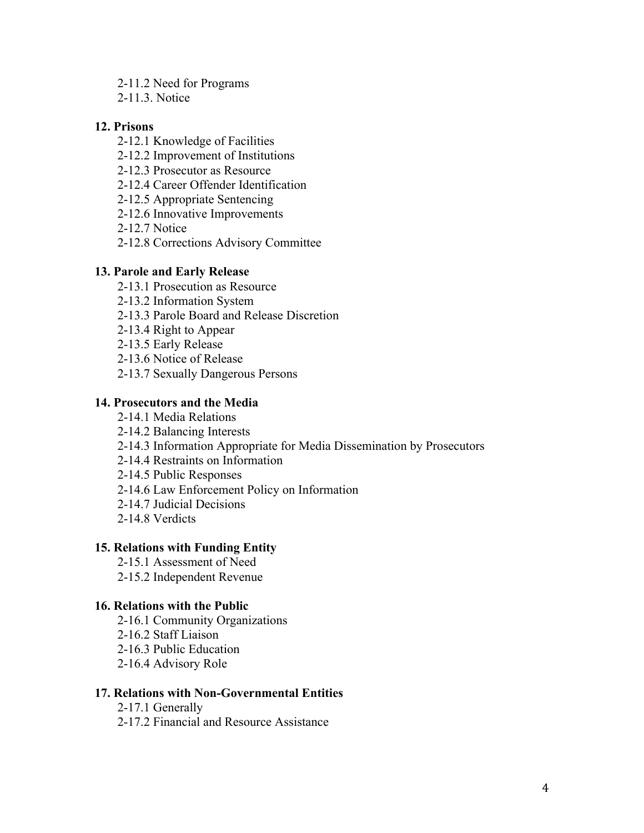- [2-11.2 Need for Programs](#page-43-0)
- 2-11.3. Notice

# **12. Prisons**

- [2-12.1 Knowledge of Facilities](#page-43-0)
- [2-12.2 Improvement of Institutions](#page-43-0)
- 2-12.3 Prosecutor as Resource
- [2-12.4 Career Offender Identification](#page-44-0)
- 2-12.5 Appropriate Sentencing
- 2-12.6 Innovative Improvements
- 2-12.7 Notice
- [2-12.8 Corrections Advisory Committee](#page-44-0)

# **13. Parole and Early Release**

- [2-13.1 Prosecution as Resource](#page-44-0)
- 2-13.2 Information System
- [2-13.3 Parole Board and Release Discretion](#page-44-0)
- 2-13.4 Right to Appear
- 2-13.5 Early Release
- [2-13.6 Notice of Release](#page-45-0)
- [2-13.7 Sexually Dangerous Persons](#page-45-0)

# **[14. Prosecutors and the Media](#page-47-0)**

- 2-14.1 Media Relations
- 2-14.2 Balancing Interests
- [2-14.3 Information Appropriate for Media Dissemination by Prosecutors](#page-47-0)
- [2-14.4 Restraints on Information](#page-48-0)
- 2-14.5 Public Responses
- [2-14.6 Law Enforcement Policy on Information](#page-48-0)
- [2-14.7 Judicial Decisions](#page-48-0)
- 2-14.8 Verdicts

# **[15. Relations with Funding Entity](#page-49-0)**

- 2-15.1 Assessment of Need
- 2-15.2 Independent Revenue

#### **16. Relations with the Public**

- [2-16.1 Community Organizations](#page-50-0)
- 2-16.2 Staff Liaison
- 2-16.3 Public Education
- 2-16.4 Advisory Role

# **[17. Relations with Non-Governmental Entities](#page-51-0)**

2-17.1 Generally

2-17.2 Financial and Resource Assistance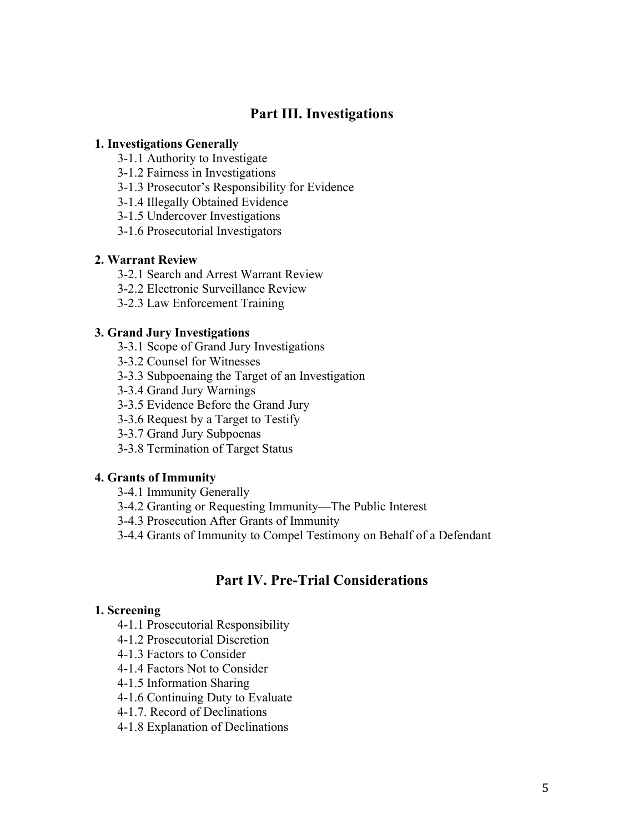# **Part III. Investigations**

#### **1. Investigations Generally**

- [3-1.1 Authority to Investigate](#page-52-0)
- 3-1.2 Fairness in Investigations
- [3-1.3 Prosecutor's Responsibility for Evidence](#page-52-0)
- 3-1.4 Illegally Obtained Evidence
- 3-1.5 Undercover Investigations
- [3-1.6 Prosecutorial Investigators](#page-52-0)

#### **2. Warrant Review**

- [3-2.1 Search and Arrest Warrant Review](#page-53-0)
- 3-2.2 Electronic Surveillance Review
- 3-2.3 Law Enforcement Training

#### **3. Grand Jury Investigations**

- [3-3.1 Scope of Grand Jury Investigations](#page-54-0)
- 3-3.2 Counsel for Witnesses
- [3-3.3 Subpoenaing the Target of an Investigation](#page-54-0)
- 3-3.4 Grand Jury Warnings
- [3-3.5 Evidence Before the Grand Jury](#page-55-0)
- [3-3.6 Request by a Target to Testify](#page-55-0)
- 3-3.7 Grand Jury Subpoenas
- [3-3.8 Termination of Target Status](#page-56-0)

#### **4. Grants of Immunity**

- [3-4.1 Immunity Generally](#page-56-0)
- [3-4.2 Granting or Requesting Immunity—The Public Interest](#page-57-0)
- 3-4.3 Prosecution After Grants of Immunity

[3-4.4 Grants of Immunity to Compel Testimony on Behalf of a Defendant](#page-57-0)

# **Part IV. Pre-Trial [Considerations](#page-58-0)**

#### **1. Screening**

- [4-1.1 Prosecutorial Responsibility](#page-58-0)
- 4-1.2 Prosecutorial Discretion
- 4-1.3 Factors to Consider
- [4-1.4 Factors Not to Consider](#page-59-0)
- 4-1.5 Information Sharing
- [4-1.6 Continuing Duty to Evaluate](#page-59-0)
- 4-1.7. Record of Declinations
- 4-1.8 Explanation of Declinations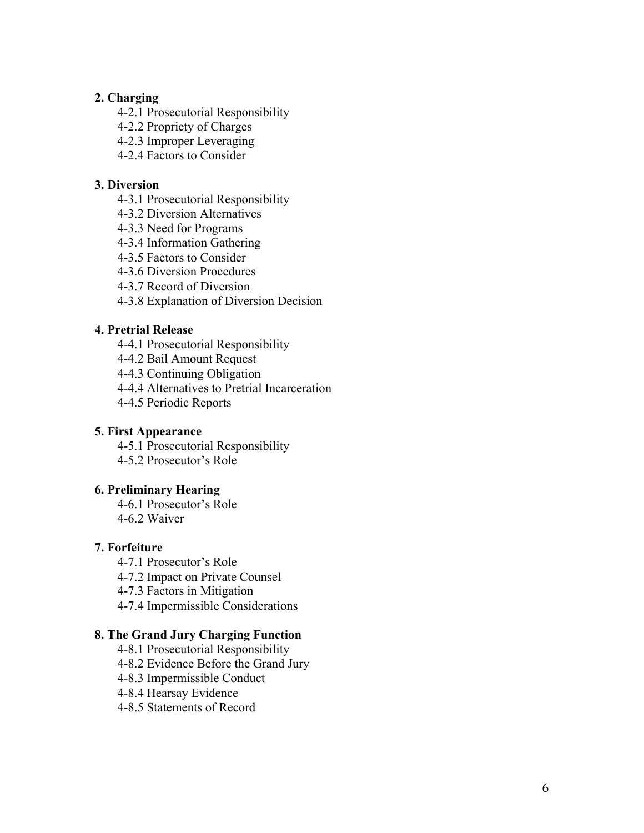#### **2. Charging**

- [4-2.1 Prosecutorial Responsibility](#page-60-0)
- 4-2.2 Propriety of Charges
- 4-2.3 Improper Leveraging
- [4-2.4 Factors to Consider](#page-60-0)

#### **3. Diversion**

- [4-3.1 Prosecutorial Responsibility](#page-62-0)
- 4-3.2 Diversion Alternatives
- 4-3.3 Need for Programs
- [4-3.4 Information Gathering](#page-62-0)
- 4-3.5 Factors to Consider
- 4-3.6 Diversion Procedures
- 4-3.7 Record of Diversion
- [4-3.8 Explanation of Diversion Decision](#page-63-0)

# **4. Pretrial Release**

- [4-4.1 Prosecutorial Responsibility](#page-64-0)
- [4-4.2 Bail Amount Request](#page-64-0)
- 4-4.3 Continuing Obligation
- [4-4.4 Alternatives to Pretrial Incarceration](#page-65-0)
- 4-4.5 Periodic Reports

# **5. First Appearance**

[4-5.1 Prosecutorial Responsibility](#page-66-0)

4-5.2 Prosecutor's Role

#### **[6. Preliminary Hearing](#page-66-0)**

4-6.1 Prosecutor's Role 4-6.2 Waiver

#### **7. Forfeiture**

- 4-7.1 Prosecutor's Role
- [4-7.2 Impact on Private Counsel](#page-67-0)
- 4-7.3 Factors in Mitigation
- [4-7.4 Impermissible Considerations](#page-67-0)

#### **[8. The Grand Jury Charging Function](#page-68-0)**

- 4-8.1 Prosecutorial Responsibility
- [4-8.2 Evidence Before the Grand Jury](#page-68-0)
- [4-8.3 Impermissible Conduct](#page-69-0)
- 4-8.4 Hearsay Evidence
- 4-8.5 Statements of Record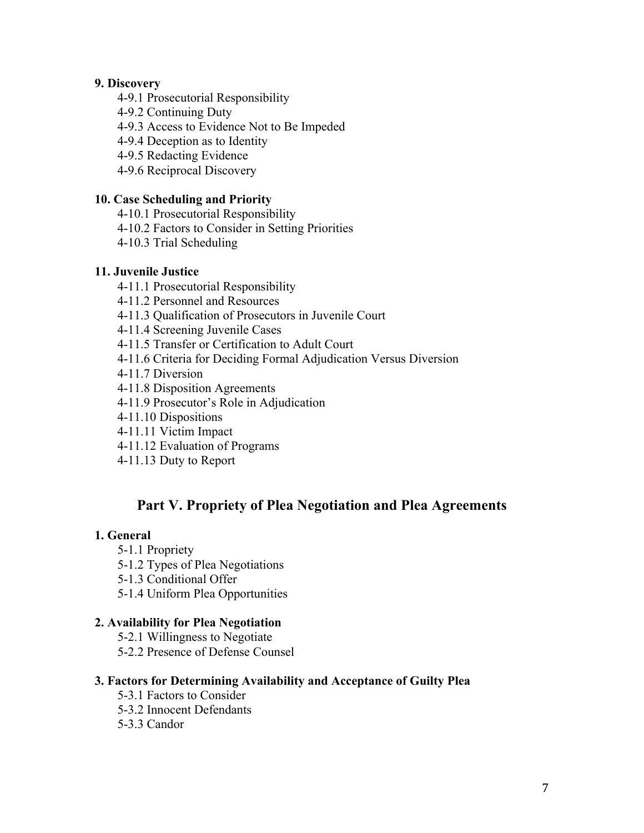# **9. Discovery**

- 4-9.1 Prosecutorial Responsibility
- 4-9.2 Continuing Duty
- [4-9.3 Access to Evidence Not to Be Impeded](#page-69-0)
- [4-9.4 Deception as to Identity](#page-69-0)
- 4-9.5 Redacting Evidence
- [4-9.6 Reciprocal Discovery](#page-70-0)

# **10. Case Scheduling and Priority**

- 4-10.1 Prosecutorial Responsibility
- [4-10.2 Factors to Consider in Setting Priorities](#page-71-0)
- [4-10.3 Trial Scheduling](#page-71-0)

# **11. Juvenile Justice**

- [4-11.1 Prosecutorial Responsibility](#page-72-0)
- 4-11.2 Personnel and Resources
- [4-11.3 Qualification of Prosecutors in Juvenile Court](#page-72-0)
- 4-11.4 Screening Juvenile Cases
- 4-11.5 Transfer or Certification to Adult Court
- [4-11.6 Criteria for Deciding Formal Adjudication Versus Diversion](#page-73-0)
- 4-11.7 Diversion
- 4-11.8 Disposition Agreements
- [4-11.9 Prosecutor's Role in Adjudication](#page-73-0)
- 4-11.10 Dispositions
- 4-11.11 Victim Impact
- [4-11.12 Evaluation of Programs](#page-74-0)
- [4-11.13 Duty to Report](#page-74-0)

# **Part V. Propriety of Plea Negotiation and Plea [Agreements](#page-76-0)**

# **1. General**

- 5-1.1 Propriety
- [5-1.2 Types of Plea Negotiations](#page-77-0)
- 5-1.3 Conditional Offer
- [5-1.4 Uniform Plea Opportunities](#page-77-0)

# **[2. Availability for Plea Negotiation](#page-77-0)**

- 5-2.1 Willingness to Negotiate
- 5-2.2 Presence of Defense Counsel

# **[3. Factors for Determining Availability and Acceptance of Guilty Plea](#page-78-0)**

- 5-3.1 Factors to Consider
- [5-3.2 Innocent Defendants](#page-79-0)
- 5-3.3 Candor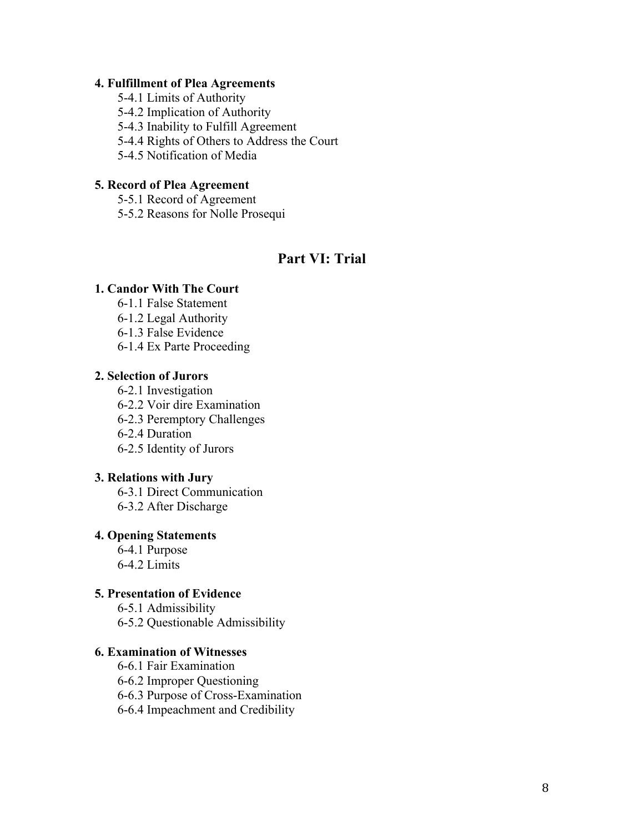#### **[4. Fulfillment of Plea Agreements](#page-79-0)**

- 5-4.1 Limits of Authority
- 5-4.2 Implication of Authority
- 5-4.3 Inability to Fulfill Agreement
- [5-4.4 Rights of Others to Address the Court](#page-79-0)
- [5-4.5 Notification of Media](#page-80-0)

#### **5. Record of Plea Agreement**

5-5.1 Record of Agreement

[5-5.2 Reasons for Nolle Prosequi](#page-80-0)

# **Part VI: Trial**

# **[1. Candor With The Court](#page-81-0)**

- 6-1.1 False Statement
- 6-1.2 Legal Authority
- 6-1.3 False Evidence
- [6-1.4 Ex Parte Proceeding](#page-81-0)

#### **2. Selection of Jurors**

- 6-2.1 Investigation
- 6-2.2 Voir dire Examination
- [6-2.3 Peremptory Challenges](#page-82-0)
- 6-2.4 Duration
- [6-2.5 Identity of Jurors](#page-82-0)

#### **3. Relations with Jury**

[6-3.1 Direct Communication](#page-83-0) 6-3.2 After Discharge

#### **[4. Opening Statements](#page-83-0)**

6-4.1 Purpose 6-4.2 Limits

#### **5. Presentation of Evidence**

6-5.1 Admissibility [6-5.2 Questionable Admissibility](#page-84-0)

#### **6. Examination of Witnesses**

- 6-6.1 Fair Examination
- 6-6.2 Improper Questioning
- [6-6.3 Purpose of Cross-Examination](#page-84-0)
- 6-6.4 Impeachment and Credibility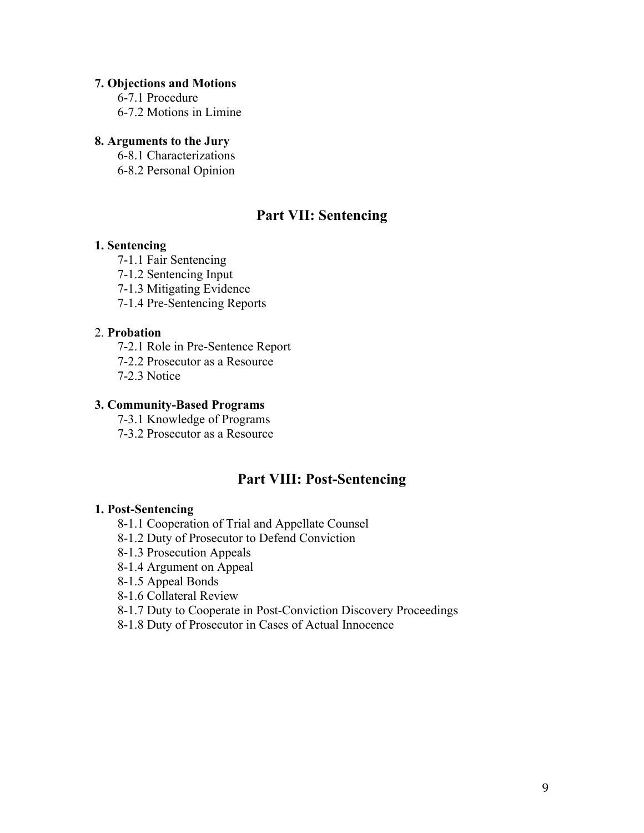#### **[7. Objections and Motions](#page-85-0)**

6-7.1 Procedure 6-7.2 Motions in Limine

# **[8. Arguments to the Jury](#page-86-0)**

6-8.1 Characterizations 6-8.2 Personal Opinion

# **Part VII: Sentencing**

#### **1. Sentencing**

7-1.1 Fair Sentencing

[7-1.2 Sentencing Input](#page-87-0)

7-1.3 Mitigating Evidence

[7-1.4 Pre-Sentencing Reports](#page-87-0)

#### 2. **Probation**

[7-2.1 Role in Pre-Sentence Report](#page-88-0)

7-2.2 Prosecutor as a Resource

7-2.3 Notice

#### **[3. Community-Based Programs](#page-88-0)**

7-3.1 Knowledge of Programs 7-3.2 Prosecutor as a Resource

# **Part VIII: Post-Sentencing**

## **1. Post-Sentencing**

[8-1.1 Cooperation of Trial and Appellate Counsel](#page-89-0)

8-1.2 Duty of Prosecutor to Defend Conviction

8-1.3 Prosecution Appeals

[8-1.4 Argument on Appeal](#page-89-0)

8-1.5 Appeal Bonds

8-1.6 Collateral Review

[8-1.7 Duty to Cooperate in Post-Conviction Discovery Proceedings](#page-89-0)

[8-1.8 Duty of Prosecutor in Cases of Actual Innocence](#page-90-0)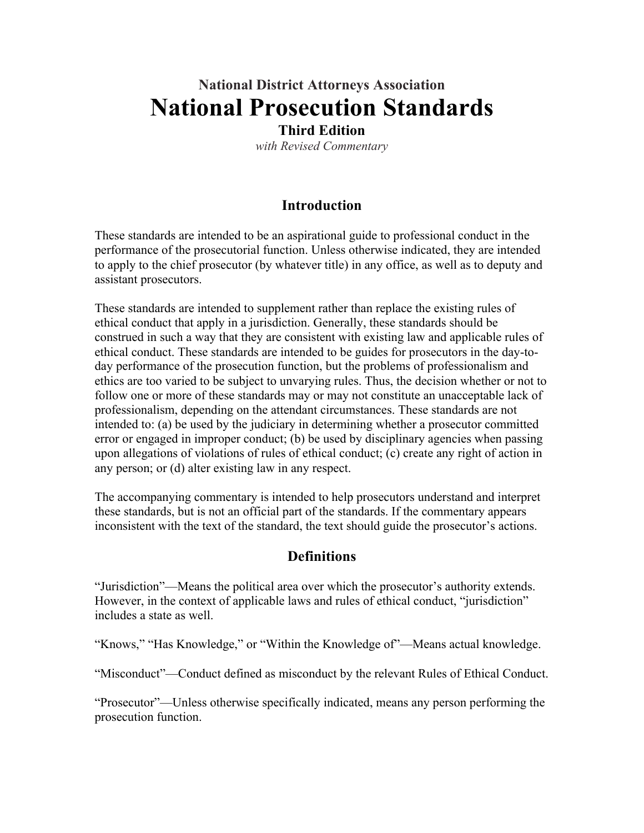# <span id="page-9-0"></span>**National District Attorneys Association National Prosecution Standards**

**Third Edition**

*with Revised Commentary*

# **Introduction**

These standards are intended to be an aspirational guide to professional conduct in the performance of the prosecutorial function. Unless otherwise indicated, they are intended to apply to the chief prosecutor (by whatever title) in any office, as well as to deputy and assistant prosecutors.

These standards are intended to supplement rather than replace the existing rules of ethical conduct that apply in a jurisdiction. Generally, these standards should be construed in such a way that they are consistent with existing law and applicable rules of ethical conduct. These standards are intended to be guides for prosecutors in the day-today performance of the prosecution function, but the problems of professionalism and ethics are too varied to be subject to unvarying rules. Thus, the decision whether or not to follow one or more of these standards may or may not constitute an unacceptable lack of professionalism, depending on the attendant circumstances. These standards are not intended to: (a) be used by the judiciary in determining whether a prosecutor committed error or engaged in improper conduct; (b) be used by disciplinary agencies when passing upon allegations of violations of rules of ethical conduct; (c) create any right of action in any person; or (d) alter existing law in any respect.

The accompanying commentary is intended to help prosecutors understand and interpret these standards, but is not an official part of the standards. If the commentary appears inconsistent with the text of the standard, the text should guide the prosecutor's actions.

# **Definitions**

"Jurisdiction"—Means the political area over which the prosecutor's authority extends. However, in the context of applicable laws and rules of ethical conduct, "jurisdiction" includes a state as well.

"Knows," "Has Knowledge," or "Within the Knowledge of"—Means actual knowledge.

"Misconduct"—Conduct defined as misconduct by the relevant Rules of Ethical Conduct.

"Prosecutor"—Unless otherwise specifically indicated, means any person performing the prosecution function.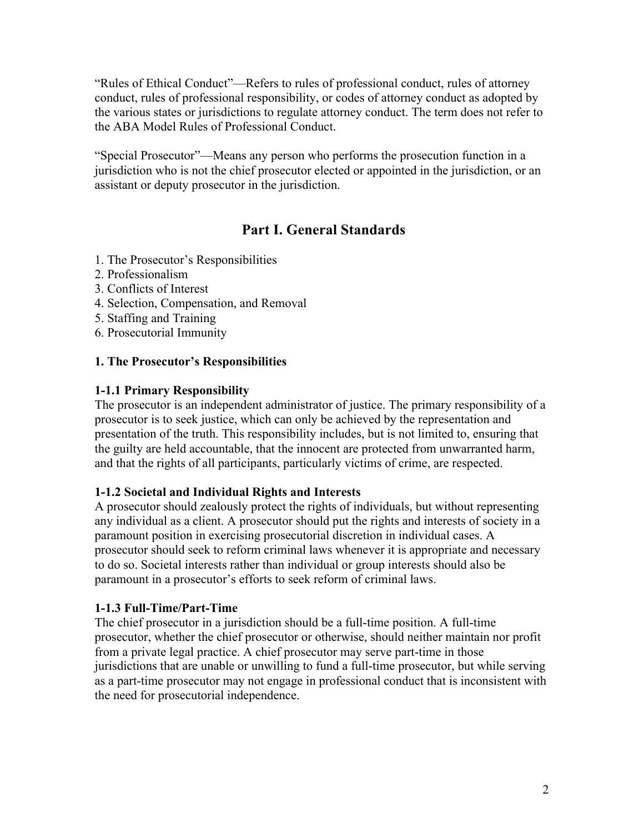<span id="page-10-0"></span>"Rules of Ethical Conduct"—Refers to rules of professional conduct, rules of attorney conduct, rules of professional responsibility, or codes of attorney conduct as adopted by the various states or jurisdictions to regulate attorney conduct. The term does not refer to the ABA Model Rules of Professional Conduct.

"Special Prosecutor"—Means any person who performs the prosecution function in a jurisdiction who is not the chief prosecutor elected or appointed in the jurisdiction, or an assistant or deputy prosecutor in the jurisdiction.

# **Part I. General Standards**

- 1. The Prosecutor's Responsibilities
- 2. Professionalism
- 3. Conflicts of Interest
- 4. Selection, Compensation, and Removal
- 5. Staffing and Training
- 6. Prosecutorial Immunity

# **1. The Prosecutor's Responsibilities**

# **1-1.1 Primary Responsibility**

The prosecutor is an independent administrator of justice. The primary responsibility of a prosecutor is to seek justice, which can only be achieved by the representation and presentation of the truth. This responsibility includes, but is not limited to, ensuring that the guilty are held accountable, that the innocent are protected from unwarranted harm, and that the rights of all participants, particularly victims of crime, are respected.

# **1-1.2 Societal and Individual Rights and Interests**

A prosecutor should zealously protect the rights of individuals, but without representing any individual as a client. A prosecutor should put the rights and interests of society in a paramount position in exercising prosecutorial discretion in individual cases. A prosecutor should seek to reform criminal laws whenever it is appropriate and necessary to do so. Societal interests rather than individual or group interests should also be paramount in a prosecutor's efforts to seek reform of criminal laws.

# **1-1.3 Full-Time/Part-Time**

The chief prosecutor in a jurisdiction should be a full-time position. A full-time prosecutor, whether the chief prosecutor or otherwise, should neither maintain nor profit from a private legal practice. A chief prosecutor may serve part-time in those jurisdictions that are unable or unwilling to fund a full-time prosecutor, but while serving as a part-time prosecutor may not engage in professional conduct that is inconsistent with the need for prosecutorial independence.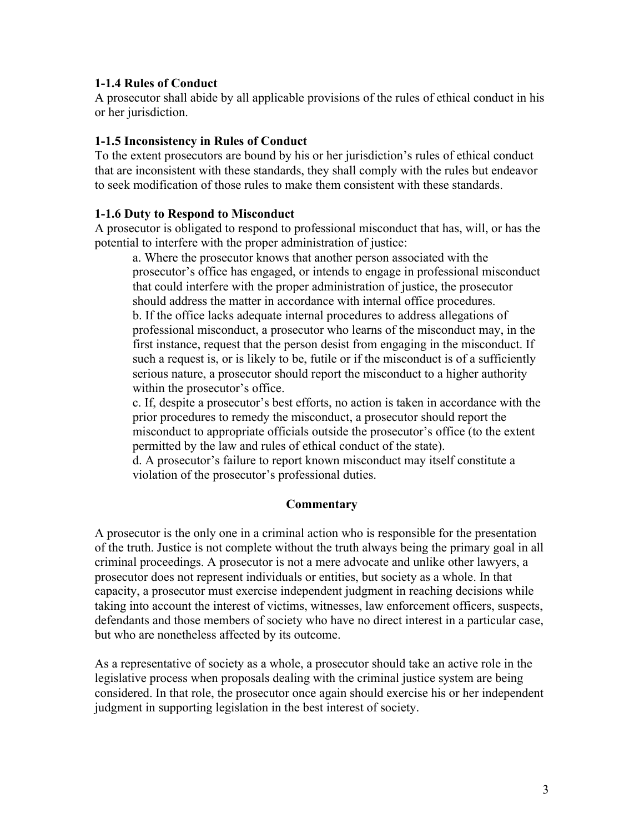# <span id="page-11-0"></span>**1-1.4 Rules of Conduct**

A prosecutor shall abide by all applicable provisions of the rules of ethical conduct in his or her jurisdiction.

# **1-1.5 Inconsistency in Rules of Conduct**

To the extent prosecutors are bound by his or her jurisdiction's rules of ethical conduct that are inconsistent with these standards, they shall comply with the rules but endeavor to seek modification of those rules to make them consistent with these standards.

#### **1-1.6 Duty to Respond to Misconduct**

A prosecutor is obligated to respond to professional misconduct that has, will, or has the potential to interfere with the proper administration of justice:

a. Where the prosecutor knows that another person associated with the prosecutor's office has engaged, or intends to engage in professional misconduct that could interfere with the proper administration of justice, the prosecutor should address the matter in accordance with internal office procedures. b. If the office lacks adequate internal procedures to address allegations of professional misconduct, a prosecutor who learns of the misconduct may, in the first instance, request that the person desist from engaging in the misconduct. If such a request is, or is likely to be, futile or if the misconduct is of a sufficiently serious nature, a prosecutor should report the misconduct to a higher authority within the prosecutor's office.

c. If, despite a prosecutor's best efforts, no action is taken in accordance with the prior procedures to remedy the misconduct, a prosecutor should report the misconduct to appropriate officials outside the prosecutor's office (to the extent permitted by the law and rules of ethical conduct of the state).

d. A prosecutor's failure to report known misconduct may itself constitute a violation of the prosecutor's professional duties.

# **Commentary**

A prosecutor is the only one in a criminal action who is responsible for the presentation of the truth. Justice is not complete without the truth always being the primary goal in all criminal proceedings. A prosecutor is not a mere advocate and unlike other lawyers, a prosecutor does not represent individuals or entities, but society as a whole. In that capacity, a prosecutor must exercise independent judgment in reaching decisions while taking into account the interest of victims, witnesses, law enforcement officers, suspects, defendants and those members of society who have no direct interest in a particular case, but who are nonetheless affected by its outcome.

As a representative of society as a whole, a prosecutor should take an active role in the legislative process when proposals dealing with the criminal justice system are being considered. In that role, the prosecutor once again should exercise his or her independent judgment in supporting legislation in the best interest of society.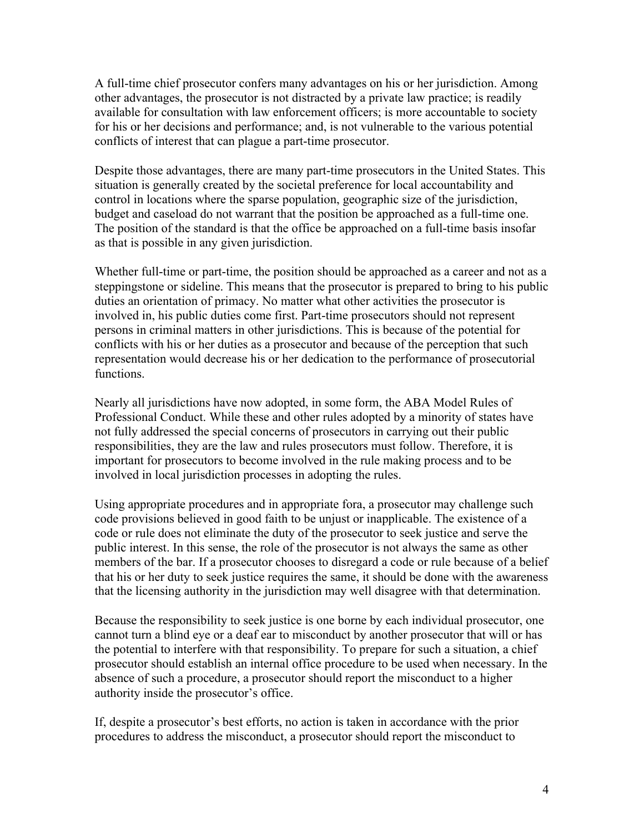A full-time chief prosecutor confers many advantages on his or her jurisdiction. Among other advantages, the prosecutor is not distracted by a private law practice; is readily available for consultation with law enforcement officers; is more accountable to society for his or her decisions and performance; and, is not vulnerable to the various potential conflicts of interest that can plague a part-time prosecutor.

Despite those advantages, there are many part-time prosecutors in the United States. This situation is generally created by the societal preference for local accountability and control in locations where the sparse population, geographic size of the jurisdiction, budget and caseload do not warrant that the position be approached as a full-time one. The position of the standard is that the office be approached on a full-time basis insofar as that is possible in any given jurisdiction.

Whether full-time or part-time, the position should be approached as a career and not as a steppingstone or sideline. This means that the prosecutor is prepared to bring to his public duties an orientation of primacy. No matter what other activities the prosecutor is involved in, his public duties come first. Part-time prosecutors should not represent persons in criminal matters in other jurisdictions. This is because of the potential for conflicts with his or her duties as a prosecutor and because of the perception that such representation would decrease his or her dedication to the performance of prosecutorial functions.

Nearly all jurisdictions have now adopted, in some form, the ABA Model Rules of Professional Conduct. While these and other rules adopted by a minority of states have not fully addressed the special concerns of prosecutors in carrying out their public responsibilities, they are the law and rules prosecutors must follow. Therefore, it is important for prosecutors to become involved in the rule making process and to be involved in local jurisdiction processes in adopting the rules.

Using appropriate procedures and in appropriate fora, a prosecutor may challenge such code provisions believed in good faith to be unjust or inapplicable. The existence of a code or rule does not eliminate the duty of the prosecutor to seek justice and serve the public interest. In this sense, the role of the prosecutor is not always the same as other members of the bar. If a prosecutor chooses to disregard a code or rule because of a belief that his or her duty to seek justice requires the same, it should be done with the awareness that the licensing authority in the jurisdiction may well disagree with that determination.

Because the responsibility to seek justice is one borne by each individual prosecutor, one cannot turn a blind eye or a deaf ear to misconduct by another prosecutor that will or has the potential to interfere with that responsibility. To prepare for such a situation, a chief prosecutor should establish an internal office procedure to be used when necessary. In the absence of such a procedure, a prosecutor should report the misconduct to a higher authority inside the prosecutor's office.

If, despite a prosecutor's best efforts, no action is taken in accordance with the prior procedures to address the misconduct, a prosecutor should report the misconduct to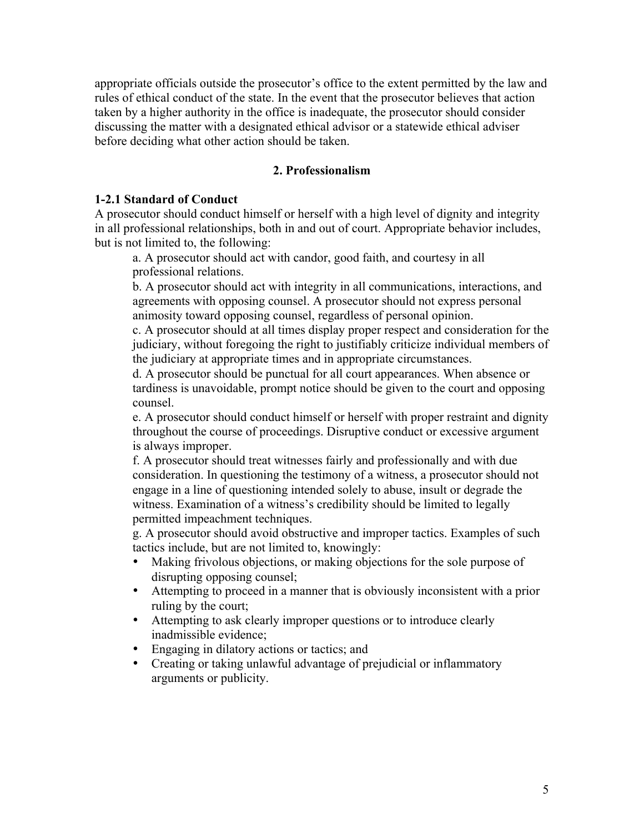<span id="page-13-0"></span>appropriate officials outside the prosecutor's office to the extent permitted by the law and rules of ethical conduct of the state. In the event that the prosecutor believes that action taken by a higher authority in the office is inadequate, the prosecutor should consider discussing the matter with a designated ethical advisor or a statewide ethical adviser before deciding what other action should be taken.

#### **2. Professionalism**

#### **1-2.1 Standard of Conduct**

A prosecutor should conduct himself or herself with a high level of dignity and integrity in all professional relationships, both in and out of court. Appropriate behavior includes, but is not limited to, the following:

a. A prosecutor should act with candor, good faith, and courtesy in all professional relations.

b. A prosecutor should act with integrity in all communications, interactions, and agreements with opposing counsel. A prosecutor should not express personal animosity toward opposing counsel, regardless of personal opinion.

c. A prosecutor should at all times display proper respect and consideration for the judiciary, without foregoing the right to justifiably criticize individual members of the judiciary at appropriate times and in appropriate circumstances.

d. A prosecutor should be punctual for all court appearances. When absence or tardiness is unavoidable, prompt notice should be given to the court and opposing counsel.

e. A prosecutor should conduct himself or herself with proper restraint and dignity throughout the course of proceedings. Disruptive conduct or excessive argument is always improper.

f. A prosecutor should treat witnesses fairly and professionally and with due consideration. In questioning the testimony of a witness, a prosecutor should not engage in a line of questioning intended solely to abuse, insult or degrade the witness. Examination of a witness's credibility should be limited to legally permitted impeachment techniques.

g. A prosecutor should avoid obstructive and improper tactics. Examples of such tactics include, but are not limited to, knowingly:

- Making frivolous objections, or making objections for the sole purpose of disrupting opposing counsel;
- Attempting to proceed in a manner that is obviously inconsistent with a prior ruling by the court;
- Attempting to ask clearly improper questions or to introduce clearly inadmissible evidence;
- Engaging in dilatory actions or tactics; and
- Creating or taking unlawful advantage of prejudicial or inflammatory arguments or publicity.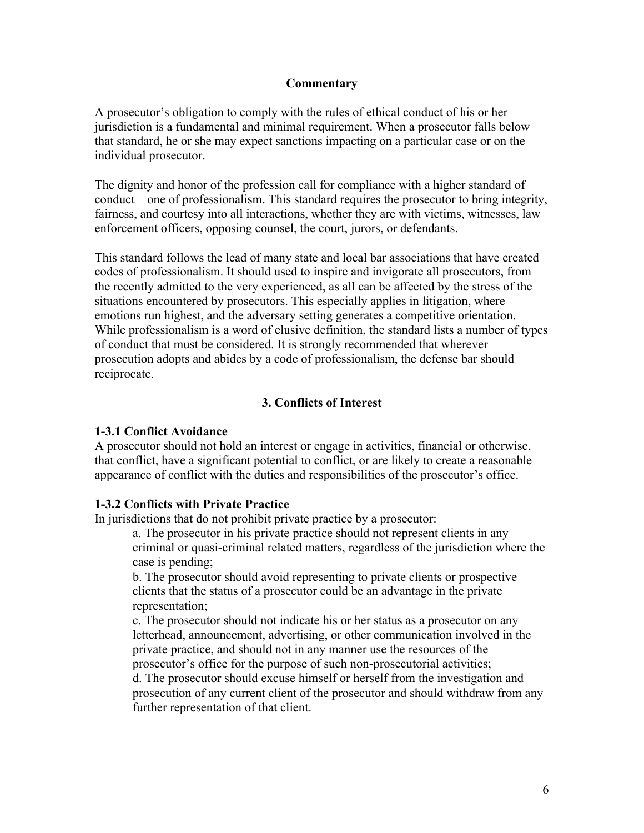#### **Commentary**

<span id="page-14-0"></span>A prosecutor's obligation to comply with the rules of ethical conduct of his or her jurisdiction is a fundamental and minimal requirement. When a prosecutor falls below that standard, he or she may expect sanctions impacting on a particular case or on the individual prosecutor.

The dignity and honor of the profession call for compliance with a higher standard of conduct—one of professionalism. This standard requires the prosecutor to bring integrity, fairness, and courtesy into all interactions, whether they are with victims, witnesses, law enforcement officers, opposing counsel, the court, jurors, or defendants.

This standard follows the lead of many state and local bar associations that have created codes of professionalism. It should used to inspire and invigorate all prosecutors, from the recently admitted to the very experienced, as all can be affected by the stress of the situations encountered by prosecutors. This especially applies in litigation, where emotions run highest, and the adversary setting generates a competitive orientation. While professionalism is a word of elusive definition, the standard lists a number of types of conduct that must be considered. It is strongly recommended that wherever prosecution adopts and abides by a code of professionalism, the defense bar should reciprocate.

#### **3. Conflicts of Interest**

#### **1-3.1 Conflict Avoidance**

A prosecutor should not hold an interest or engage in activities, financial or otherwise, that conflict, have a significant potential to conflict, or are likely to create a reasonable appearance of conflict with the duties and responsibilities of the prosecutor's office.

#### **1-3.2 Conflicts with Private Practice**

In jurisdictions that do not prohibit private practice by a prosecutor:

a. The prosecutor in his private practice should not represent clients in any criminal or quasi-criminal related matters, regardless of the jurisdiction where the case is pending;

b. The prosecutor should avoid representing to private clients or prospective clients that the status of a prosecutor could be an advantage in the private representation;

c. The prosecutor should not indicate his or her status as a prosecutor on any letterhead, announcement, advertising, or other communication involved in the private practice, and should not in any manner use the resources of the prosecutor's office for the purpose of such non-prosecutorial activities;

d. The prosecutor should excuse himself or herself from the investigation and prosecution of any current client of the prosecutor and should withdraw from any further representation of that client.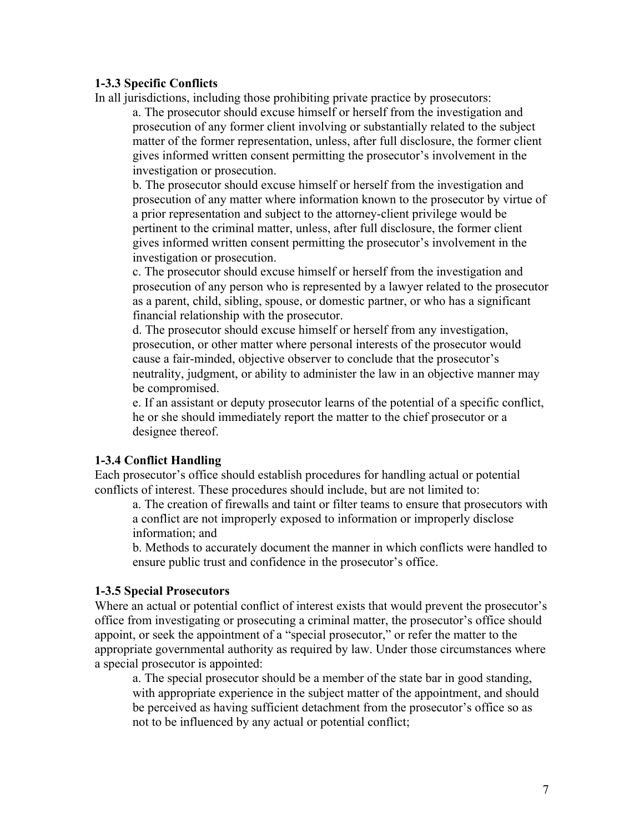#### <span id="page-15-0"></span>**1-3.3 Specific Conflicts**

In all jurisdictions, including those prohibiting private practice by prosecutors:

a. The prosecutor should excuse himself or herself from the investigation and prosecution of any former client involving or substantially related to the subject matter of the former representation, unless, after full disclosure, the former client gives informed written consent permitting the prosecutor's involvement in the investigation or prosecution.

b. The prosecutor should excuse himself or herself from the investigation and prosecution of any matter where information known to the prosecutor by virtue of a prior representation and subject to the attorney-client privilege would be pertinent to the criminal matter, unless, after full disclosure, the former client gives informed written consent permitting the prosecutor's involvement in the investigation or prosecution.

c. The prosecutor should excuse himself or herself from the investigation and prosecution of any person who is represented by a lawyer related to the prosecutor as a parent, child, sibling, spouse, or domestic partner, or who has a significant financial relationship with the prosecutor.

d. The prosecutor should excuse himself or herself from any investigation, prosecution, or other matter where personal interests of the prosecutor would cause a fair-minded, objective observer to conclude that the prosecutor's neutrality, judgment, or ability to administer the law in an objective manner may be compromised.

e. If an assistant or deputy prosecutor learns of the potential of a specific conflict, he or she should immediately report the matter to the chief prosecutor or a designee thereof.

#### **1-3.4 Conflict Handling**

Each prosecutor's office should establish procedures for handling actual or potential conflicts of interest. These procedures should include, but are not limited to:

a. The creation of firewalls and taint or filter teams to ensure that prosecutors with a conflict are not improperly exposed to information or improperly disclose information; and

b. Methods to accurately document the manner in which conflicts were handled to ensure public trust and confidence in the prosecutor's office.

#### **1-3.5 Special Prosecutors**

Where an actual or potential conflict of interest exists that would prevent the prosecutor's office from investigating or prosecuting a criminal matter, the prosecutor's office should appoint, or seek the appointment of a "special prosecutor," or refer the matter to the appropriate governmental authority as required by law. Under those circumstances where a special prosecutor is appointed:

a. The special prosecutor should be a member of the state bar in good standing, with appropriate experience in the subject matter of the appointment, and should be perceived as having sufficient detachment from the prosecutor's office so as not to be influenced by any actual or potential conflict;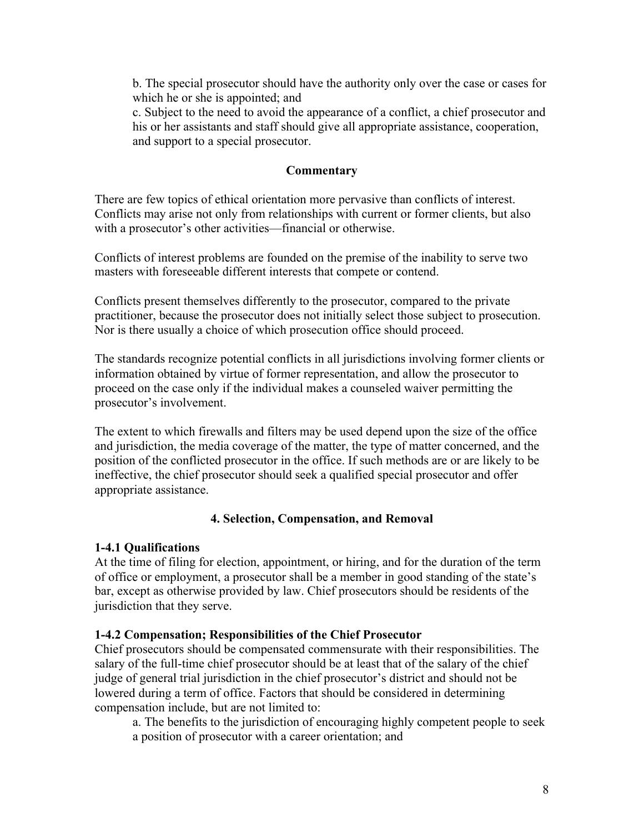<span id="page-16-0"></span>b. The special prosecutor should have the authority only over the case or cases for which he or she is appointed; and

c. Subject to the need to avoid the appearance of a conflict, a chief prosecutor and his or her assistants and staff should give all appropriate assistance, cooperation, and support to a special prosecutor.

## **Commentary**

There are few topics of ethical orientation more pervasive than conflicts of interest. Conflicts may arise not only from relationships with current or former clients, but also with a prosecutor's other activities—financial or otherwise.

Conflicts of interest problems are founded on the premise of the inability to serve two masters with foreseeable different interests that compete or contend.

Conflicts present themselves differently to the prosecutor, compared to the private practitioner, because the prosecutor does not initially select those subject to prosecution. Nor is there usually a choice of which prosecution office should proceed.

The standards recognize potential conflicts in all jurisdictions involving former clients or information obtained by virtue of former representation, and allow the prosecutor to proceed on the case only if the individual makes a counseled waiver permitting the prosecutor's involvement.

The extent to which firewalls and filters may be used depend upon the size of the office and jurisdiction, the media coverage of the matter, the type of matter concerned, and the position of the conflicted prosecutor in the office. If such methods are or are likely to be ineffective, the chief prosecutor should seek a qualified special prosecutor and offer appropriate assistance.

# **4. Selection, Compensation, and Removal**

# **1-4.1 Qualifications**

At the time of filing for election, appointment, or hiring, and for the duration of the term of office or employment, a prosecutor shall be a member in good standing of the state's bar, except as otherwise provided by law. Chief prosecutors should be residents of the jurisdiction that they serve.

# **1-4.2 Compensation; Responsibilities of the Chief Prosecutor**

Chief prosecutors should be compensated commensurate with their responsibilities. The salary of the full-time chief prosecutor should be at least that of the salary of the chief judge of general trial jurisdiction in the chief prosecutor's district and should not be lowered during a term of office. Factors that should be considered in determining compensation include, but are not limited to:

a. The benefits to the jurisdiction of encouraging highly competent people to seek a position of prosecutor with a career orientation; and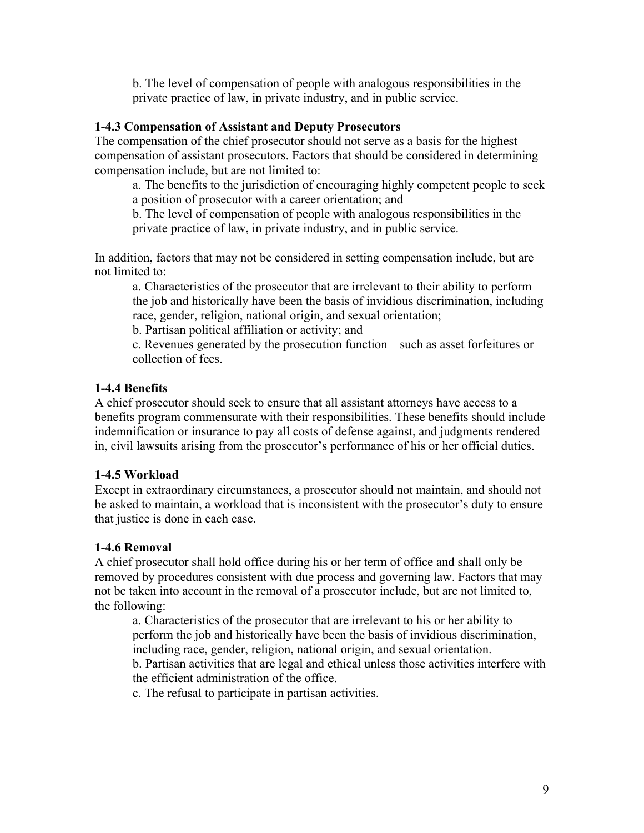<span id="page-17-0"></span>b. The level of compensation of people with analogous responsibilities in the private practice of law, in private industry, and in public service.

## **1-4.3 Compensation of Assistant and Deputy Prosecutors**

The compensation of the chief prosecutor should not serve as a basis for the highest compensation of assistant prosecutors. Factors that should be considered in determining compensation include, but are not limited to:

a. The benefits to the jurisdiction of encouraging highly competent people to seek a position of prosecutor with a career orientation; and

b. The level of compensation of people with analogous responsibilities in the private practice of law, in private industry, and in public service.

In addition, factors that may not be considered in setting compensation include, but are not limited to:

a. Characteristics of the prosecutor that are irrelevant to their ability to perform the job and historically have been the basis of invidious discrimination, including race, gender, religion, national origin, and sexual orientation;

b. Partisan political affiliation or activity; and

c. Revenues generated by the prosecution function—such as asset forfeitures or collection of fees.

# **1-4.4 Benefits**

A chief prosecutor should seek to ensure that all assistant attorneys have access to a benefits program commensurate with their responsibilities. These benefits should include indemnification or insurance to pay all costs of defense against, and judgments rendered in, civil lawsuits arising from the prosecutor's performance of his or her official duties.

# **1-4.5 Workload**

Except in extraordinary circumstances, a prosecutor should not maintain, and should not be asked to maintain, a workload that is inconsistent with the prosecutor's duty to ensure that justice is done in each case.

# **1-4.6 Removal**

A chief prosecutor shall hold office during his or her term of office and shall only be removed by procedures consistent with due process and governing law. Factors that may not be taken into account in the removal of a prosecutor include, but are not limited to, the following:

a. Characteristics of the prosecutor that are irrelevant to his or her ability to perform the job and historically have been the basis of invidious discrimination, including race, gender, religion, national origin, and sexual orientation.

b. Partisan activities that are legal and ethical unless those activities interfere with the efficient administration of the office.

c. The refusal to participate in partisan activities.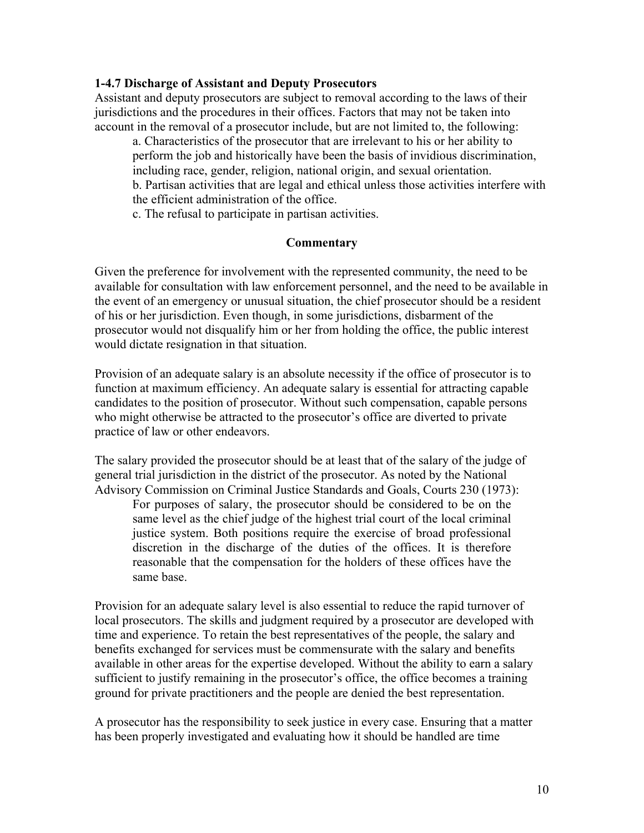#### <span id="page-18-0"></span>**1-4.7 Discharge of Assistant and Deputy Prosecutors**

Assistant and deputy prosecutors are subject to removal according to the laws of their jurisdictions and the procedures in their offices. Factors that may not be taken into account in the removal of a prosecutor include, but are not limited to, the following:

a. Characteristics of the prosecutor that are irrelevant to his or her ability to perform the job and historically have been the basis of invidious discrimination, including race, gender, religion, national origin, and sexual orientation. b. Partisan activities that are legal and ethical unless those activities interfere with the efficient administration of the office.

c. The refusal to participate in partisan activities.

#### **Commentary**

Given the preference for involvement with the represented community, the need to be available for consultation with law enforcement personnel, and the need to be available in the event of an emergency or unusual situation, the chief prosecutor should be a resident of his or her jurisdiction. Even though, in some jurisdictions, disbarment of the prosecutor would not disqualify him or her from holding the office, the public interest would dictate resignation in that situation.

Provision of an adequate salary is an absolute necessity if the office of prosecutor is to function at maximum efficiency. An adequate salary is essential for attracting capable candidates to the position of prosecutor. Without such compensation, capable persons who might otherwise be attracted to the prosecutor's office are diverted to private practice of law or other endeavors.

The salary provided the prosecutor should be at least that of the salary of the judge of general trial jurisdiction in the district of the prosecutor. As noted by the National Advisory Commission on Criminal Justice Standards and Goals, Courts 230 (1973):

For purposes of salary, the prosecutor should be considered to be on the same level as the chief judge of the highest trial court of the local criminal justice system. Both positions require the exercise of broad professional discretion in the discharge of the duties of the offices. It is therefore reasonable that the compensation for the holders of these offices have the same base.

Provision for an adequate salary level is also essential to reduce the rapid turnover of local prosecutors. The skills and judgment required by a prosecutor are developed with time and experience. To retain the best representatives of the people, the salary and benefits exchanged for services must be commensurate with the salary and benefits available in other areas for the expertise developed. Without the ability to earn a salary sufficient to justify remaining in the prosecutor's office, the office becomes a training ground for private practitioners and the people are denied the best representation.

A prosecutor has the responsibility to seek justice in every case. Ensuring that a matter has been properly investigated and evaluating how it should be handled are time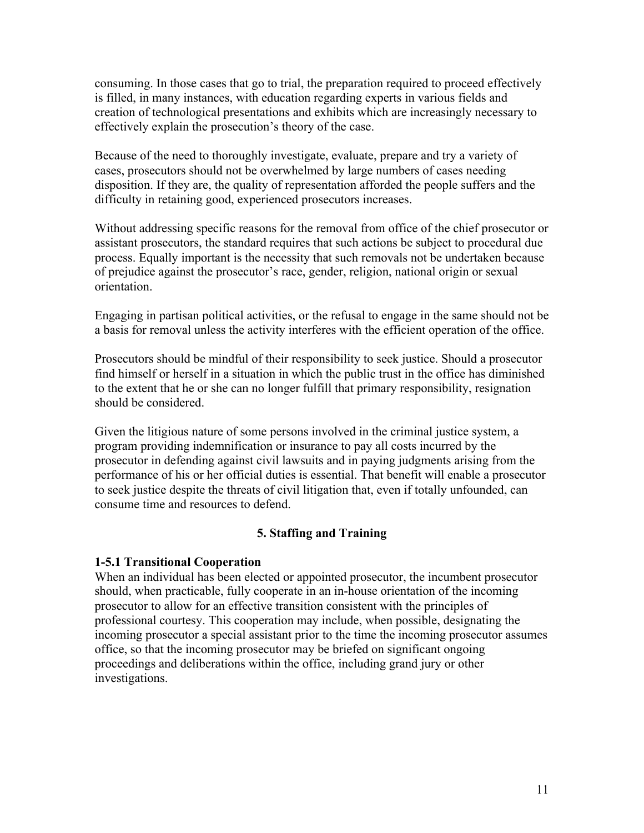<span id="page-19-0"></span>consuming. In those cases that go to trial, the preparation required to proceed effectively is filled, in many instances, with education regarding experts in various fields and creation of technological presentations and exhibits which are increasingly necessary to effectively explain the prosecution's theory of the case.

Because of the need to thoroughly investigate, evaluate, prepare and try a variety of cases, prosecutors should not be overwhelmed by large numbers of cases needing disposition. If they are, the quality of representation afforded the people suffers and the difficulty in retaining good, experienced prosecutors increases.

Without addressing specific reasons for the removal from office of the chief prosecutor or assistant prosecutors, the standard requires that such actions be subject to procedural due process. Equally important is the necessity that such removals not be undertaken because of prejudice against the prosecutor's race, gender, religion, national origin or sexual orientation.

Engaging in partisan political activities, or the refusal to engage in the same should not be a basis for removal unless the activity interferes with the efficient operation of the office.

Prosecutors should be mindful of their responsibility to seek justice. Should a prosecutor find himself or herself in a situation in which the public trust in the office has diminished to the extent that he or she can no longer fulfill that primary responsibility, resignation should be considered.

Given the litigious nature of some persons involved in the criminal justice system, a program providing indemnification or insurance to pay all costs incurred by the prosecutor in defending against civil lawsuits and in paying judgments arising from the performance of his or her official duties is essential. That benefit will enable a prosecutor to seek justice despite the threats of civil litigation that, even if totally unfounded, can consume time and resources to defend.

# **5. Staffing and Training**

# **1-5.1 Transitional Cooperation**

When an individual has been elected or appointed prosecutor, the incumbent prosecutor should, when practicable, fully cooperate in an in-house orientation of the incoming prosecutor to allow for an effective transition consistent with the principles of professional courtesy. This cooperation may include, when possible, designating the incoming prosecutor a special assistant prior to the time the incoming prosecutor assumes office, so that the incoming prosecutor may be briefed on significant ongoing proceedings and deliberations within the office, including grand jury or other investigations.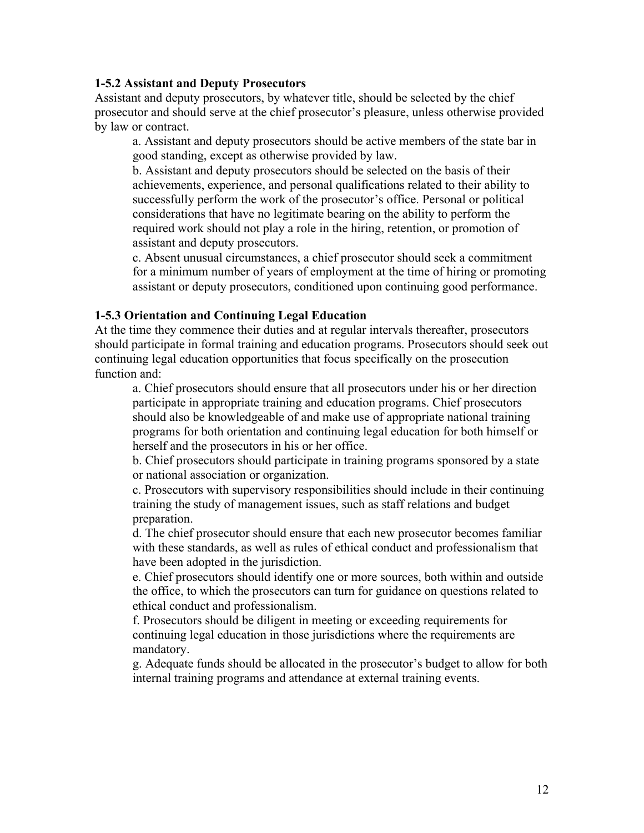#### <span id="page-20-0"></span>**1-5.2 Assistant and Deputy Prosecutors**

Assistant and deputy prosecutors, by whatever title, should be selected by the chief prosecutor and should serve at the chief prosecutor's pleasure, unless otherwise provided by law or contract.

a. Assistant and deputy prosecutors should be active members of the state bar in good standing, except as otherwise provided by law.

b. Assistant and deputy prosecutors should be selected on the basis of their achievements, experience, and personal qualifications related to their ability to successfully perform the work of the prosecutor's office. Personal or political considerations that have no legitimate bearing on the ability to perform the required work should not play a role in the hiring, retention, or promotion of assistant and deputy prosecutors.

c. Absent unusual circumstances, a chief prosecutor should seek a commitment for a minimum number of years of employment at the time of hiring or promoting assistant or deputy prosecutors, conditioned upon continuing good performance.

#### **1-5.3 Orientation and Continuing Legal Education**

At the time they commence their duties and at regular intervals thereafter, prosecutors should participate in formal training and education programs. Prosecutors should seek out continuing legal education opportunities that focus specifically on the prosecution function and:

a. Chief prosecutors should ensure that all prosecutors under his or her direction participate in appropriate training and education programs. Chief prosecutors should also be knowledgeable of and make use of appropriate national training programs for both orientation and continuing legal education for both himself or herself and the prosecutors in his or her office.

b. Chief prosecutors should participate in training programs sponsored by a state or national association or organization.

c. Prosecutors with supervisory responsibilities should include in their continuing training the study of management issues, such as staff relations and budget preparation.

d. The chief prosecutor should ensure that each new prosecutor becomes familiar with these standards, as well as rules of ethical conduct and professionalism that have been adopted in the jurisdiction.

e. Chief prosecutors should identify one or more sources, both within and outside the office, to which the prosecutors can turn for guidance on questions related to ethical conduct and professionalism.

f. Prosecutors should be diligent in meeting or exceeding requirements for continuing legal education in those jurisdictions where the requirements are mandatory.

g. Adequate funds should be allocated in the prosecutor's budget to allow for both internal training programs and attendance at external training events.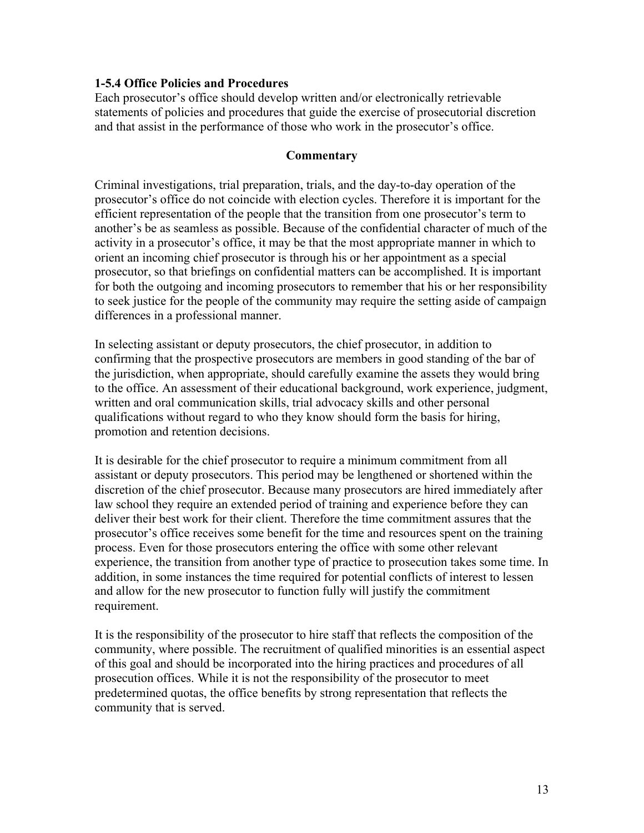# <span id="page-21-0"></span>**1-5.4 Office Policies and Procedures**

Each prosecutor's office should develop written and/or electronically retrievable statements of policies and procedures that guide the exercise of prosecutorial discretion and that assist in the performance of those who work in the prosecutor's office.

#### **Commentary**

Criminal investigations, trial preparation, trials, and the day-to-day operation of the prosecutor's office do not coincide with election cycles. Therefore it is important for the efficient representation of the people that the transition from one prosecutor's term to another's be as seamless as possible. Because of the confidential character of much of the activity in a prosecutor's office, it may be that the most appropriate manner in which to orient an incoming chief prosecutor is through his or her appointment as a special prosecutor, so that briefings on confidential matters can be accomplished. It is important for both the outgoing and incoming prosecutors to remember that his or her responsibility to seek justice for the people of the community may require the setting aside of campaign differences in a professional manner.

In selecting assistant or deputy prosecutors, the chief prosecutor, in addition to confirming that the prospective prosecutors are members in good standing of the bar of the jurisdiction, when appropriate, should carefully examine the assets they would bring to the office. An assessment of their educational background, work experience, judgment, written and oral communication skills, trial advocacy skills and other personal qualifications without regard to who they know should form the basis for hiring, promotion and retention decisions.

It is desirable for the chief prosecutor to require a minimum commitment from all assistant or deputy prosecutors. This period may be lengthened or shortened within the discretion of the chief prosecutor. Because many prosecutors are hired immediately after law school they require an extended period of training and experience before they can deliver their best work for their client. Therefore the time commitment assures that the prosecutor's office receives some benefit for the time and resources spent on the training process. Even for those prosecutors entering the office with some other relevant experience, the transition from another type of practice to prosecution takes some time. In addition, in some instances the time required for potential conflicts of interest to lessen and allow for the new prosecutor to function fully will justify the commitment requirement.

It is the responsibility of the prosecutor to hire staff that reflects the composition of the community, where possible. The recruitment of qualified minorities is an essential aspect of this goal and should be incorporated into the hiring practices and procedures of all prosecution offices. While it is not the responsibility of the prosecutor to meet predetermined quotas, the office benefits by strong representation that reflects the community that is served.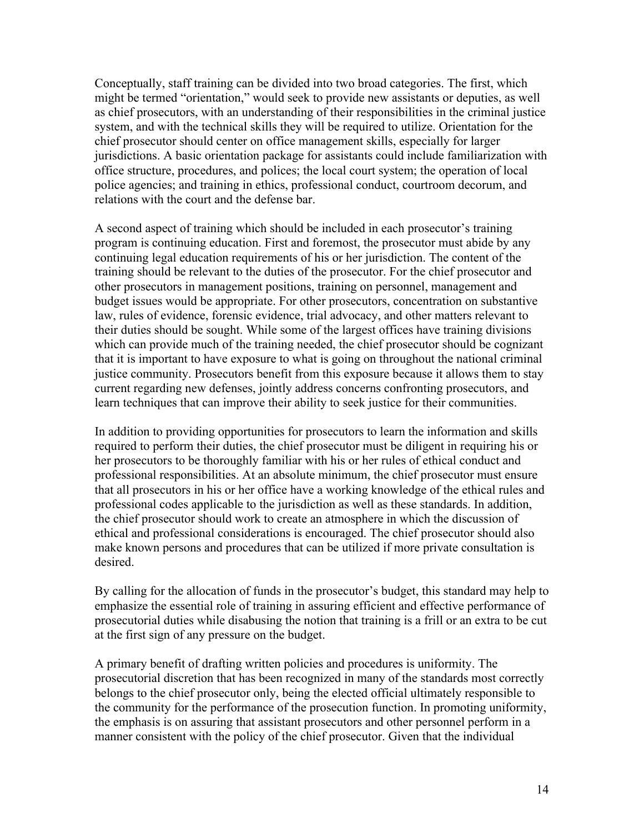Conceptually, staff training can be divided into two broad categories. The first, which might be termed "orientation," would seek to provide new assistants or deputies, as well as chief prosecutors, with an understanding of their responsibilities in the criminal justice system, and with the technical skills they will be required to utilize. Orientation for the chief prosecutor should center on office management skills, especially for larger jurisdictions. A basic orientation package for assistants could include familiarization with office structure, procedures, and polices; the local court system; the operation of local police agencies; and training in ethics, professional conduct, courtroom decorum, and relations with the court and the defense bar.

A second aspect of training which should be included in each prosecutor's training program is continuing education. First and foremost, the prosecutor must abide by any continuing legal education requirements of his or her jurisdiction. The content of the training should be relevant to the duties of the prosecutor. For the chief prosecutor and other prosecutors in management positions, training on personnel, management and budget issues would be appropriate. For other prosecutors, concentration on substantive law, rules of evidence, forensic evidence, trial advocacy, and other matters relevant to their duties should be sought. While some of the largest offices have training divisions which can provide much of the training needed, the chief prosecutor should be cognizant that it is important to have exposure to what is going on throughout the national criminal justice community. Prosecutors benefit from this exposure because it allows them to stay current regarding new defenses, jointly address concerns confronting prosecutors, and learn techniques that can improve their ability to seek justice for their communities.

In addition to providing opportunities for prosecutors to learn the information and skills required to perform their duties, the chief prosecutor must be diligent in requiring his or her prosecutors to be thoroughly familiar with his or her rules of ethical conduct and professional responsibilities. At an absolute minimum, the chief prosecutor must ensure that all prosecutors in his or her office have a working knowledge of the ethical rules and professional codes applicable to the jurisdiction as well as these standards. In addition, the chief prosecutor should work to create an atmosphere in which the discussion of ethical and professional considerations is encouraged. The chief prosecutor should also make known persons and procedures that can be utilized if more private consultation is desired.

By calling for the allocation of funds in the prosecutor's budget, this standard may help to emphasize the essential role of training in assuring efficient and effective performance of prosecutorial duties while disabusing the notion that training is a frill or an extra to be cut at the first sign of any pressure on the budget.

A primary benefit of drafting written policies and procedures is uniformity. The prosecutorial discretion that has been recognized in many of the standards most correctly belongs to the chief prosecutor only, being the elected official ultimately responsible to the community for the performance of the prosecution function. In promoting uniformity, the emphasis is on assuring that assistant prosecutors and other personnel perform in a manner consistent with the policy of the chief prosecutor. Given that the individual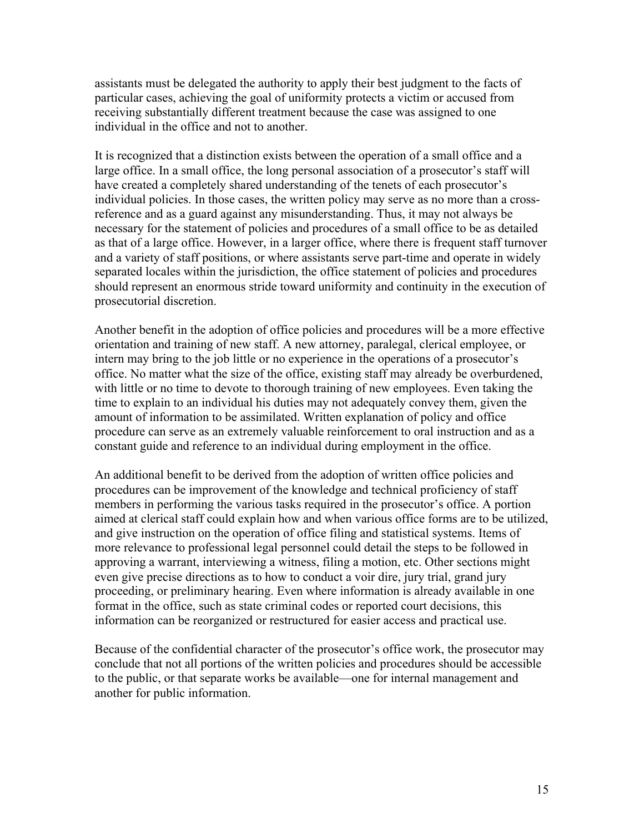assistants must be delegated the authority to apply their best judgment to the facts of particular cases, achieving the goal of uniformity protects a victim or accused from receiving substantially different treatment because the case was assigned to one individual in the office and not to another.

It is recognized that a distinction exists between the operation of a small office and a large office. In a small office, the long personal association of a prosecutor's staff will have created a completely shared understanding of the tenets of each prosecutor's individual policies. In those cases, the written policy may serve as no more than a crossreference and as a guard against any misunderstanding. Thus, it may not always be necessary for the statement of policies and procedures of a small office to be as detailed as that of a large office. However, in a larger office, where there is frequent staff turnover and a variety of staff positions, or where assistants serve part-time and operate in widely separated locales within the jurisdiction, the office statement of policies and procedures should represent an enormous stride toward uniformity and continuity in the execution of prosecutorial discretion.

Another benefit in the adoption of office policies and procedures will be a more effective orientation and training of new staff. A new attorney, paralegal, clerical employee, or intern may bring to the job little or no experience in the operations of a prosecutor's office. No matter what the size of the office, existing staff may already be overburdened, with little or no time to devote to thorough training of new employees. Even taking the time to explain to an individual his duties may not adequately convey them, given the amount of information to be assimilated. Written explanation of policy and office procedure can serve as an extremely valuable reinforcement to oral instruction and as a constant guide and reference to an individual during employment in the office.

An additional benefit to be derived from the adoption of written office policies and procedures can be improvement of the knowledge and technical proficiency of staff members in performing the various tasks required in the prosecutor's office. A portion aimed at clerical staff could explain how and when various office forms are to be utilized, and give instruction on the operation of office filing and statistical systems. Items of more relevance to professional legal personnel could detail the steps to be followed in approving a warrant, interviewing a witness, filing a motion, etc. Other sections might even give precise directions as to how to conduct a voir dire, jury trial, grand jury proceeding, or preliminary hearing. Even where information is already available in one format in the office, such as state criminal codes or reported court decisions, this information can be reorganized or restructured for easier access and practical use.

Because of the confidential character of the prosecutor's office work, the prosecutor may conclude that not all portions of the written policies and procedures should be accessible to the public, or that separate works be available—one for internal management and another for public information.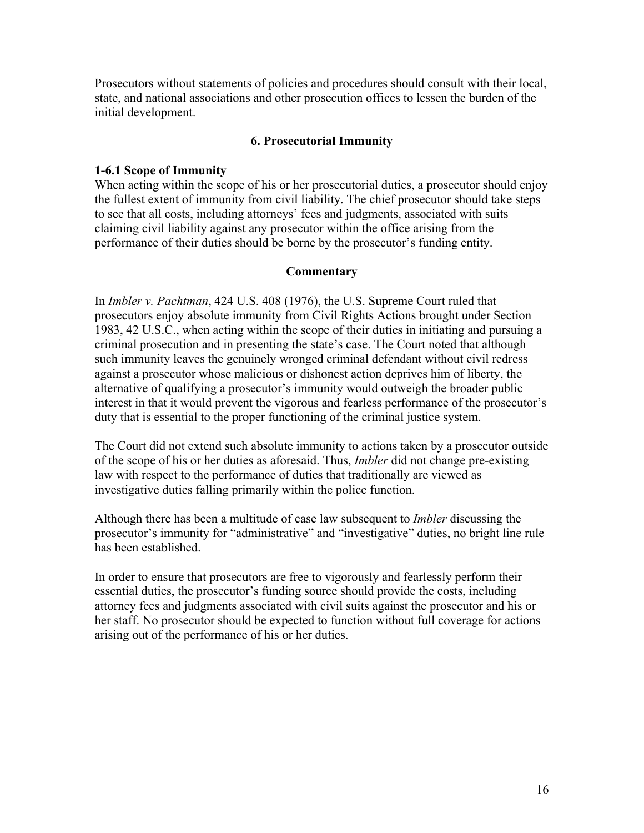<span id="page-24-0"></span>Prosecutors without statements of policies and procedures should consult with their local, state, and national associations and other prosecution offices to lessen the burden of the initial development.

# **6. Prosecutorial Immunity**

# **1-6.1 Scope of Immunity**

When acting within the scope of his or her prosecutorial duties, a prosecutor should enjoy the fullest extent of immunity from civil liability. The chief prosecutor should take steps to see that all costs, including attorneys' fees and judgments, associated with suits claiming civil liability against any prosecutor within the office arising from the performance of their duties should be borne by the prosecutor's funding entity.

#### **Commentary**

In *Imbler v. Pachtman*, 424 U.S. 408 (1976), the U.S. Supreme Court ruled that prosecutors enjoy absolute immunity from Civil Rights Actions brought under Section 1983, 42 U.S.C., when acting within the scope of their duties in initiating and pursuing a criminal prosecution and in presenting the state's case. The Court noted that although such immunity leaves the genuinely wronged criminal defendant without civil redress against a prosecutor whose malicious or dishonest action deprives him of liberty, the alternative of qualifying a prosecutor's immunity would outweigh the broader public interest in that it would prevent the vigorous and fearless performance of the prosecutor's duty that is essential to the proper functioning of the criminal justice system.

The Court did not extend such absolute immunity to actions taken by a prosecutor outside of the scope of his or her duties as aforesaid. Thus, *Imbler* did not change pre-existing law with respect to the performance of duties that traditionally are viewed as investigative duties falling primarily within the police function.

Although there has been a multitude of case law subsequent to *Imbler* discussing the prosecutor's immunity for "administrative" and "investigative" duties, no bright line rule has been established.

In order to ensure that prosecutors are free to vigorously and fearlessly perform their essential duties, the prosecutor's funding source should provide the costs, including attorney fees and judgments associated with civil suits against the prosecutor and his or her staff. No prosecutor should be expected to function without full coverage for actions arising out of the performance of his or her duties.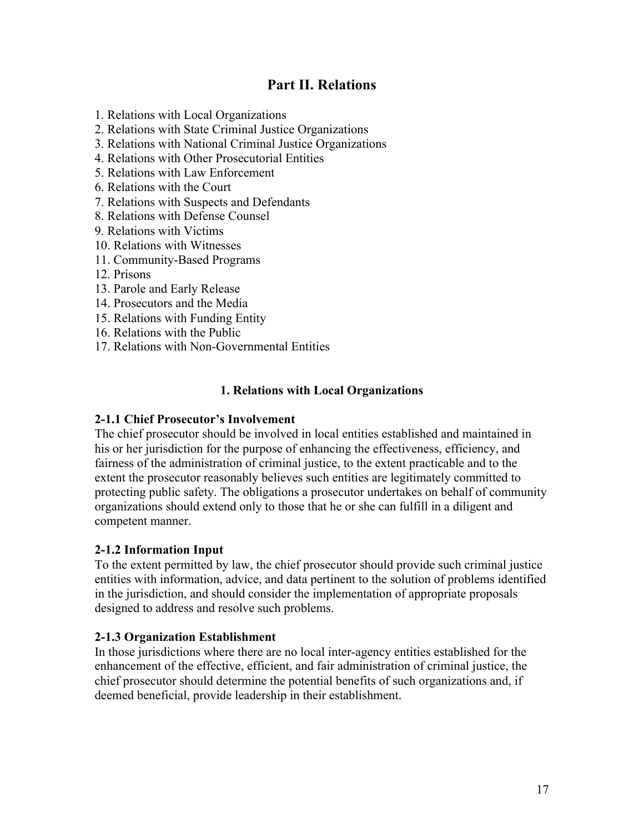# **Part II. Relations**

- <span id="page-25-0"></span>1. Relations with Local Organizations
- 2. Relations with State Criminal Justice Organizations
- 3. Relations with National Criminal Justice Organizations
- 4. Relations with Other Prosecutorial Entities
- 5. Relations with Law Enforcement
- 6. Relations with the Court
- 7. Relations with Suspects and Defendants
- 8. Relations with Defense Counsel
- 9. Relations with Victims
- 10. Relations with Witnesses
- 11. Community-Based Programs
- 12. Prisons
- 13. Parole and Early Release
- 14. Prosecutors and the Media
- 15. Relations with Funding Entity
- 16. Relations with the Public
- 17. Relations with Non-Governmental Entities

#### **1. Relations with Local Organizations**

#### **2-1.1 Chief Prosecutor's Involvement**

The chief prosecutor should be involved in local entities established and maintained in his or her jurisdiction for the purpose of enhancing the effectiveness, efficiency, and fairness of the administration of criminal justice, to the extent practicable and to the extent the prosecutor reasonably believes such entities are legitimately committed to protecting public safety. The obligations a prosecutor undertakes on behalf of community organizations should extend only to those that he or she can fulfill in a diligent and competent manner.

#### **2-1.2 Information Input**

To the extent permitted by law, the chief prosecutor should provide such criminal justice entities with information, advice, and data pertinent to the solution of problems identified in the jurisdiction, and should consider the implementation of appropriate proposals designed to address and resolve such problems.

#### **2-1.3 Organization Establishment**

In those jurisdictions where there are no local inter-agency entities established for the enhancement of the effective, efficient, and fair administration of criminal justice, the chief prosecutor should determine the potential benefits of such organizations and, if deemed beneficial, provide leadership in their establishment.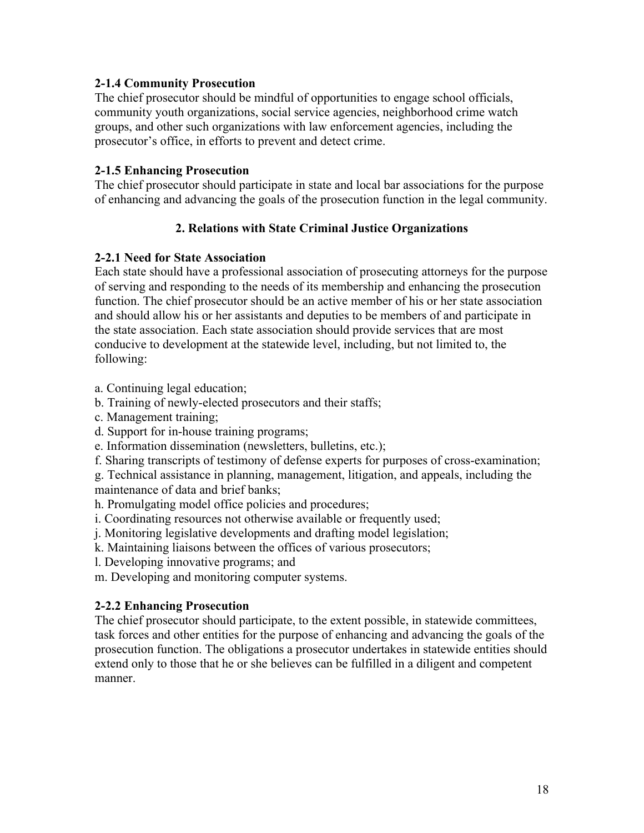# <span id="page-26-0"></span>**2-1.4 Community Prosecution**

The chief prosecutor should be mindful of opportunities to engage school officials, community youth organizations, social service agencies, neighborhood crime watch groups, and other such organizations with law enforcement agencies, including the prosecutor's office, in efforts to prevent and detect crime.

# **2-1.5 Enhancing Prosecution**

The chief prosecutor should participate in state and local bar associations for the purpose of enhancing and advancing the goals of the prosecution function in the legal community.

# **2. Relations with State Criminal Justice Organizations**

# **2-2.1 Need for State Association**

Each state should have a professional association of prosecuting attorneys for the purpose of serving and responding to the needs of its membership and enhancing the prosecution function. The chief prosecutor should be an active member of his or her state association and should allow his or her assistants and deputies to be members of and participate in the state association. Each state association should provide services that are most conducive to development at the statewide level, including, but not limited to, the following:

a. Continuing legal education;

- b. Training of newly-elected prosecutors and their staffs;
- c. Management training;
- d. Support for in-house training programs;
- e. Information dissemination (newsletters, bulletins, etc.);
- f. Sharing transcripts of testimony of defense experts for purposes of cross-examination;

g. Technical assistance in planning, management, litigation, and appeals, including the maintenance of data and brief banks;

h. Promulgating model office policies and procedures;

- i. Coordinating resources not otherwise available or frequently used;
- j. Monitoring legislative developments and drafting model legislation;
- k. Maintaining liaisons between the offices of various prosecutors;
- l. Developing innovative programs; and

m. Developing and monitoring computer systems.

# **2-2.2 Enhancing Prosecution**

The chief prosecutor should participate, to the extent possible, in statewide committees, task forces and other entities for the purpose of enhancing and advancing the goals of the prosecution function. The obligations a prosecutor undertakes in statewide entities should extend only to those that he or she believes can be fulfilled in a diligent and competent manner.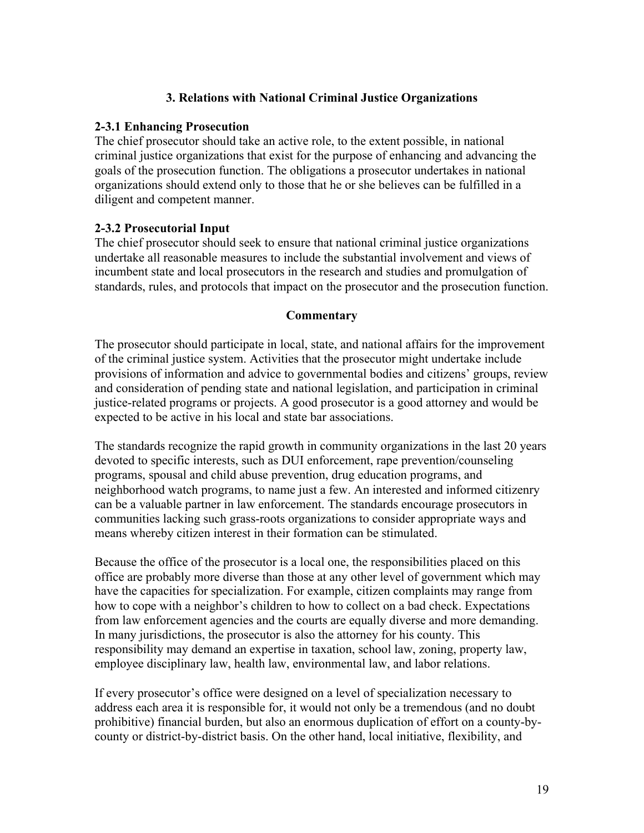# **3. Relations with National Criminal Justice Organizations**

## <span id="page-27-0"></span>**2-3.1 Enhancing Prosecution**

The chief prosecutor should take an active role, to the extent possible, in national criminal justice organizations that exist for the purpose of enhancing and advancing the goals of the prosecution function. The obligations a prosecutor undertakes in national organizations should extend only to those that he or she believes can be fulfilled in a diligent and competent manner.

# **2-3.2 Prosecutorial Input**

The chief prosecutor should seek to ensure that national criminal justice organizations undertake all reasonable measures to include the substantial involvement and views of incumbent state and local prosecutors in the research and studies and promulgation of standards, rules, and protocols that impact on the prosecutor and the prosecution function.

#### **Commentary**

The prosecutor should participate in local, state, and national affairs for the improvement of the criminal justice system. Activities that the prosecutor might undertake include provisions of information and advice to governmental bodies and citizens' groups, review and consideration of pending state and national legislation, and participation in criminal justice-related programs or projects. A good prosecutor is a good attorney and would be expected to be active in his local and state bar associations.

The standards recognize the rapid growth in community organizations in the last 20 years devoted to specific interests, such as DUI enforcement, rape prevention/counseling programs, spousal and child abuse prevention, drug education programs, and neighborhood watch programs, to name just a few. An interested and informed citizenry can be a valuable partner in law enforcement. The standards encourage prosecutors in communities lacking such grass-roots organizations to consider appropriate ways and means whereby citizen interest in their formation can be stimulated.

Because the office of the prosecutor is a local one, the responsibilities placed on this office are probably more diverse than those at any other level of government which may have the capacities for specialization. For example, citizen complaints may range from how to cope with a neighbor's children to how to collect on a bad check. Expectations from law enforcement agencies and the courts are equally diverse and more demanding. In many jurisdictions, the prosecutor is also the attorney for his county. This responsibility may demand an expertise in taxation, school law, zoning, property law, employee disciplinary law, health law, environmental law, and labor relations.

If every prosecutor's office were designed on a level of specialization necessary to address each area it is responsible for, it would not only be a tremendous (and no doubt prohibitive) financial burden, but also an enormous duplication of effort on a county-bycounty or district-by-district basis. On the other hand, local initiative, flexibility, and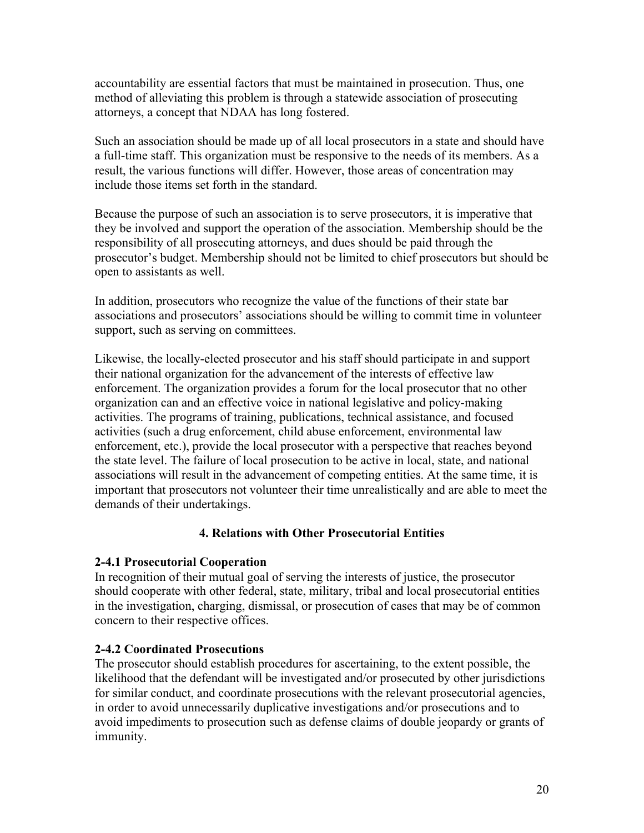<span id="page-28-0"></span>accountability are essential factors that must be maintained in prosecution. Thus, one method of alleviating this problem is through a statewide association of prosecuting attorneys, a concept that NDAA has long fostered.

Such an association should be made up of all local prosecutors in a state and should have a full-time staff. This organization must be responsive to the needs of its members. As a result, the various functions will differ. However, those areas of concentration may include those items set forth in the standard.

Because the purpose of such an association is to serve prosecutors, it is imperative that they be involved and support the operation of the association. Membership should be the responsibility of all prosecuting attorneys, and dues should be paid through the prosecutor's budget. Membership should not be limited to chief prosecutors but should be open to assistants as well.

In addition, prosecutors who recognize the value of the functions of their state bar associations and prosecutors' associations should be willing to commit time in volunteer support, such as serving on committees.

Likewise, the locally-elected prosecutor and his staff should participate in and support their national organization for the advancement of the interests of effective law enforcement. The organization provides a forum for the local prosecutor that no other organization can and an effective voice in national legislative and policy-making activities. The programs of training, publications, technical assistance, and focused activities (such a drug enforcement, child abuse enforcement, environmental law enforcement, etc.), provide the local prosecutor with a perspective that reaches beyond the state level. The failure of local prosecution to be active in local, state, and national associations will result in the advancement of competing entities. At the same time, it is important that prosecutors not volunteer their time unrealistically and are able to meet the demands of their undertakings.

# **4. Relations with Other Prosecutorial Entities**

# **2-4.1 Prosecutorial Cooperation**

In recognition of their mutual goal of serving the interests of justice, the prosecutor should cooperate with other federal, state, military, tribal and local prosecutorial entities in the investigation, charging, dismissal, or prosecution of cases that may be of common concern to their respective offices.

# **2-4.2 Coordinated Prosecutions**

The prosecutor should establish procedures for ascertaining, to the extent possible, the likelihood that the defendant will be investigated and/or prosecuted by other jurisdictions for similar conduct, and coordinate prosecutions with the relevant prosecutorial agencies, in order to avoid unnecessarily duplicative investigations and/or prosecutions and to avoid impediments to prosecution such as defense claims of double jeopardy or grants of immunity.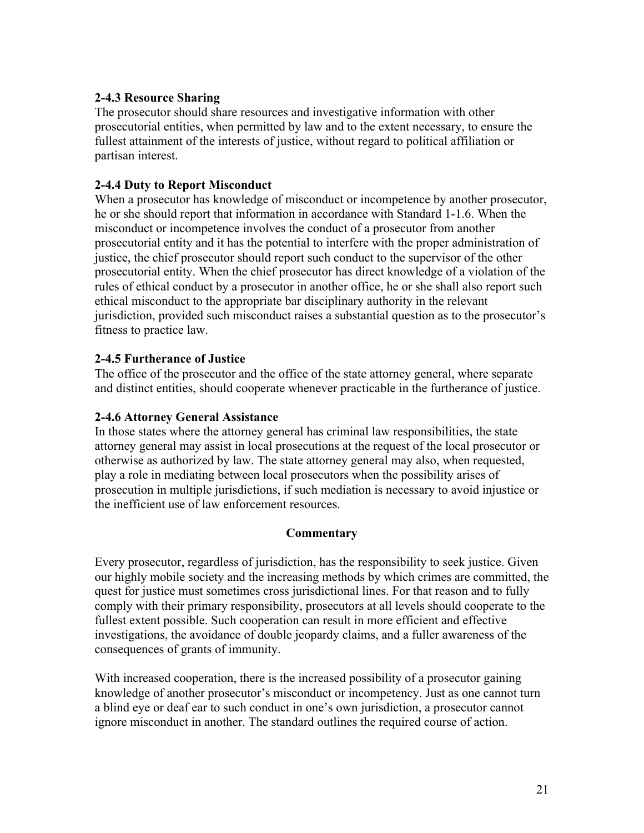# <span id="page-29-0"></span>**2-4.3 Resource Sharing**

The prosecutor should share resources and investigative information with other prosecutorial entities, when permitted by law and to the extent necessary, to ensure the fullest attainment of the interests of justice, without regard to political affiliation or partisan interest.

# **2-4.4 Duty to Report Misconduct**

When a prosecutor has knowledge of misconduct or incompetence by another prosecutor, he or she should report that information in accordance with Standard 1-1.6. When the misconduct or incompetence involves the conduct of a prosecutor from another prosecutorial entity and it has the potential to interfere with the proper administration of justice, the chief prosecutor should report such conduct to the supervisor of the other prosecutorial entity. When the chief prosecutor has direct knowledge of a violation of the rules of ethical conduct by a prosecutor in another office, he or she shall also report such ethical misconduct to the appropriate bar disciplinary authority in the relevant jurisdiction, provided such misconduct raises a substantial question as to the prosecutor's fitness to practice law.

# **2-4.5 Furtherance of Justice**

The office of the prosecutor and the office of the state attorney general, where separate and distinct entities, should cooperate whenever practicable in the furtherance of justice.

## **2-4.6 Attorney General Assistance**

In those states where the attorney general has criminal law responsibilities, the state attorney general may assist in local prosecutions at the request of the local prosecutor or otherwise as authorized by law. The state attorney general may also, when requested, play a role in mediating between local prosecutors when the possibility arises of prosecution in multiple jurisdictions, if such mediation is necessary to avoid injustice or the inefficient use of law enforcement resources.

#### **Commentary**

Every prosecutor, regardless of jurisdiction, has the responsibility to seek justice. Given our highly mobile society and the increasing methods by which crimes are committed, the quest for justice must sometimes cross jurisdictional lines. For that reason and to fully comply with their primary responsibility, prosecutors at all levels should cooperate to the fullest extent possible. Such cooperation can result in more efficient and effective investigations, the avoidance of double jeopardy claims, and a fuller awareness of the consequences of grants of immunity.

With increased cooperation, there is the increased possibility of a prosecutor gaining knowledge of another prosecutor's misconduct or incompetency. Just as one cannot turn a blind eye or deaf ear to such conduct in one's own jurisdiction, a prosecutor cannot ignore misconduct in another. The standard outlines the required course of action.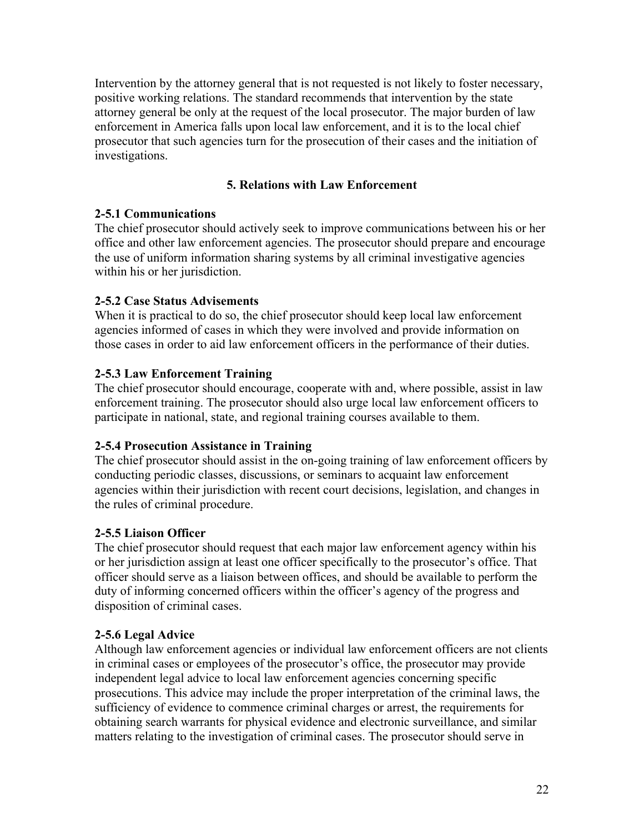<span id="page-30-0"></span>Intervention by the attorney general that is not requested is not likely to foster necessary, positive working relations. The standard recommends that intervention by the state attorney general be only at the request of the local prosecutor. The major burden of law enforcement in America falls upon local law enforcement, and it is to the local chief prosecutor that such agencies turn for the prosecution of their cases and the initiation of investigations.

# **5. Relations with Law Enforcement**

# **2-5.1 Communications**

The chief prosecutor should actively seek to improve communications between his or her office and other law enforcement agencies. The prosecutor should prepare and encourage the use of uniform information sharing systems by all criminal investigative agencies within his or her jurisdiction.

# **2-5.2 Case Status Advisements**

When it is practical to do so, the chief prosecutor should keep local law enforcement agencies informed of cases in which they were involved and provide information on those cases in order to aid law enforcement officers in the performance of their duties.

# **2-5.3 Law Enforcement Training**

The chief prosecutor should encourage, cooperate with and, where possible, assist in law enforcement training. The prosecutor should also urge local law enforcement officers to participate in national, state, and regional training courses available to them.

#### **2-5.4 Prosecution Assistance in Training**

The chief prosecutor should assist in the on-going training of law enforcement officers by conducting periodic classes, discussions, or seminars to acquaint law enforcement agencies within their jurisdiction with recent court decisions, legislation, and changes in the rules of criminal procedure.

# **2-5.5 Liaison Officer**

The chief prosecutor should request that each major law enforcement agency within his or her jurisdiction assign at least one officer specifically to the prosecutor's office. That officer should serve as a liaison between offices, and should be available to perform the duty of informing concerned officers within the officer's agency of the progress and disposition of criminal cases.

#### **2-5.6 Legal Advice**

Although law enforcement agencies or individual law enforcement officers are not clients in criminal cases or employees of the prosecutor's office, the prosecutor may provide independent legal advice to local law enforcement agencies concerning specific prosecutions. This advice may include the proper interpretation of the criminal laws, the sufficiency of evidence to commence criminal charges or arrest, the requirements for obtaining search warrants for physical evidence and electronic surveillance, and similar matters relating to the investigation of criminal cases. The prosecutor should serve in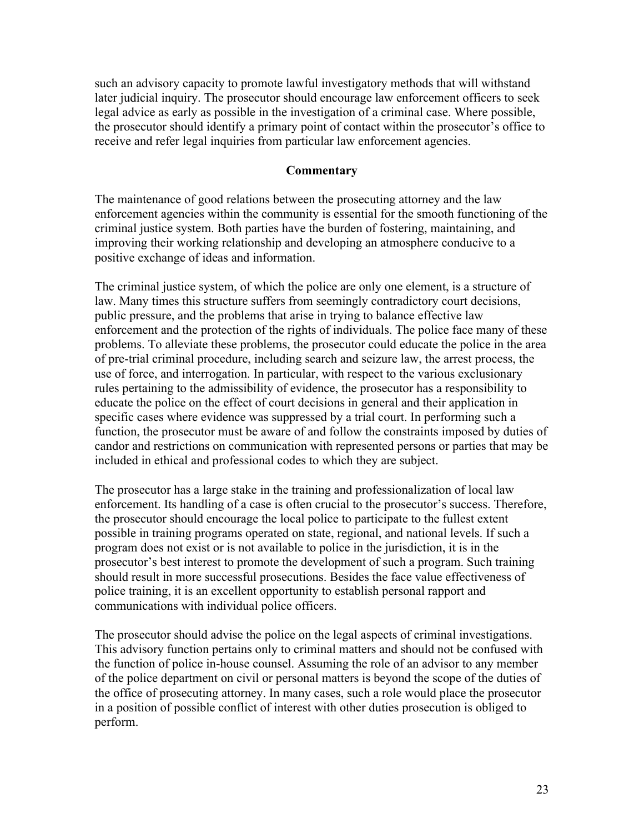such an advisory capacity to promote lawful investigatory methods that will withstand later judicial inquiry. The prosecutor should encourage law enforcement officers to seek legal advice as early as possible in the investigation of a criminal case. Where possible, the prosecutor should identify a primary point of contact within the prosecutor's office to receive and refer legal inquiries from particular law enforcement agencies.

#### **Commentary**

The maintenance of good relations between the prosecuting attorney and the law enforcement agencies within the community is essential for the smooth functioning of the criminal justice system. Both parties have the burden of fostering, maintaining, and improving their working relationship and developing an atmosphere conducive to a positive exchange of ideas and information.

The criminal justice system, of which the police are only one element, is a structure of law. Many times this structure suffers from seemingly contradictory court decisions, public pressure, and the problems that arise in trying to balance effective law enforcement and the protection of the rights of individuals. The police face many of these problems. To alleviate these problems, the prosecutor could educate the police in the area of pre-trial criminal procedure, including search and seizure law, the arrest process, the use of force, and interrogation. In particular, with respect to the various exclusionary rules pertaining to the admissibility of evidence, the prosecutor has a responsibility to educate the police on the effect of court decisions in general and their application in specific cases where evidence was suppressed by a trial court. In performing such a function, the prosecutor must be aware of and follow the constraints imposed by duties of candor and restrictions on communication with represented persons or parties that may be included in ethical and professional codes to which they are subject.

The prosecutor has a large stake in the training and professionalization of local law enforcement. Its handling of a case is often crucial to the prosecutor's success. Therefore, the prosecutor should encourage the local police to participate to the fullest extent possible in training programs operated on state, regional, and national levels. If such a program does not exist or is not available to police in the jurisdiction, it is in the prosecutor's best interest to promote the development of such a program. Such training should result in more successful prosecutions. Besides the face value effectiveness of police training, it is an excellent opportunity to establish personal rapport and communications with individual police officers.

The prosecutor should advise the police on the legal aspects of criminal investigations. This advisory function pertains only to criminal matters and should not be confused with the function of police in-house counsel. Assuming the role of an advisor to any member of the police department on civil or personal matters is beyond the scope of the duties of the office of prosecuting attorney. In many cases, such a role would place the prosecutor in a position of possible conflict of interest with other duties prosecution is obliged to perform.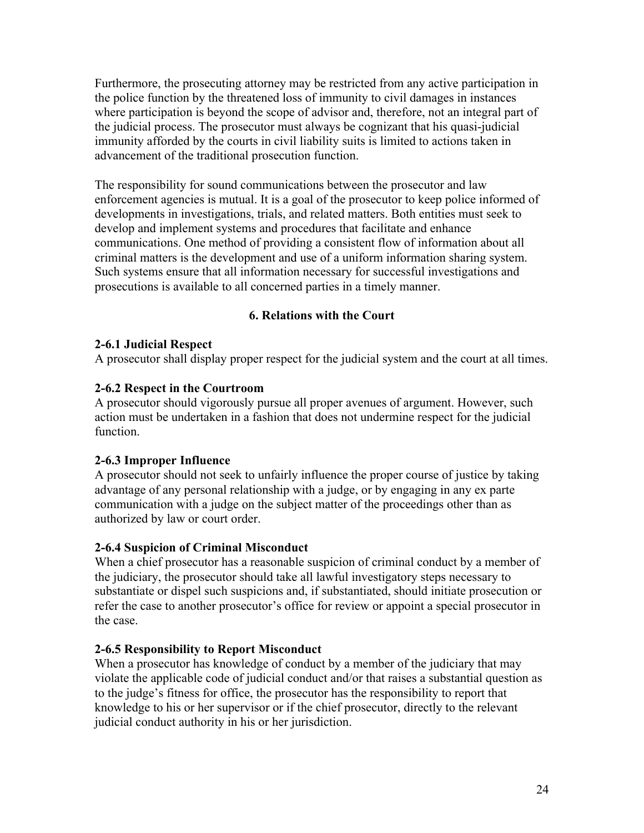<span id="page-32-0"></span>Furthermore, the prosecuting attorney may be restricted from any active participation in the police function by the threatened loss of immunity to civil damages in instances where participation is beyond the scope of advisor and, therefore, not an integral part of the judicial process. The prosecutor must always be cognizant that his quasi-judicial immunity afforded by the courts in civil liability suits is limited to actions taken in advancement of the traditional prosecution function.

The responsibility for sound communications between the prosecutor and law enforcement agencies is mutual. It is a goal of the prosecutor to keep police informed of developments in investigations, trials, and related matters. Both entities must seek to develop and implement systems and procedures that facilitate and enhance communications. One method of providing a consistent flow of information about all criminal matters is the development and use of a uniform information sharing system. Such systems ensure that all information necessary for successful investigations and prosecutions is available to all concerned parties in a timely manner.

# **6. Relations with the Court**

# **2-6.1 Judicial Respect**

A prosecutor shall display proper respect for the judicial system and the court at all times.

# **2-6.2 Respect in the Courtroom**

A prosecutor should vigorously pursue all proper avenues of argument. However, such action must be undertaken in a fashion that does not undermine respect for the judicial function.

# **2-6.3 Improper Influence**

A prosecutor should not seek to unfairly influence the proper course of justice by taking advantage of any personal relationship with a judge, or by engaging in any ex parte communication with a judge on the subject matter of the proceedings other than as authorized by law or court order.

# **2-6.4 Suspicion of Criminal Misconduct**

When a chief prosecutor has a reasonable suspicion of criminal conduct by a member of the judiciary, the prosecutor should take all lawful investigatory steps necessary to substantiate or dispel such suspicions and, if substantiated, should initiate prosecution or refer the case to another prosecutor's office for review or appoint a special prosecutor in the case.

# **2-6.5 Responsibility to Report Misconduct**

When a prosecutor has knowledge of conduct by a member of the judiciary that may violate the applicable code of judicial conduct and/or that raises a substantial question as to the judge's fitness for office, the prosecutor has the responsibility to report that knowledge to his or her supervisor or if the chief prosecutor, directly to the relevant judicial conduct authority in his or her jurisdiction.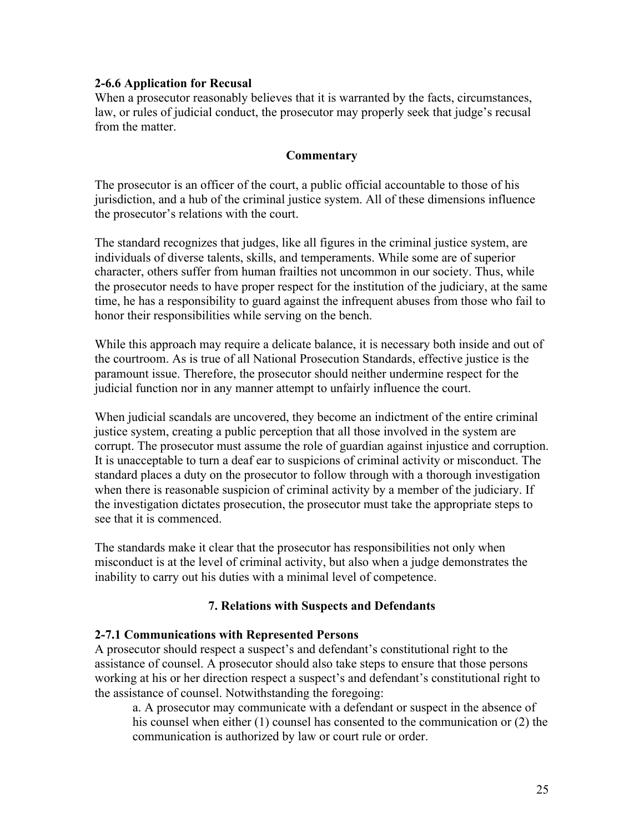## <span id="page-33-0"></span>**2-6.6 Application for Recusal**

When a prosecutor reasonably believes that it is warranted by the facts, circumstances, law, or rules of judicial conduct, the prosecutor may properly seek that judge's recusal from the matter.

## **Commentary**

The prosecutor is an officer of the court, a public official accountable to those of his jurisdiction, and a hub of the criminal justice system. All of these dimensions influence the prosecutor's relations with the court.

The standard recognizes that judges, like all figures in the criminal justice system, are individuals of diverse talents, skills, and temperaments. While some are of superior character, others suffer from human frailties not uncommon in our society. Thus, while the prosecutor needs to have proper respect for the institution of the judiciary, at the same time, he has a responsibility to guard against the infrequent abuses from those who fail to honor their responsibilities while serving on the bench.

While this approach may require a delicate balance, it is necessary both inside and out of the courtroom. As is true of all National Prosecution Standards, effective justice is the paramount issue. Therefore, the prosecutor should neither undermine respect for the judicial function nor in any manner attempt to unfairly influence the court.

When judicial scandals are uncovered, they become an indictment of the entire criminal justice system, creating a public perception that all those involved in the system are corrupt. The prosecutor must assume the role of guardian against injustice and corruption. It is unacceptable to turn a deaf ear to suspicions of criminal activity or misconduct. The standard places a duty on the prosecutor to follow through with a thorough investigation when there is reasonable suspicion of criminal activity by a member of the judiciary. If the investigation dictates prosecution, the prosecutor must take the appropriate steps to see that it is commenced.

The standards make it clear that the prosecutor has responsibilities not only when misconduct is at the level of criminal activity, but also when a judge demonstrates the inability to carry out his duties with a minimal level of competence.

# **7. Relations with Suspects and Defendants**

#### **2-7.1 Communications with Represented Persons**

A prosecutor should respect a suspect's and defendant's constitutional right to the assistance of counsel. A prosecutor should also take steps to ensure that those persons working at his or her direction respect a suspect's and defendant's constitutional right to the assistance of counsel. Notwithstanding the foregoing:

a. A prosecutor may communicate with a defendant or suspect in the absence of his counsel when either (1) counsel has consented to the communication or (2) the communication is authorized by law or court rule or order.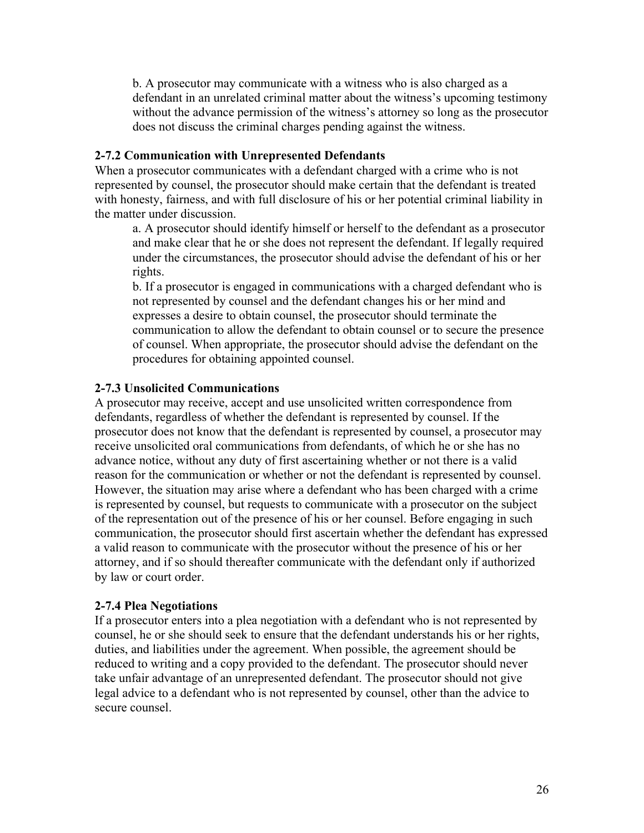<span id="page-34-0"></span>b. A prosecutor may communicate with a witness who is also charged as a defendant in an unrelated criminal matter about the witness's upcoming testimony without the advance permission of the witness's attorney so long as the prosecutor does not discuss the criminal charges pending against the witness.

## **2-7.2 Communication with Unrepresented Defendants**

When a prosecutor communicates with a defendant charged with a crime who is not represented by counsel, the prosecutor should make certain that the defendant is treated with honesty, fairness, and with full disclosure of his or her potential criminal liability in the matter under discussion.

a. A prosecutor should identify himself or herself to the defendant as a prosecutor and make clear that he or she does not represent the defendant. If legally required under the circumstances, the prosecutor should advise the defendant of his or her rights.

b. If a prosecutor is engaged in communications with a charged defendant who is not represented by counsel and the defendant changes his or her mind and expresses a desire to obtain counsel, the prosecutor should terminate the communication to allow the defendant to obtain counsel or to secure the presence of counsel. When appropriate, the prosecutor should advise the defendant on the procedures for obtaining appointed counsel.

# **2-7.3 Unsolicited Communications**

A prosecutor may receive, accept and use unsolicited written correspondence from defendants, regardless of whether the defendant is represented by counsel. If the prosecutor does not know that the defendant is represented by counsel, a prosecutor may receive unsolicited oral communications from defendants, of which he or she has no advance notice, without any duty of first ascertaining whether or not there is a valid reason for the communication or whether or not the defendant is represented by counsel. However, the situation may arise where a defendant who has been charged with a crime is represented by counsel, but requests to communicate with a prosecutor on the subject of the representation out of the presence of his or her counsel. Before engaging in such communication, the prosecutor should first ascertain whether the defendant has expressed a valid reason to communicate with the prosecutor without the presence of his or her attorney, and if so should thereafter communicate with the defendant only if authorized by law or court order.

# **2-7.4 Plea Negotiations**

If a prosecutor enters into a plea negotiation with a defendant who is not represented by counsel, he or she should seek to ensure that the defendant understands his or her rights, duties, and liabilities under the agreement. When possible, the agreement should be reduced to writing and a copy provided to the defendant. The prosecutor should never take unfair advantage of an unrepresented defendant. The prosecutor should not give legal advice to a defendant who is not represented by counsel, other than the advice to secure counsel.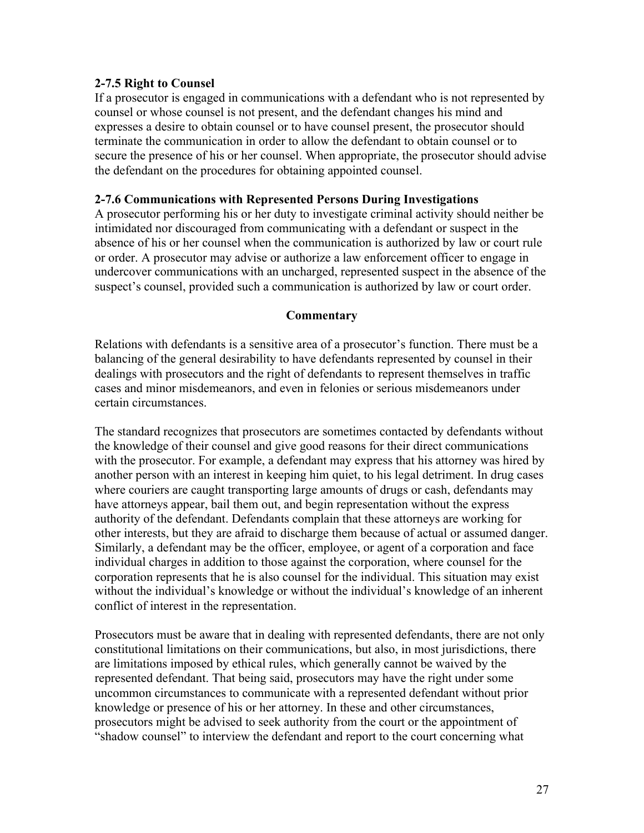# <span id="page-35-0"></span>**2-7.5 Right to Counsel**

If a prosecutor is engaged in communications with a defendant who is not represented by counsel or whose counsel is not present, and the defendant changes his mind and expresses a desire to obtain counsel or to have counsel present, the prosecutor should terminate the communication in order to allow the defendant to obtain counsel or to secure the presence of his or her counsel. When appropriate, the prosecutor should advise the defendant on the procedures for obtaining appointed counsel.

#### **2-7.6 Communications with Represented Persons During Investigations**

A prosecutor performing his or her duty to investigate criminal activity should neither be intimidated nor discouraged from communicating with a defendant or suspect in the absence of his or her counsel when the communication is authorized by law or court rule or order. A prosecutor may advise or authorize a law enforcement officer to engage in undercover communications with an uncharged, represented suspect in the absence of the suspect's counsel, provided such a communication is authorized by law or court order.

#### **Commentary**

Relations with defendants is a sensitive area of a prosecutor's function. There must be a balancing of the general desirability to have defendants represented by counsel in their dealings with prosecutors and the right of defendants to represent themselves in traffic cases and minor misdemeanors, and even in felonies or serious misdemeanors under certain circumstances.

The standard recognizes that prosecutors are sometimes contacted by defendants without the knowledge of their counsel and give good reasons for their direct communications with the prosecutor. For example, a defendant may express that his attorney was hired by another person with an interest in keeping him quiet, to his legal detriment. In drug cases where couriers are caught transporting large amounts of drugs or cash, defendants may have attorneys appear, bail them out, and begin representation without the express authority of the defendant. Defendants complain that these attorneys are working for other interests, but they are afraid to discharge them because of actual or assumed danger. Similarly, a defendant may be the officer, employee, or agent of a corporation and face individual charges in addition to those against the corporation, where counsel for the corporation represents that he is also counsel for the individual. This situation may exist without the individual's knowledge or without the individual's knowledge of an inherent conflict of interest in the representation.

Prosecutors must be aware that in dealing with represented defendants, there are not only constitutional limitations on their communications, but also, in most jurisdictions, there are limitations imposed by ethical rules, which generally cannot be waived by the represented defendant. That being said, prosecutors may have the right under some uncommon circumstances to communicate with a represented defendant without prior knowledge or presence of his or her attorney. In these and other circumstances, prosecutors might be advised to seek authority from the court or the appointment of "shadow counsel" to interview the defendant and report to the court concerning what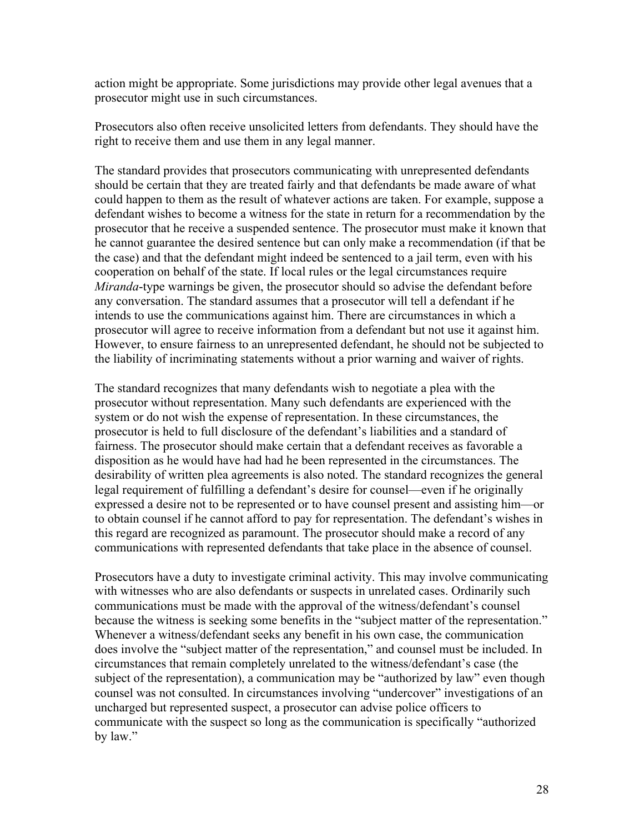action might be appropriate. Some jurisdictions may provide other legal avenues that a prosecutor might use in such circumstances.

Prosecutors also often receive unsolicited letters from defendants. They should have the right to receive them and use them in any legal manner.

The standard provides that prosecutors communicating with unrepresented defendants should be certain that they are treated fairly and that defendants be made aware of what could happen to them as the result of whatever actions are taken. For example, suppose a defendant wishes to become a witness for the state in return for a recommendation by the prosecutor that he receive a suspended sentence. The prosecutor must make it known that he cannot guarantee the desired sentence but can only make a recommendation (if that be the case) and that the defendant might indeed be sentenced to a jail term, even with his cooperation on behalf of the state. If local rules or the legal circumstances require *Miranda*-type warnings be given, the prosecutor should so advise the defendant before any conversation. The standard assumes that a prosecutor will tell a defendant if he intends to use the communications against him. There are circumstances in which a prosecutor will agree to receive information from a defendant but not use it against him. However, to ensure fairness to an unrepresented defendant, he should not be subjected to the liability of incriminating statements without a prior warning and waiver of rights.

The standard recognizes that many defendants wish to negotiate a plea with the prosecutor without representation. Many such defendants are experienced with the system or do not wish the expense of representation. In these circumstances, the prosecutor is held to full disclosure of the defendant's liabilities and a standard of fairness. The prosecutor should make certain that a defendant receives as favorable a disposition as he would have had had he been represented in the circumstances. The desirability of written plea agreements is also noted. The standard recognizes the general legal requirement of fulfilling a defendant's desire for counsel—even if he originally expressed a desire not to be represented or to have counsel present and assisting him—or to obtain counsel if he cannot afford to pay for representation. The defendant's wishes in this regard are recognized as paramount. The prosecutor should make a record of any communications with represented defendants that take place in the absence of counsel.

Prosecutors have a duty to investigate criminal activity. This may involve communicating with witnesses who are also defendants or suspects in unrelated cases. Ordinarily such communications must be made with the approval of the witness/defendant's counsel because the witness is seeking some benefits in the "subject matter of the representation." Whenever a witness/defendant seeks any benefit in his own case, the communication does involve the "subject matter of the representation," and counsel must be included. In circumstances that remain completely unrelated to the witness/defendant's case (the subject of the representation), a communication may be "authorized by law" even though counsel was not consulted. In circumstances involving "undercover" investigations of an uncharged but represented suspect, a prosecutor can advise police officers to communicate with the suspect so long as the communication is specifically "authorized by law."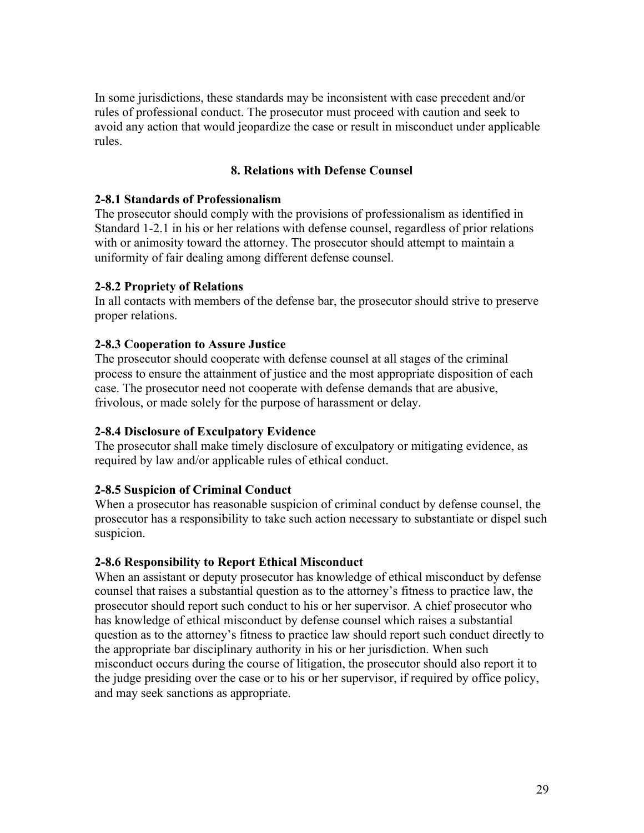In some jurisdictions, these standards may be inconsistent with case precedent and/or rules of professional conduct. The prosecutor must proceed with caution and seek to avoid any action that would jeopardize the case or result in misconduct under applicable rules.

# **8. Relations with Defense Counsel**

### **2-8.1 Standards of Professionalism**

The prosecutor should comply with the provisions of professionalism as identified in Standard 1-2.1 in his or her relations with defense counsel, regardless of prior relations with or animosity toward the attorney. The prosecutor should attempt to maintain a uniformity of fair dealing among different defense counsel.

# **2-8.2 Propriety of Relations**

In all contacts with members of the defense bar, the prosecutor should strive to preserve proper relations.

### **2-8.3 Cooperation to Assure Justice**

The prosecutor should cooperate with defense counsel at all stages of the criminal process to ensure the attainment of justice and the most appropriate disposition of each case. The prosecutor need not cooperate with defense demands that are abusive, frivolous, or made solely for the purpose of harassment or delay.

# **2-8.4 Disclosure of Exculpatory Evidence**

The prosecutor shall make timely disclosure of exculpatory or mitigating evidence, as required by law and/or applicable rules of ethical conduct.

# **2-8.5 Suspicion of Criminal Conduct**

When a prosecutor has reasonable suspicion of criminal conduct by defense counsel, the prosecutor has a responsibility to take such action necessary to substantiate or dispel such suspicion.

# **2-8.6 Responsibility to Report Ethical Misconduct**

When an assistant or deputy prosecutor has knowledge of ethical misconduct by defense counsel that raises a substantial question as to the attorney's fitness to practice law, the prosecutor should report such conduct to his or her supervisor. A chief prosecutor who has knowledge of ethical misconduct by defense counsel which raises a substantial question as to the attorney's fitness to practice law should report such conduct directly to the appropriate bar disciplinary authority in his or her jurisdiction. When such misconduct occurs during the course of litigation, the prosecutor should also report it to the judge presiding over the case or to his or her supervisor, if required by office policy, and may seek sanctions as appropriate.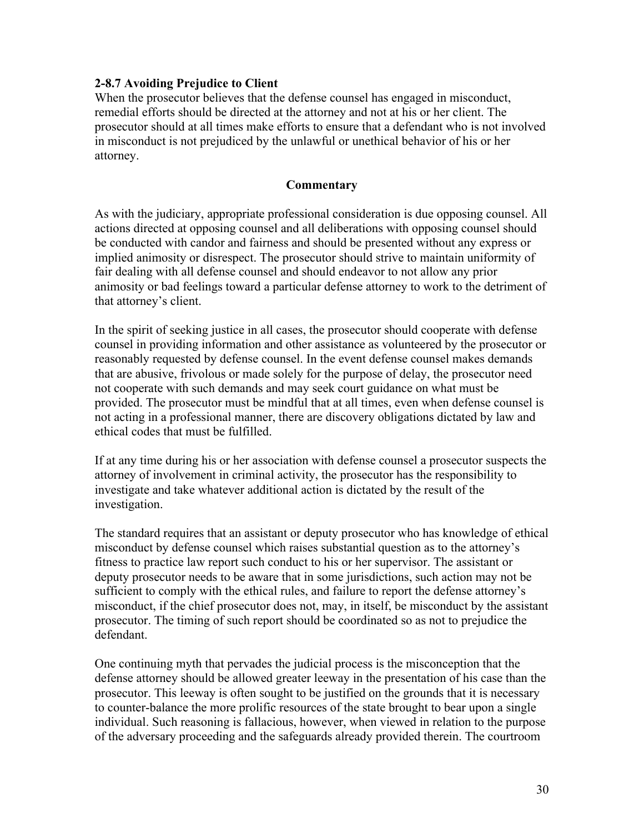### **2-8.7 Avoiding Prejudice to Client**

When the prosecutor believes that the defense counsel has engaged in misconduct, remedial efforts should be directed at the attorney and not at his or her client. The prosecutor should at all times make efforts to ensure that a defendant who is not involved in misconduct is not prejudiced by the unlawful or unethical behavior of his or her attorney.

### **Commentary**

As with the judiciary, appropriate professional consideration is due opposing counsel. All actions directed at opposing counsel and all deliberations with opposing counsel should be conducted with candor and fairness and should be presented without any express or implied animosity or disrespect. The prosecutor should strive to maintain uniformity of fair dealing with all defense counsel and should endeavor to not allow any prior animosity or bad feelings toward a particular defense attorney to work to the detriment of that attorney's client.

In the spirit of seeking justice in all cases, the prosecutor should cooperate with defense counsel in providing information and other assistance as volunteered by the prosecutor or reasonably requested by defense counsel. In the event defense counsel makes demands that are abusive, frivolous or made solely for the purpose of delay, the prosecutor need not cooperate with such demands and may seek court guidance on what must be provided. The prosecutor must be mindful that at all times, even when defense counsel is not acting in a professional manner, there are discovery obligations dictated by law and ethical codes that must be fulfilled.

If at any time during his or her association with defense counsel a prosecutor suspects the attorney of involvement in criminal activity, the prosecutor has the responsibility to investigate and take whatever additional action is dictated by the result of the investigation.

The standard requires that an assistant or deputy prosecutor who has knowledge of ethical misconduct by defense counsel which raises substantial question as to the attorney's fitness to practice law report such conduct to his or her supervisor. The assistant or deputy prosecutor needs to be aware that in some jurisdictions, such action may not be sufficient to comply with the ethical rules, and failure to report the defense attorney's misconduct, if the chief prosecutor does not, may, in itself, be misconduct by the assistant prosecutor. The timing of such report should be coordinated so as not to prejudice the defendant.

One continuing myth that pervades the judicial process is the misconception that the defense attorney should be allowed greater leeway in the presentation of his case than the prosecutor. This leeway is often sought to be justified on the grounds that it is necessary to counter-balance the more prolific resources of the state brought to bear upon a single individual. Such reasoning is fallacious, however, when viewed in relation to the purpose of the adversary proceeding and the safeguards already provided therein. The courtroom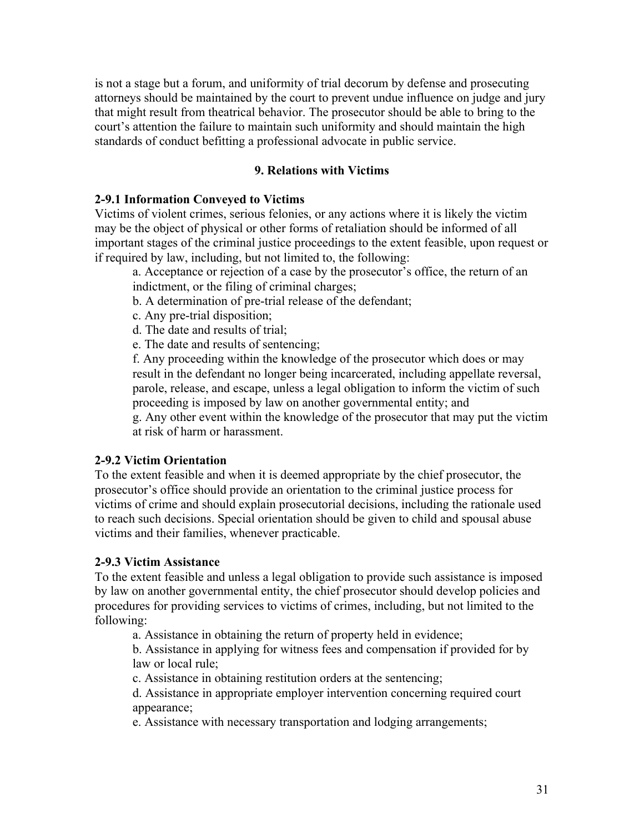is not a stage but a forum, and uniformity of trial decorum by defense and prosecuting attorneys should be maintained by the court to prevent undue influence on judge and jury that might result from theatrical behavior. The prosecutor should be able to bring to the court's attention the failure to maintain such uniformity and should maintain the high standards of conduct befitting a professional advocate in public service.

#### **9. Relations with Victims**

#### **2-9.1 Information Conveyed to Victims**

Victims of violent crimes, serious felonies, or any actions where it is likely the victim may be the object of physical or other forms of retaliation should be informed of all important stages of the criminal justice proceedings to the extent feasible, upon request or if required by law, including, but not limited to, the following:

a. Acceptance or rejection of a case by the prosecutor's office, the return of an indictment, or the filing of criminal charges;

- b. A determination of pre-trial release of the defendant;
- c. Any pre-trial disposition;
- d. The date and results of trial;

e. The date and results of sentencing;

f. Any proceeding within the knowledge of the prosecutor which does or may result in the defendant no longer being incarcerated, including appellate reversal, parole, release, and escape, unless a legal obligation to inform the victim of such proceeding is imposed by law on another governmental entity; and

g. Any other event within the knowledge of the prosecutor that may put the victim at risk of harm or harassment.

#### **2-9.2 Victim Orientation**

To the extent feasible and when it is deemed appropriate by the chief prosecutor, the prosecutor's office should provide an orientation to the criminal justice process for victims of crime and should explain prosecutorial decisions, including the rationale used to reach such decisions. Special orientation should be given to child and spousal abuse victims and their families, whenever practicable.

#### **2-9.3 Victim Assistance**

To the extent feasible and unless a legal obligation to provide such assistance is imposed by law on another governmental entity, the chief prosecutor should develop policies and procedures for providing services to victims of crimes, including, but not limited to the following:

a. Assistance in obtaining the return of property held in evidence;

b. Assistance in applying for witness fees and compensation if provided for by law or local rule;

c. Assistance in obtaining restitution orders at the sentencing;

d. Assistance in appropriate employer intervention concerning required court appearance;

e. Assistance with necessary transportation and lodging arrangements;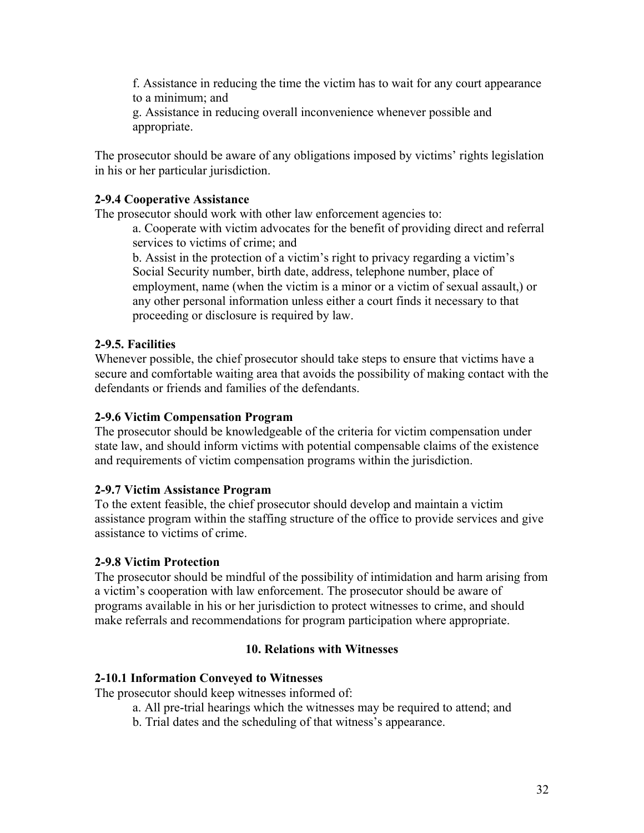f. Assistance in reducing the time the victim has to wait for any court appearance to a minimum; and

g. Assistance in reducing overall inconvenience whenever possible and appropriate.

The prosecutor should be aware of any obligations imposed by victims' rights legislation in his or her particular jurisdiction.

### **2-9.4 Cooperative Assistance**

The prosecutor should work with other law enforcement agencies to:

a. Cooperate with victim advocates for the benefit of providing direct and referral services to victims of crime; and

b. Assist in the protection of a victim's right to privacy regarding a victim's Social Security number, birth date, address, telephone number, place of employment, name (when the victim is a minor or a victim of sexual assault,) or any other personal information unless either a court finds it necessary to that proceeding or disclosure is required by law.

### **2-9.5. Facilities**

Whenever possible, the chief prosecutor should take steps to ensure that victims have a secure and comfortable waiting area that avoids the possibility of making contact with the defendants or friends and families of the defendants.

#### **2-9.6 Victim Compensation Program**

The prosecutor should be knowledgeable of the criteria for victim compensation under state law, and should inform victims with potential compensable claims of the existence and requirements of victim compensation programs within the jurisdiction.

#### **2-9.7 Victim Assistance Program**

To the extent feasible, the chief prosecutor should develop and maintain a victim assistance program within the staffing structure of the office to provide services and give assistance to victims of crime.

# **2-9.8 Victim Protection**

The prosecutor should be mindful of the possibility of intimidation and harm arising from a victim's cooperation with law enforcement. The prosecutor should be aware of programs available in his or her jurisdiction to protect witnesses to crime, and should make referrals and recommendations for program participation where appropriate.

### **10. Relations with Witnesses**

#### **2-10.1 Information Conveyed to Witnesses**

The prosecutor should keep witnesses informed of:

- a. All pre-trial hearings which the witnesses may be required to attend; and
- b. Trial dates and the scheduling of that witness's appearance.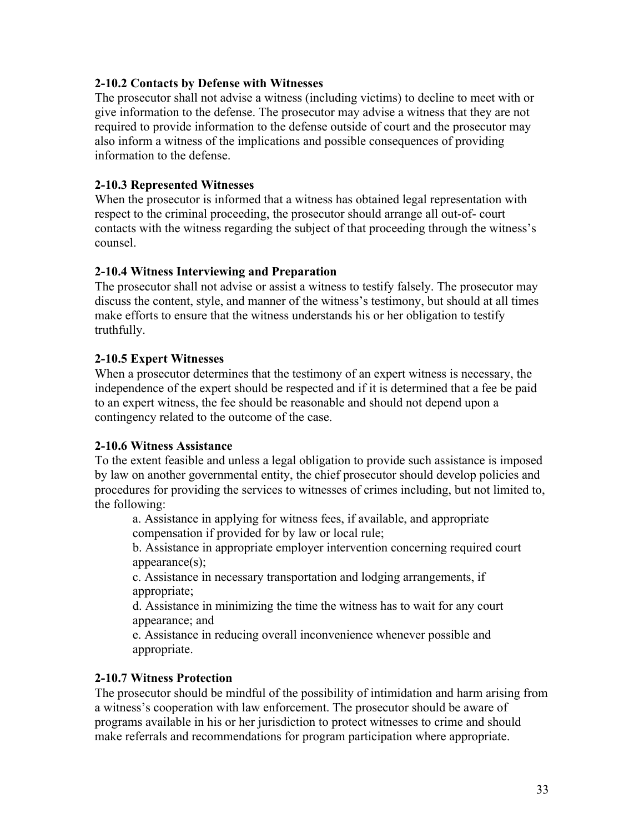### **2-10.2 Contacts by Defense with Witnesses**

The prosecutor shall not advise a witness (including victims) to decline to meet with or give information to the defense. The prosecutor may advise a witness that they are not required to provide information to the defense outside of court and the prosecutor may also inform a witness of the implications and possible consequences of providing information to the defense.

### **2-10.3 Represented Witnesses**

When the prosecutor is informed that a witness has obtained legal representation with respect to the criminal proceeding, the prosecutor should arrange all out-of- court contacts with the witness regarding the subject of that proceeding through the witness's counsel.

### **2-10.4 Witness Interviewing and Preparation**

The prosecutor shall not advise or assist a witness to testify falsely. The prosecutor may discuss the content, style, and manner of the witness's testimony, but should at all times make efforts to ensure that the witness understands his or her obligation to testify truthfully.

### **2-10.5 Expert Witnesses**

When a prosecutor determines that the testimony of an expert witness is necessary, the independence of the expert should be respected and if it is determined that a fee be paid to an expert witness, the fee should be reasonable and should not depend upon a contingency related to the outcome of the case.

#### **2-10.6 Witness Assistance**

To the extent feasible and unless a legal obligation to provide such assistance is imposed by law on another governmental entity, the chief prosecutor should develop policies and procedures for providing the services to witnesses of crimes including, but not limited to, the following:

a. Assistance in applying for witness fees, if available, and appropriate compensation if provided for by law or local rule;

b. Assistance in appropriate employer intervention concerning required court appearance(s);

c. Assistance in necessary transportation and lodging arrangements, if appropriate;

d. Assistance in minimizing the time the witness has to wait for any court appearance; and

e. Assistance in reducing overall inconvenience whenever possible and appropriate.

#### **2-10.7 Witness Protection**

The prosecutor should be mindful of the possibility of intimidation and harm arising from a witness's cooperation with law enforcement. The prosecutor should be aware of programs available in his or her jurisdiction to protect witnesses to crime and should make referrals and recommendations for program participation where appropriate.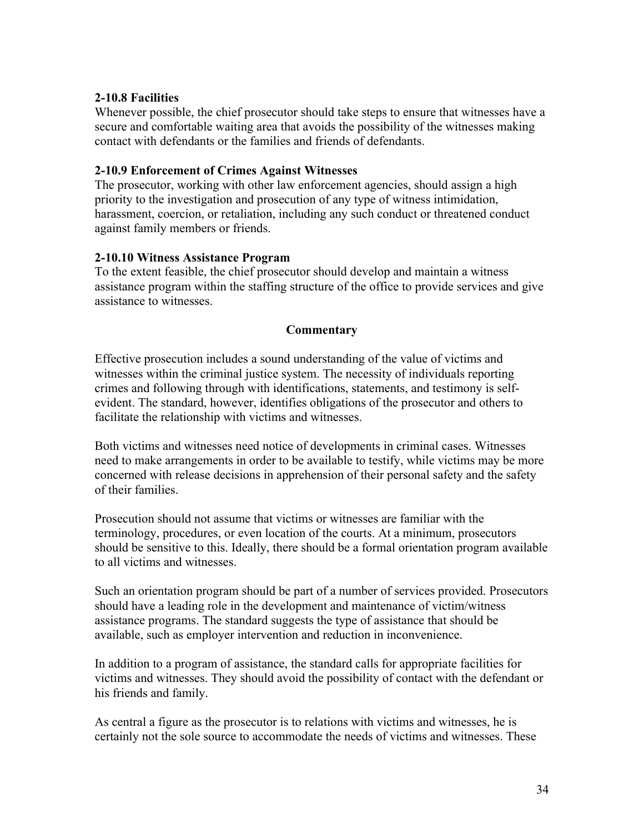### **2-10.8 Facilities**

Whenever possible, the chief prosecutor should take steps to ensure that witnesses have a secure and comfortable waiting area that avoids the possibility of the witnesses making contact with defendants or the families and friends of defendants.

### **2-10.9 Enforcement of Crimes Against Witnesses**

The prosecutor, working with other law enforcement agencies, should assign a high priority to the investigation and prosecution of any type of witness intimidation, harassment, coercion, or retaliation, including any such conduct or threatened conduct against family members or friends.

# **2-10.10 Witness Assistance Program**

To the extent feasible, the chief prosecutor should develop and maintain a witness assistance program within the staffing structure of the office to provide services and give assistance to witnesses.

### **Commentary**

Effective prosecution includes a sound understanding of the value of victims and witnesses within the criminal justice system. The necessity of individuals reporting crimes and following through with identifications, statements, and testimony is selfevident. The standard, however, identifies obligations of the prosecutor and others to facilitate the relationship with victims and witnesses.

Both victims and witnesses need notice of developments in criminal cases. Witnesses need to make arrangements in order to be available to testify, while victims may be more concerned with release decisions in apprehension of their personal safety and the safety of their families.

Prosecution should not assume that victims or witnesses are familiar with the terminology, procedures, or even location of the courts. At a minimum, prosecutors should be sensitive to this. Ideally, there should be a formal orientation program available to all victims and witnesses.

Such an orientation program should be part of a number of services provided. Prosecutors should have a leading role in the development and maintenance of victim/witness assistance programs. The standard suggests the type of assistance that should be available, such as employer intervention and reduction in inconvenience.

In addition to a program of assistance, the standard calls for appropriate facilities for victims and witnesses. They should avoid the possibility of contact with the defendant or his friends and family.

As central a figure as the prosecutor is to relations with victims and witnesses, he is certainly not the sole source to accommodate the needs of victims and witnesses. These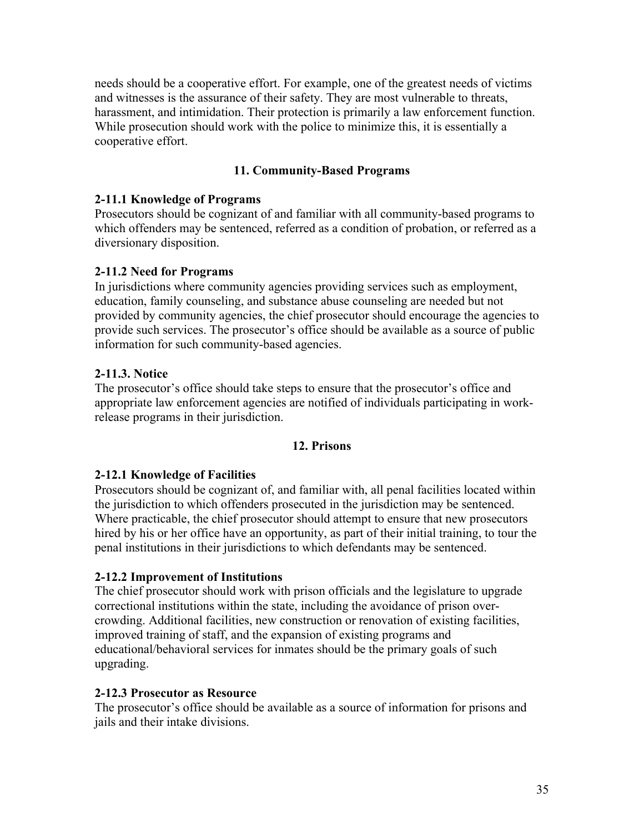needs should be a cooperative effort. For example, one of the greatest needs of victims and witnesses is the assurance of their safety. They are most vulnerable to threats, harassment, and intimidation. Their protection is primarily a law enforcement function. While prosecution should work with the police to minimize this, it is essentially a cooperative effort.

# **11. Community-Based Programs**

### **2-11.1 Knowledge of Programs**

Prosecutors should be cognizant of and familiar with all community-based programs to which offenders may be sentenced, referred as a condition of probation, or referred as a diversionary disposition.

### **2-11.2 Need for Programs**

In jurisdictions where community agencies providing services such as employment, education, family counseling, and substance abuse counseling are needed but not provided by community agencies, the chief prosecutor should encourage the agencies to provide such services. The prosecutor's office should be available as a source of public information for such community-based agencies.

# **2-11.3. Notice**

The prosecutor's office should take steps to ensure that the prosecutor's office and appropriate law enforcement agencies are notified of individuals participating in workrelease programs in their jurisdiction.

# **12. Prisons**

# **2-12.1 Knowledge of Facilities**

Prosecutors should be cognizant of, and familiar with, all penal facilities located within the jurisdiction to which offenders prosecuted in the jurisdiction may be sentenced. Where practicable, the chief prosecutor should attempt to ensure that new prosecutors hired by his or her office have an opportunity, as part of their initial training, to tour the penal institutions in their jurisdictions to which defendants may be sentenced.

# **2-12.2 Improvement of Institutions**

The chief prosecutor should work with prison officials and the legislature to upgrade correctional institutions within the state, including the avoidance of prison overcrowding. Additional facilities, new construction or renovation of existing facilities, improved training of staff, and the expansion of existing programs and educational/behavioral services for inmates should be the primary goals of such upgrading.

#### **2-12.3 Prosecutor as Resource**

The prosecutor's office should be available as a source of information for prisons and jails and their intake divisions.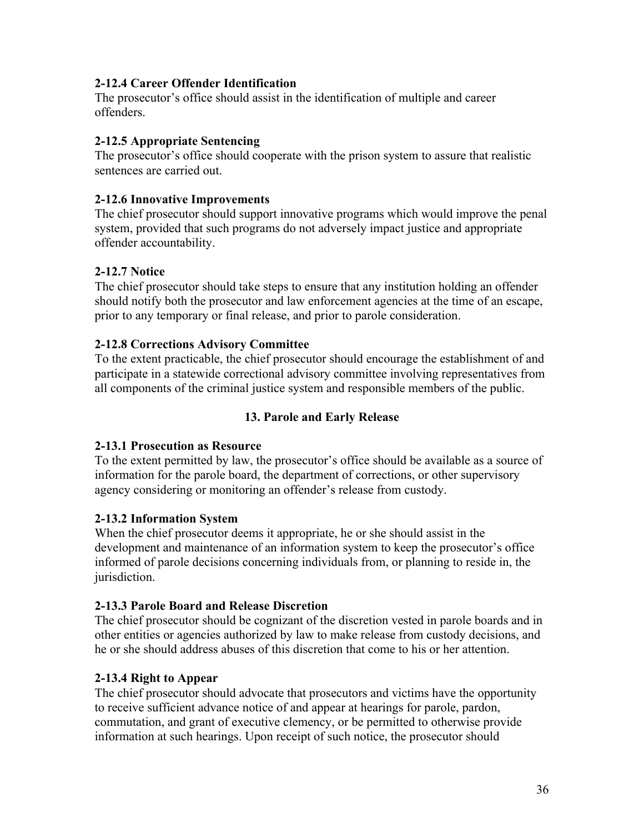# **2-12.4 Career Offender Identification**

The prosecutor's office should assist in the identification of multiple and career offenders.

# **2-12.5 Appropriate Sentencing**

The prosecutor's office should cooperate with the prison system to assure that realistic sentences are carried out.

# **2-12.6 Innovative Improvements**

The chief prosecutor should support innovative programs which would improve the penal system, provided that such programs do not adversely impact justice and appropriate offender accountability.

# **2-12.7 Notice**

The chief prosecutor should take steps to ensure that any institution holding an offender should notify both the prosecutor and law enforcement agencies at the time of an escape, prior to any temporary or final release, and prior to parole consideration.

# **2-12.8 Corrections Advisory Committee**

To the extent practicable, the chief prosecutor should encourage the establishment of and participate in a statewide correctional advisory committee involving representatives from all components of the criminal justice system and responsible members of the public.

# **13. Parole and Early Release**

# **2-13.1 Prosecution as Resource**

To the extent permitted by law, the prosecutor's office should be available as a source of information for the parole board, the department of corrections, or other supervisory agency considering or monitoring an offender's release from custody.

# **2-13.2 Information System**

When the chief prosecutor deems it appropriate, he or she should assist in the development and maintenance of an information system to keep the prosecutor's office informed of parole decisions concerning individuals from, or planning to reside in, the jurisdiction.

# **2-13.3 Parole Board and Release Discretion**

The chief prosecutor should be cognizant of the discretion vested in parole boards and in other entities or agencies authorized by law to make release from custody decisions, and he or she should address abuses of this discretion that come to his or her attention.

# **2-13.4 Right to Appear**

The chief prosecutor should advocate that prosecutors and victims have the opportunity to receive sufficient advance notice of and appear at hearings for parole, pardon, commutation, and grant of executive clemency, or be permitted to otherwise provide information at such hearings. Upon receipt of such notice, the prosecutor should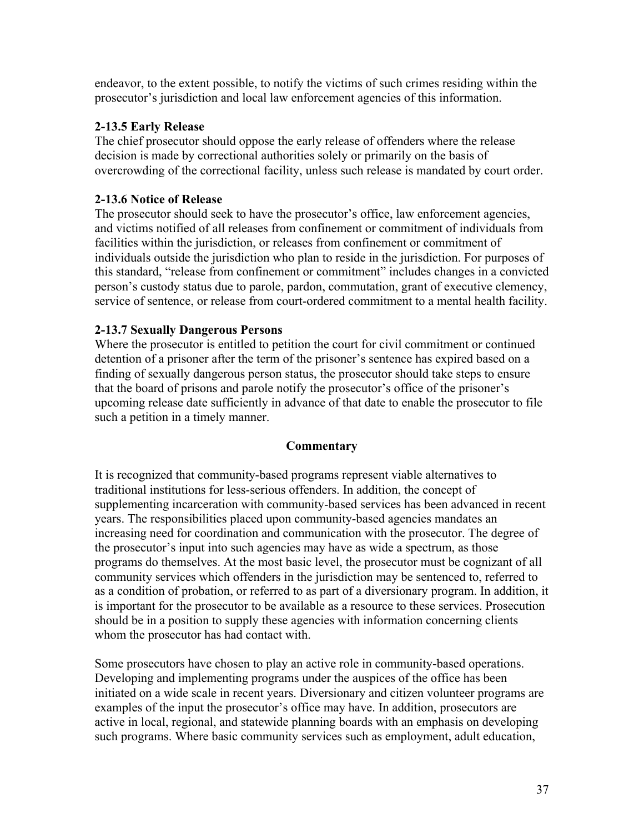endeavor, to the extent possible, to notify the victims of such crimes residing within the prosecutor's jurisdiction and local law enforcement agencies of this information.

# **2-13.5 Early Release**

The chief prosecutor should oppose the early release of offenders where the release decision is made by correctional authorities solely or primarily on the basis of overcrowding of the correctional facility, unless such release is mandated by court order.

# **2-13.6 Notice of Release**

The prosecutor should seek to have the prosecutor's office, law enforcement agencies, and victims notified of all releases from confinement or commitment of individuals from facilities within the jurisdiction, or releases from confinement or commitment of individuals outside the jurisdiction who plan to reside in the jurisdiction. For purposes of this standard, "release from confinement or commitment" includes changes in a convicted person's custody status due to parole, pardon, commutation, grant of executive clemency, service of sentence, or release from court-ordered commitment to a mental health facility.

# **2-13.7 Sexually Dangerous Persons**

Where the prosecutor is entitled to petition the court for civil commitment or continued detention of a prisoner after the term of the prisoner's sentence has expired based on a finding of sexually dangerous person status, the prosecutor should take steps to ensure that the board of prisons and parole notify the prosecutor's office of the prisoner's upcoming release date sufficiently in advance of that date to enable the prosecutor to file such a petition in a timely manner.

# **Commentary**

It is recognized that community-based programs represent viable alternatives to traditional institutions for less-serious offenders. In addition, the concept of supplementing incarceration with community-based services has been advanced in recent years. The responsibilities placed upon community-based agencies mandates an increasing need for coordination and communication with the prosecutor. The degree of the prosecutor's input into such agencies may have as wide a spectrum, as those programs do themselves. At the most basic level, the prosecutor must be cognizant of all community services which offenders in the jurisdiction may be sentenced to, referred to as a condition of probation, or referred to as part of a diversionary program. In addition, it is important for the prosecutor to be available as a resource to these services. Prosecution should be in a position to supply these agencies with information concerning clients whom the prosecutor has had contact with.

Some prosecutors have chosen to play an active role in community-based operations. Developing and implementing programs under the auspices of the office has been initiated on a wide scale in recent years. Diversionary and citizen volunteer programs are examples of the input the prosecutor's office may have. In addition, prosecutors are active in local, regional, and statewide planning boards with an emphasis on developing such programs. Where basic community services such as employment, adult education,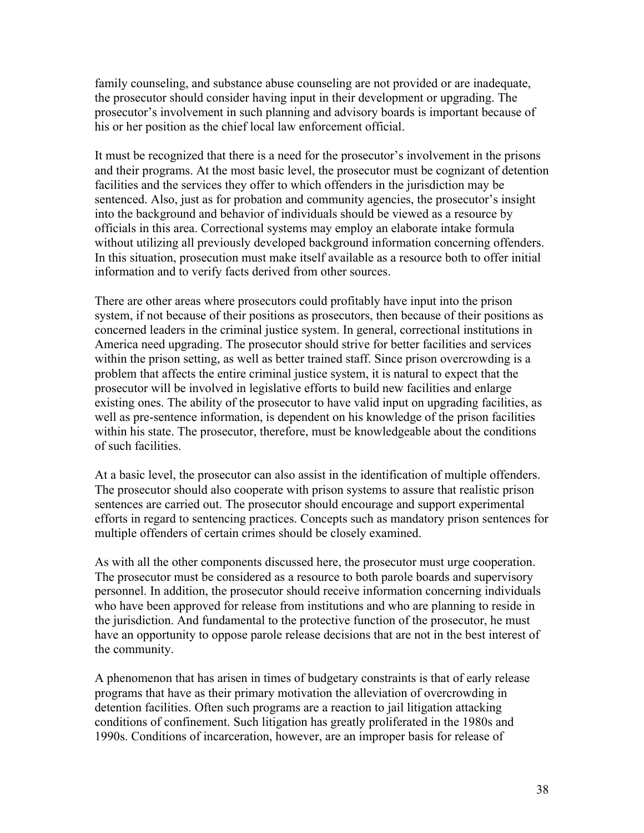family counseling, and substance abuse counseling are not provided or are inadequate, the prosecutor should consider having input in their development or upgrading. The prosecutor's involvement in such planning and advisory boards is important because of his or her position as the chief local law enforcement official.

It must be recognized that there is a need for the prosecutor's involvement in the prisons and their programs. At the most basic level, the prosecutor must be cognizant of detention facilities and the services they offer to which offenders in the jurisdiction may be sentenced. Also, just as for probation and community agencies, the prosecutor's insight into the background and behavior of individuals should be viewed as a resource by officials in this area. Correctional systems may employ an elaborate intake formula without utilizing all previously developed background information concerning offenders. In this situation, prosecution must make itself available as a resource both to offer initial information and to verify facts derived from other sources.

There are other areas where prosecutors could profitably have input into the prison system, if not because of their positions as prosecutors, then because of their positions as concerned leaders in the criminal justice system. In general, correctional institutions in America need upgrading. The prosecutor should strive for better facilities and services within the prison setting, as well as better trained staff. Since prison overcrowding is a problem that affects the entire criminal justice system, it is natural to expect that the prosecutor will be involved in legislative efforts to build new facilities and enlarge existing ones. The ability of the prosecutor to have valid input on upgrading facilities, as well as pre-sentence information, is dependent on his knowledge of the prison facilities within his state. The prosecutor, therefore, must be knowledgeable about the conditions of such facilities.

At a basic level, the prosecutor can also assist in the identification of multiple offenders. The prosecutor should also cooperate with prison systems to assure that realistic prison sentences are carried out. The prosecutor should encourage and support experimental efforts in regard to sentencing practices. Concepts such as mandatory prison sentences for multiple offenders of certain crimes should be closely examined.

As with all the other components discussed here, the prosecutor must urge cooperation. The prosecutor must be considered as a resource to both parole boards and supervisory personnel. In addition, the prosecutor should receive information concerning individuals who have been approved for release from institutions and who are planning to reside in the jurisdiction. And fundamental to the protective function of the prosecutor, he must have an opportunity to oppose parole release decisions that are not in the best interest of the community.

A phenomenon that has arisen in times of budgetary constraints is that of early release programs that have as their primary motivation the alleviation of overcrowding in detention facilities. Often such programs are a reaction to jail litigation attacking conditions of confinement. Such litigation has greatly proliferated in the 1980s and 1990s. Conditions of incarceration, however, are an improper basis for release of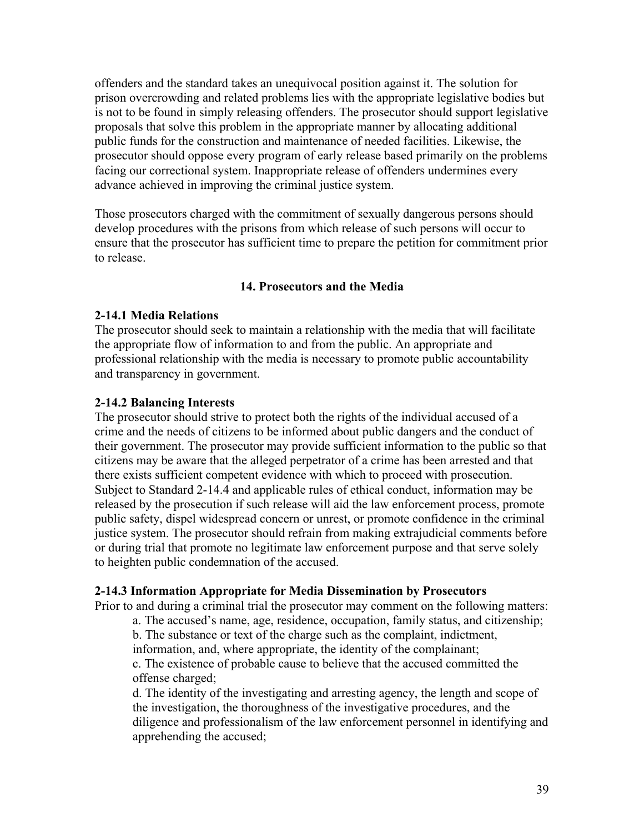offenders and the standard takes an unequivocal position against it. The solution for prison overcrowding and related problems lies with the appropriate legislative bodies but is not to be found in simply releasing offenders. The prosecutor should support legislative proposals that solve this problem in the appropriate manner by allocating additional public funds for the construction and maintenance of needed facilities. Likewise, the prosecutor should oppose every program of early release based primarily on the problems facing our correctional system. Inappropriate release of offenders undermines every advance achieved in improving the criminal justice system.

Those prosecutors charged with the commitment of sexually dangerous persons should develop procedures with the prisons from which release of such persons will occur to ensure that the prosecutor has sufficient time to prepare the petition for commitment prior to release.

# **14. Prosecutors and the Media**

#### **2-14.1 Media Relations**

The prosecutor should seek to maintain a relationship with the media that will facilitate the appropriate flow of information to and from the public. An appropriate and professional relationship with the media is necessary to promote public accountability and transparency in government.

### **2-14.2 Balancing Interests**

The prosecutor should strive to protect both the rights of the individual accused of a crime and the needs of citizens to be informed about public dangers and the conduct of their government. The prosecutor may provide sufficient information to the public so that citizens may be aware that the alleged perpetrator of a crime has been arrested and that there exists sufficient competent evidence with which to proceed with prosecution. Subject to Standard 2-14.4 and applicable rules of ethical conduct, information may be released by the prosecution if such release will aid the law enforcement process, promote public safety, dispel widespread concern or unrest, or promote confidence in the criminal justice system. The prosecutor should refrain from making extrajudicial comments before or during trial that promote no legitimate law enforcement purpose and that serve solely to heighten public condemnation of the accused.

#### **2-14.3 Information Appropriate for Media Dissemination by Prosecutors**

Prior to and during a criminal trial the prosecutor may comment on the following matters:

a. The accused's name, age, residence, occupation, family status, and citizenship;

b. The substance or text of the charge such as the complaint, indictment,

information, and, where appropriate, the identity of the complainant;

c. The existence of probable cause to believe that the accused committed the offense charged;

d. The identity of the investigating and arresting agency, the length and scope of the investigation, the thoroughness of the investigative procedures, and the diligence and professionalism of the law enforcement personnel in identifying and apprehending the accused;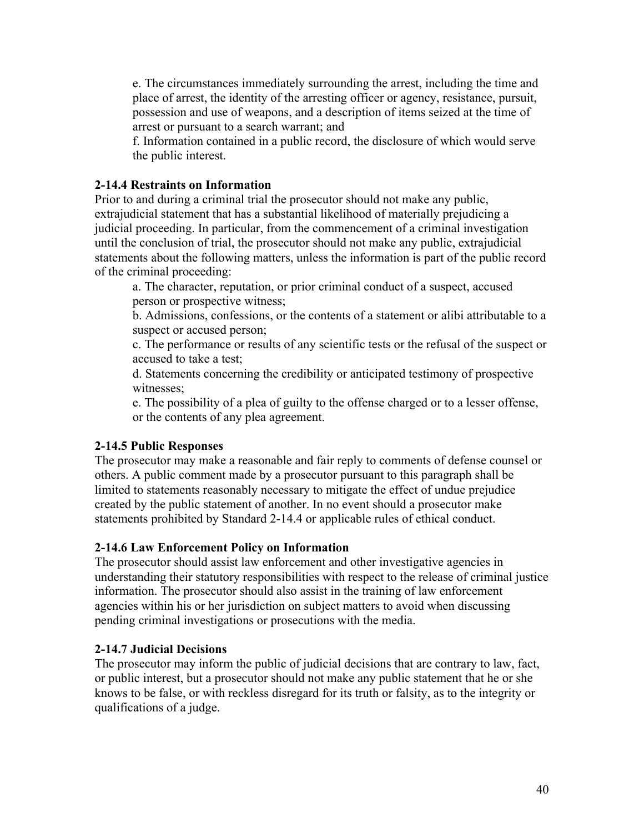e. The circumstances immediately surrounding the arrest, including the time and place of arrest, the identity of the arresting officer or agency, resistance, pursuit, possession and use of weapons, and a description of items seized at the time of arrest or pursuant to a search warrant; and

f. Information contained in a public record, the disclosure of which would serve the public interest.

# **2-14.4 Restraints on Information**

Prior to and during a criminal trial the prosecutor should not make any public, extrajudicial statement that has a substantial likelihood of materially prejudicing a judicial proceeding. In particular, from the commencement of a criminal investigation until the conclusion of trial, the prosecutor should not make any public, extrajudicial statements about the following matters, unless the information is part of the public record of the criminal proceeding:

a. The character, reputation, or prior criminal conduct of a suspect, accused person or prospective witness;

b. Admissions, confessions, or the contents of a statement or alibi attributable to a suspect or accused person;

c. The performance or results of any scientific tests or the refusal of the suspect or accused to take a test;

d. Statements concerning the credibility or anticipated testimony of prospective witnesses;

e. The possibility of a plea of guilty to the offense charged or to a lesser offense, or the contents of any plea agreement.

# **2-14.5 Public Responses**

The prosecutor may make a reasonable and fair reply to comments of defense counsel or others. A public comment made by a prosecutor pursuant to this paragraph shall be limited to statements reasonably necessary to mitigate the effect of undue prejudice created by the public statement of another. In no event should a prosecutor make statements prohibited by Standard 2-14.4 or applicable rules of ethical conduct.

# **2-14.6 Law Enforcement Policy on Information**

The prosecutor should assist law enforcement and other investigative agencies in understanding their statutory responsibilities with respect to the release of criminal justice information. The prosecutor should also assist in the training of law enforcement agencies within his or her jurisdiction on subject matters to avoid when discussing pending criminal investigations or prosecutions with the media.

# **2-14.7 Judicial Decisions**

The prosecutor may inform the public of judicial decisions that are contrary to law, fact, or public interest, but a prosecutor should not make any public statement that he or she knows to be false, or with reckless disregard for its truth or falsity, as to the integrity or qualifications of a judge.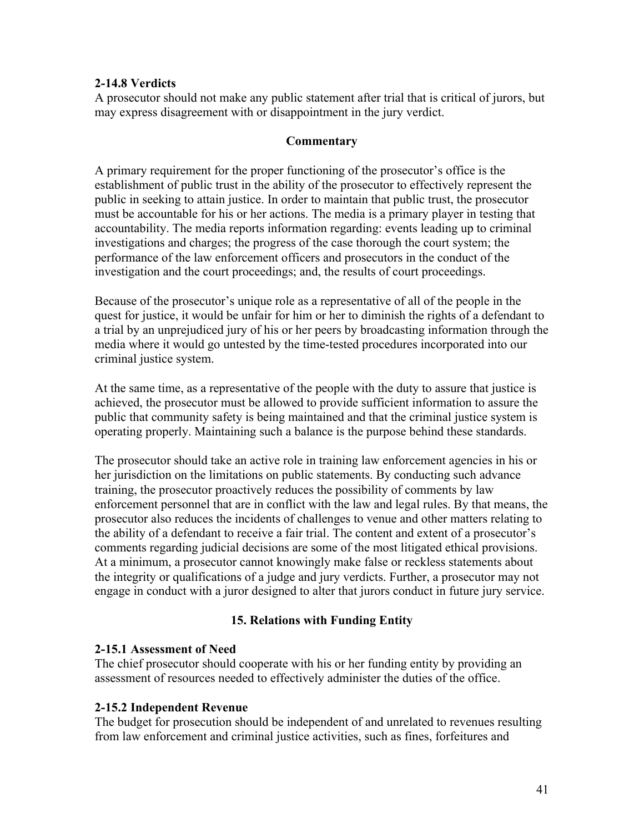### **2-14.8 Verdicts**

A prosecutor should not make any public statement after trial that is critical of jurors, but may express disagreement with or disappointment in the jury verdict.

### **Commentary**

A primary requirement for the proper functioning of the prosecutor's office is the establishment of public trust in the ability of the prosecutor to effectively represent the public in seeking to attain justice. In order to maintain that public trust, the prosecutor must be accountable for his or her actions. The media is a primary player in testing that accountability. The media reports information regarding: events leading up to criminal investigations and charges; the progress of the case thorough the court system; the performance of the law enforcement officers and prosecutors in the conduct of the investigation and the court proceedings; and, the results of court proceedings.

Because of the prosecutor's unique role as a representative of all of the people in the quest for justice, it would be unfair for him or her to diminish the rights of a defendant to a trial by an unprejudiced jury of his or her peers by broadcasting information through the media where it would go untested by the time-tested procedures incorporated into our criminal justice system.

At the same time, as a representative of the people with the duty to assure that justice is achieved, the prosecutor must be allowed to provide sufficient information to assure the public that community safety is being maintained and that the criminal justice system is operating properly. Maintaining such a balance is the purpose behind these standards.

The prosecutor should take an active role in training law enforcement agencies in his or her jurisdiction on the limitations on public statements. By conducting such advance training, the prosecutor proactively reduces the possibility of comments by law enforcement personnel that are in conflict with the law and legal rules. By that means, the prosecutor also reduces the incidents of challenges to venue and other matters relating to the ability of a defendant to receive a fair trial. The content and extent of a prosecutor's comments regarding judicial decisions are some of the most litigated ethical provisions. At a minimum, a prosecutor cannot knowingly make false or reckless statements about the integrity or qualifications of a judge and jury verdicts. Further, a prosecutor may not engage in conduct with a juror designed to alter that jurors conduct in future jury service.

# **15. Relations with Funding Entity**

# **2-15.1 Assessment of Need**

The chief prosecutor should cooperate with his or her funding entity by providing an assessment of resources needed to effectively administer the duties of the office.

#### **2-15.2 Independent Revenue**

The budget for prosecution should be independent of and unrelated to revenues resulting from law enforcement and criminal justice activities, such as fines, forfeitures and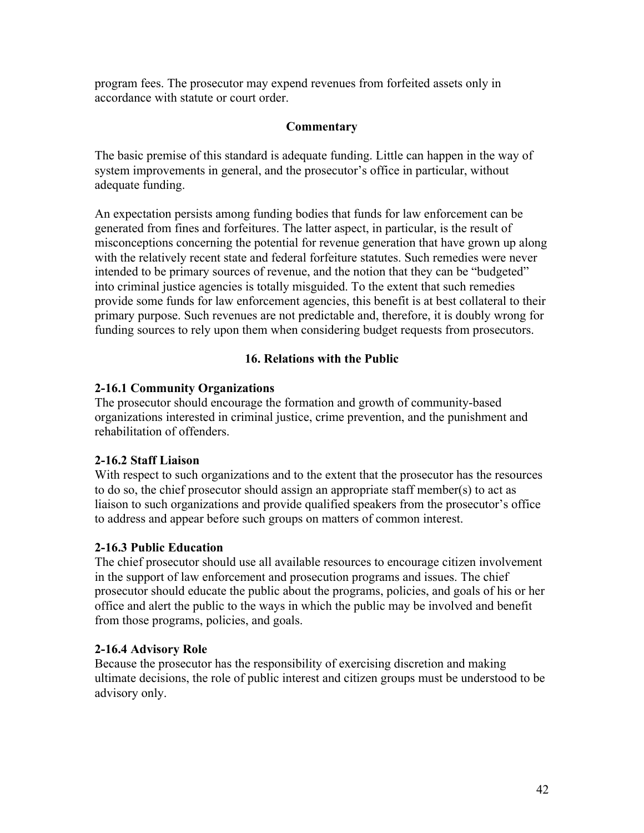program fees. The prosecutor may expend revenues from forfeited assets only in accordance with statute or court order.

### **Commentary**

The basic premise of this standard is adequate funding. Little can happen in the way of system improvements in general, and the prosecutor's office in particular, without adequate funding.

An expectation persists among funding bodies that funds for law enforcement can be generated from fines and forfeitures. The latter aspect, in particular, is the result of misconceptions concerning the potential for revenue generation that have grown up along with the relatively recent state and federal forfeiture statutes. Such remedies were never intended to be primary sources of revenue, and the notion that they can be "budgeted" into criminal justice agencies is totally misguided. To the extent that such remedies provide some funds for law enforcement agencies, this benefit is at best collateral to their primary purpose. Such revenues are not predictable and, therefore, it is doubly wrong for funding sources to rely upon them when considering budget requests from prosecutors.

# **16. Relations with the Public**

# **2-16.1 Community Organizations**

The prosecutor should encourage the formation and growth of community-based organizations interested in criminal justice, crime prevention, and the punishment and rehabilitation of offenders.

# **2-16.2 Staff Liaison**

With respect to such organizations and to the extent that the prosecutor has the resources to do so, the chief prosecutor should assign an appropriate staff member(s) to act as liaison to such organizations and provide qualified speakers from the prosecutor's office to address and appear before such groups on matters of common interest.

# **2-16.3 Public Education**

The chief prosecutor should use all available resources to encourage citizen involvement in the support of law enforcement and prosecution programs and issues. The chief prosecutor should educate the public about the programs, policies, and goals of his or her office and alert the public to the ways in which the public may be involved and benefit from those programs, policies, and goals.

# **2-16.4 Advisory Role**

Because the prosecutor has the responsibility of exercising discretion and making ultimate decisions, the role of public interest and citizen groups must be understood to be advisory only.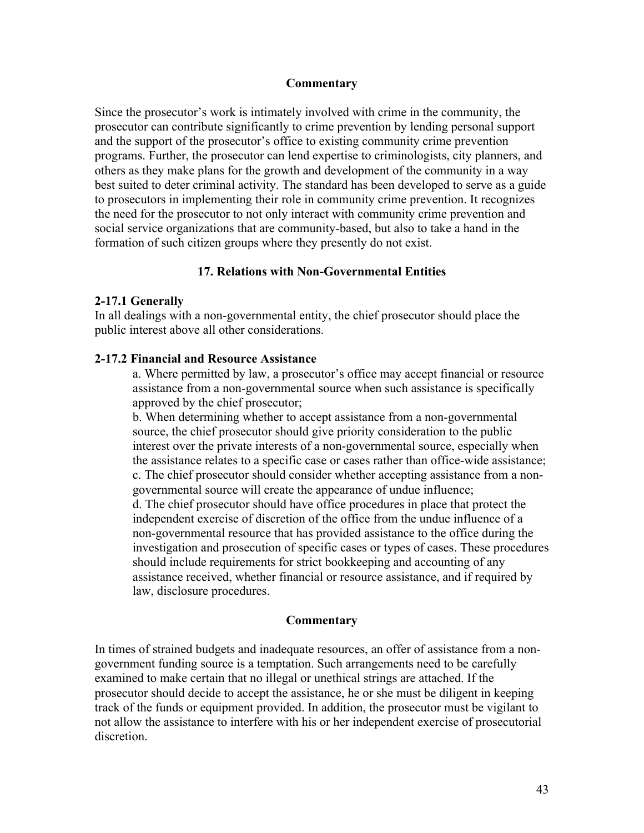#### **Commentary**

Since the prosecutor's work is intimately involved with crime in the community, the prosecutor can contribute significantly to crime prevention by lending personal support and the support of the prosecutor's office to existing community crime prevention programs. Further, the prosecutor can lend expertise to criminologists, city planners, and others as they make plans for the growth and development of the community in a way best suited to deter criminal activity. The standard has been developed to serve as a guide to prosecutors in implementing their role in community crime prevention. It recognizes the need for the prosecutor to not only interact with community crime prevention and social service organizations that are community-based, but also to take a hand in the formation of such citizen groups where they presently do not exist.

# **17. Relations with Non-Governmental Entities**

### **2-17.1 Generally**

In all dealings with a non-governmental entity, the chief prosecutor should place the public interest above all other considerations.

#### **2-17.2 Financial and Resource Assistance**

a. Where permitted by law, a prosecutor's office may accept financial or resource assistance from a non-governmental source when such assistance is specifically approved by the chief prosecutor;

b. When determining whether to accept assistance from a non-governmental source, the chief prosecutor should give priority consideration to the public interest over the private interests of a non-governmental source, especially when the assistance relates to a specific case or cases rather than office-wide assistance; c. The chief prosecutor should consider whether accepting assistance from a nongovernmental source will create the appearance of undue influence;

d. The chief prosecutor should have office procedures in place that protect the independent exercise of discretion of the office from the undue influence of a non-governmental resource that has provided assistance to the office during the investigation and prosecution of specific cases or types of cases. These procedures should include requirements for strict bookkeeping and accounting of any assistance received, whether financial or resource assistance, and if required by law, disclosure procedures.

#### **Commentary**

In times of strained budgets and inadequate resources, an offer of assistance from a nongovernment funding source is a temptation. Such arrangements need to be carefully examined to make certain that no illegal or unethical strings are attached. If the prosecutor should decide to accept the assistance, he or she must be diligent in keeping track of the funds or equipment provided. In addition, the prosecutor must be vigilant to not allow the assistance to interfere with his or her independent exercise of prosecutorial discretion.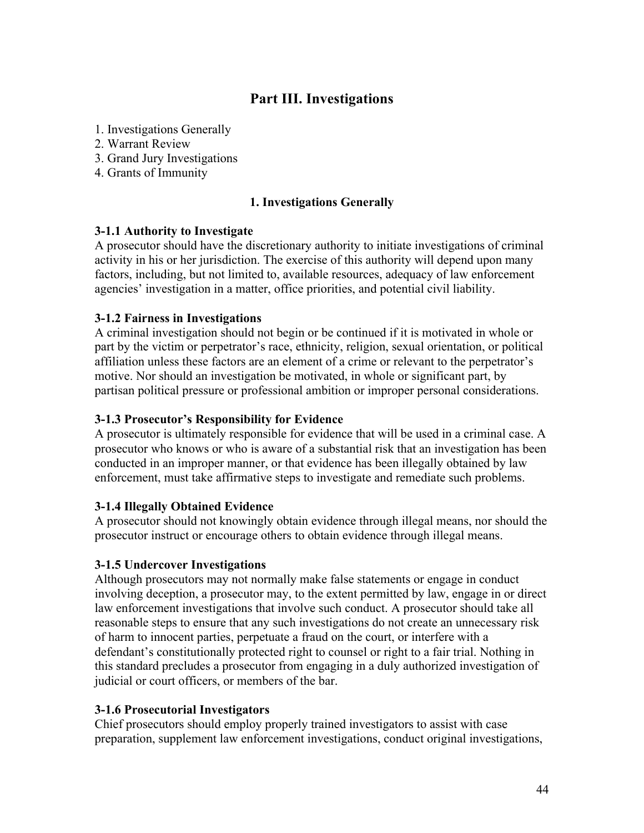# **Part III. Investigations**

- 1. Investigations Generally
- 2. Warrant Review
- 3. Grand Jury Investigations
- 4. Grants of Immunity

# **1. Investigations Generally**

### **3-1.1 Authority to Investigate**

A prosecutor should have the discretionary authority to initiate investigations of criminal activity in his or her jurisdiction. The exercise of this authority will depend upon many factors, including, but not limited to, available resources, adequacy of law enforcement agencies' investigation in a matter, office priorities, and potential civil liability.

### **3-1.2 Fairness in Investigations**

A criminal investigation should not begin or be continued if it is motivated in whole or part by the victim or perpetrator's race, ethnicity, religion, sexual orientation, or political affiliation unless these factors are an element of a crime or relevant to the perpetrator's motive. Nor should an investigation be motivated, in whole or significant part, by partisan political pressure or professional ambition or improper personal considerations.

### **3-1.3 Prosecutor's Responsibility for Evidence**

A prosecutor is ultimately responsible for evidence that will be used in a criminal case. A prosecutor who knows or who is aware of a substantial risk that an investigation has been conducted in an improper manner, or that evidence has been illegally obtained by law enforcement, must take affirmative steps to investigate and remediate such problems.

# **3-1.4 Illegally Obtained Evidence**

A prosecutor should not knowingly obtain evidence through illegal means, nor should the prosecutor instruct or encourage others to obtain evidence through illegal means.

# **3-1.5 Undercover Investigations**

Although prosecutors may not normally make false statements or engage in conduct involving deception, a prosecutor may, to the extent permitted by law, engage in or direct law enforcement investigations that involve such conduct. A prosecutor should take all reasonable steps to ensure that any such investigations do not create an unnecessary risk of harm to innocent parties, perpetuate a fraud on the court, or interfere with a defendant's constitutionally protected right to counsel or right to a fair trial. Nothing in this standard precludes a prosecutor from engaging in a duly authorized investigation of judicial or court officers, or members of the bar.

#### **3-1.6 Prosecutorial Investigators**

Chief prosecutors should employ properly trained investigators to assist with case preparation, supplement law enforcement investigations, conduct original investigations,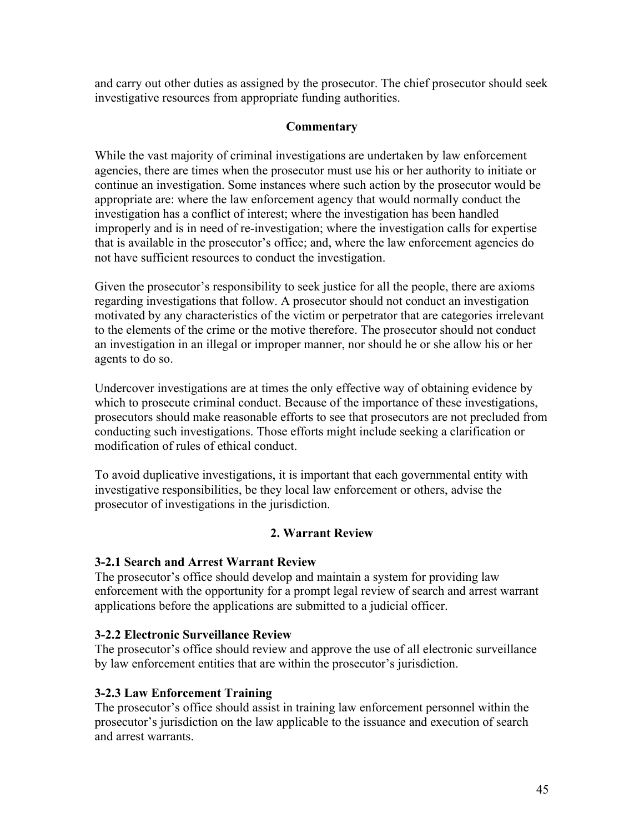and carry out other duties as assigned by the prosecutor. The chief prosecutor should seek investigative resources from appropriate funding authorities.

### **Commentary**

While the vast majority of criminal investigations are undertaken by law enforcement agencies, there are times when the prosecutor must use his or her authority to initiate or continue an investigation. Some instances where such action by the prosecutor would be appropriate are: where the law enforcement agency that would normally conduct the investigation has a conflict of interest; where the investigation has been handled improperly and is in need of re-investigation; where the investigation calls for expertise that is available in the prosecutor's office; and, where the law enforcement agencies do not have sufficient resources to conduct the investigation.

Given the prosecutor's responsibility to seek justice for all the people, there are axioms regarding investigations that follow. A prosecutor should not conduct an investigation motivated by any characteristics of the victim or perpetrator that are categories irrelevant to the elements of the crime or the motive therefore. The prosecutor should not conduct an investigation in an illegal or improper manner, nor should he or she allow his or her agents to do so.

Undercover investigations are at times the only effective way of obtaining evidence by which to prosecute criminal conduct. Because of the importance of these investigations, prosecutors should make reasonable efforts to see that prosecutors are not precluded from conducting such investigations. Those efforts might include seeking a clarification or modification of rules of ethical conduct.

To avoid duplicative investigations, it is important that each governmental entity with investigative responsibilities, be they local law enforcement or others, advise the prosecutor of investigations in the jurisdiction.

# **2. Warrant Review**

# **3-2.1 Search and Arrest Warrant Review**

The prosecutor's office should develop and maintain a system for providing law enforcement with the opportunity for a prompt legal review of search and arrest warrant applications before the applications are submitted to a judicial officer.

# **3-2.2 Electronic Surveillance Review**

The prosecutor's office should review and approve the use of all electronic surveillance by law enforcement entities that are within the prosecutor's jurisdiction.

# **3-2.3 Law Enforcement Training**

The prosecutor's office should assist in training law enforcement personnel within the prosecutor's jurisdiction on the law applicable to the issuance and execution of search and arrest warrants.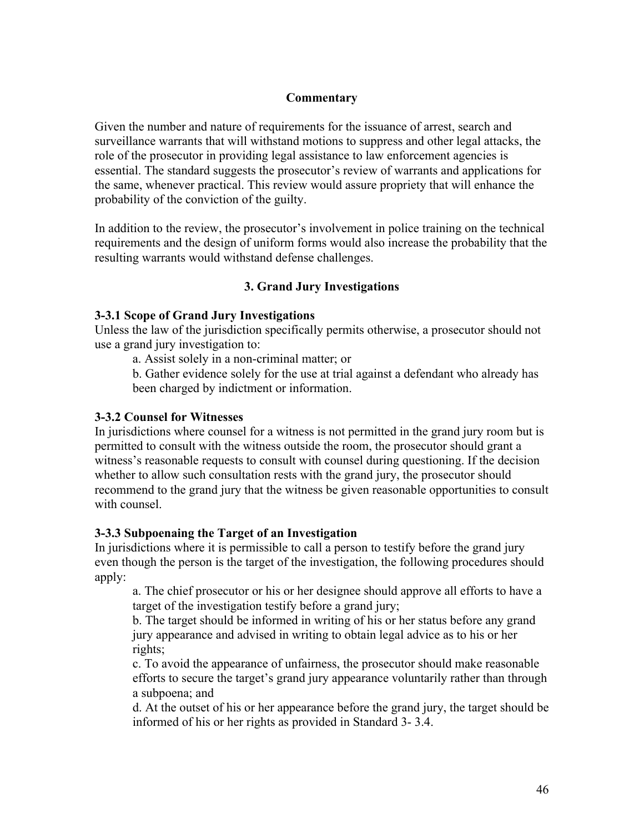### **Commentary**

Given the number and nature of requirements for the issuance of arrest, search and surveillance warrants that will withstand motions to suppress and other legal attacks, the role of the prosecutor in providing legal assistance to law enforcement agencies is essential. The standard suggests the prosecutor's review of warrants and applications for the same, whenever practical. This review would assure propriety that will enhance the probability of the conviction of the guilty.

In addition to the review, the prosecutor's involvement in police training on the technical requirements and the design of uniform forms would also increase the probability that the resulting warrants would withstand defense challenges.

# **3. Grand Jury Investigations**

### **3-3.1 Scope of Grand Jury Investigations**

Unless the law of the jurisdiction specifically permits otherwise, a prosecutor should not use a grand jury investigation to:

a. Assist solely in a non-criminal matter; or

b. Gather evidence solely for the use at trial against a defendant who already has been charged by indictment or information.

### **3-3.2 Counsel for Witnesses**

In jurisdictions where counsel for a witness is not permitted in the grand jury room but is permitted to consult with the witness outside the room, the prosecutor should grant a witness's reasonable requests to consult with counsel during questioning. If the decision whether to allow such consultation rests with the grand jury, the prosecutor should recommend to the grand jury that the witness be given reasonable opportunities to consult with counsel.

# **3-3.3 Subpoenaing the Target of an Investigation**

In jurisdictions where it is permissible to call a person to testify before the grand jury even though the person is the target of the investigation, the following procedures should apply:

a. The chief prosecutor or his or her designee should approve all efforts to have a target of the investigation testify before a grand jury;

b. The target should be informed in writing of his or her status before any grand jury appearance and advised in writing to obtain legal advice as to his or her rights;

c. To avoid the appearance of unfairness, the prosecutor should make reasonable efforts to secure the target's grand jury appearance voluntarily rather than through a subpoena; and

d. At the outset of his or her appearance before the grand jury, the target should be informed of his or her rights as provided in Standard 3- 3.4.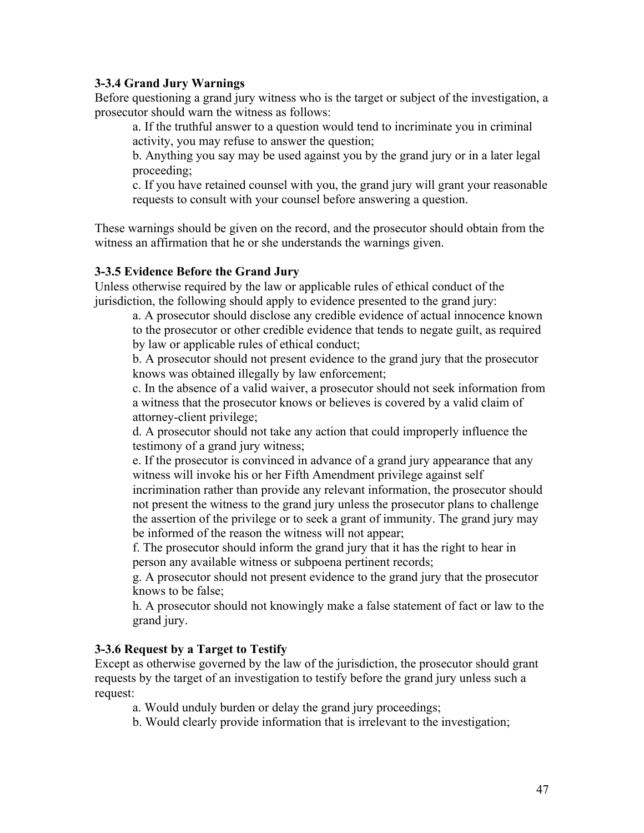### **3-3.4 Grand Jury Warnings**

Before questioning a grand jury witness who is the target or subject of the investigation, a prosecutor should warn the witness as follows:

a. If the truthful answer to a question would tend to incriminate you in criminal activity, you may refuse to answer the question;

b. Anything you say may be used against you by the grand jury or in a later legal proceeding;

c. If you have retained counsel with you, the grand jury will grant your reasonable requests to consult with your counsel before answering a question.

These warnings should be given on the record, and the prosecutor should obtain from the witness an affirmation that he or she understands the warnings given.

### **3-3.5 Evidence Before the Grand Jury**

Unless otherwise required by the law or applicable rules of ethical conduct of the jurisdiction, the following should apply to evidence presented to the grand jury:

a. A prosecutor should disclose any credible evidence of actual innocence known to the prosecutor or other credible evidence that tends to negate guilt, as required by law or applicable rules of ethical conduct;

b. A prosecutor should not present evidence to the grand jury that the prosecutor knows was obtained illegally by law enforcement;

c. In the absence of a valid waiver, a prosecutor should not seek information from a witness that the prosecutor knows or believes is covered by a valid claim of attorney-client privilege;

d. A prosecutor should not take any action that could improperly influence the testimony of a grand jury witness;

e. If the prosecutor is convinced in advance of a grand jury appearance that any witness will invoke his or her Fifth Amendment privilege against self

incrimination rather than provide any relevant information, the prosecutor should not present the witness to the grand jury unless the prosecutor plans to challenge the assertion of the privilege or to seek a grant of immunity. The grand jury may be informed of the reason the witness will not appear;

f. The prosecutor should inform the grand jury that it has the right to hear in person any available witness or subpoena pertinent records;

g. A prosecutor should not present evidence to the grand jury that the prosecutor knows to be false;

h. A prosecutor should not knowingly make a false statement of fact or law to the grand jury.

# **3-3.6 Request by a Target to Testify**

Except as otherwise governed by the law of the jurisdiction, the prosecutor should grant requests by the target of an investigation to testify before the grand jury unless such a request:

a. Would unduly burden or delay the grand jury proceedings;

b. Would clearly provide information that is irrelevant to the investigation;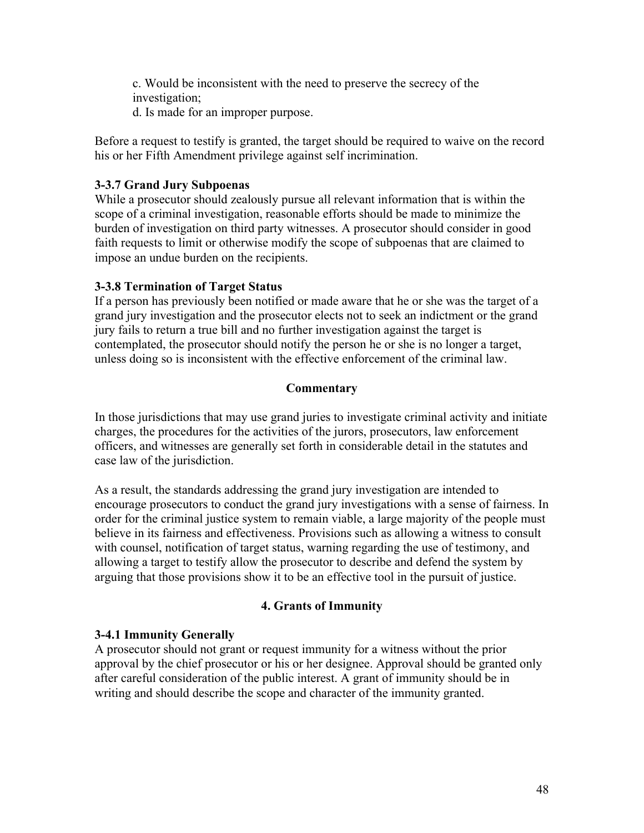c. Would be inconsistent with the need to preserve the secrecy of the investigation;

d. Is made for an improper purpose.

Before a request to testify is granted, the target should be required to waive on the record his or her Fifth Amendment privilege against self incrimination.

# **3-3.7 Grand Jury Subpoenas**

While a prosecutor should zealously pursue all relevant information that is within the scope of a criminal investigation, reasonable efforts should be made to minimize the burden of investigation on third party witnesses. A prosecutor should consider in good faith requests to limit or otherwise modify the scope of subpoenas that are claimed to impose an undue burden on the recipients.

### **3-3.8 Termination of Target Status**

If a person has previously been notified or made aware that he or she was the target of a grand jury investigation and the prosecutor elects not to seek an indictment or the grand jury fails to return a true bill and no further investigation against the target is contemplated, the prosecutor should notify the person he or she is no longer a target, unless doing so is inconsistent with the effective enforcement of the criminal law.

### **Commentary**

In those jurisdictions that may use grand juries to investigate criminal activity and initiate charges, the procedures for the activities of the jurors, prosecutors, law enforcement officers, and witnesses are generally set forth in considerable detail in the statutes and case law of the jurisdiction.

As a result, the standards addressing the grand jury investigation are intended to encourage prosecutors to conduct the grand jury investigations with a sense of fairness. In order for the criminal justice system to remain viable, a large majority of the people must believe in its fairness and effectiveness. Provisions such as allowing a witness to consult with counsel, notification of target status, warning regarding the use of testimony, and allowing a target to testify allow the prosecutor to describe and defend the system by arguing that those provisions show it to be an effective tool in the pursuit of justice.

# **4. Grants of Immunity**

#### **3-4.1 Immunity Generally**

A prosecutor should not grant or request immunity for a witness without the prior approval by the chief prosecutor or his or her designee. Approval should be granted only after careful consideration of the public interest. A grant of immunity should be in writing and should describe the scope and character of the immunity granted.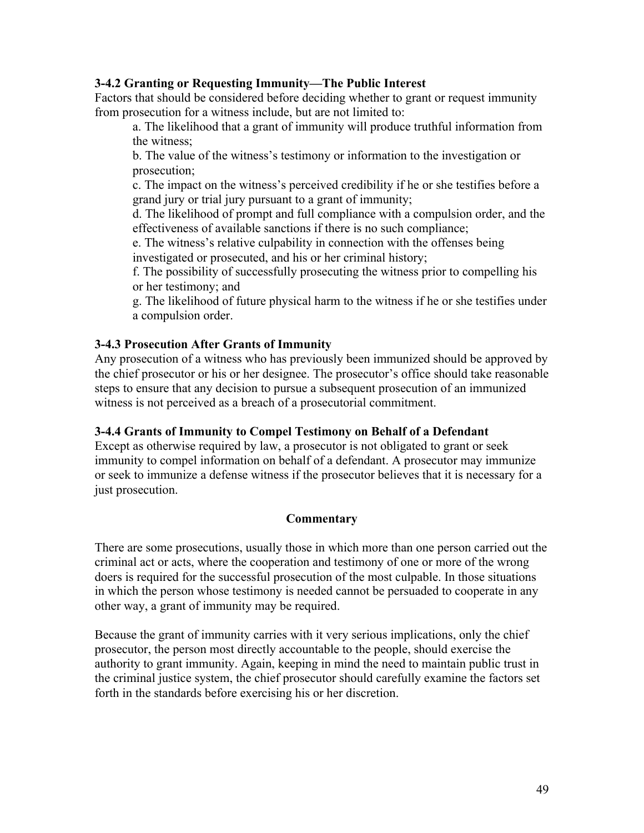# **3-4.2 Granting or Requesting Immunity—The Public Interest**

Factors that should be considered before deciding whether to grant or request immunity from prosecution for a witness include, but are not limited to:

a. The likelihood that a grant of immunity will produce truthful information from the witness;

b. The value of the witness's testimony or information to the investigation or prosecution;

c. The impact on the witness's perceived credibility if he or she testifies before a grand jury or trial jury pursuant to a grant of immunity;

d. The likelihood of prompt and full compliance with a compulsion order, and the effectiveness of available sanctions if there is no such compliance;

e. The witness's relative culpability in connection with the offenses being investigated or prosecuted, and his or her criminal history;

f. The possibility of successfully prosecuting the witness prior to compelling his or her testimony; and

g. The likelihood of future physical harm to the witness if he or she testifies under a compulsion order.

# **3-4.3 Prosecution After Grants of Immunity**

Any prosecution of a witness who has previously been immunized should be approved by the chief prosecutor or his or her designee. The prosecutor's office should take reasonable steps to ensure that any decision to pursue a subsequent prosecution of an immunized witness is not perceived as a breach of a prosecutorial commitment.

# **3-4.4 Grants of Immunity to Compel Testimony on Behalf of a Defendant**

Except as otherwise required by law, a prosecutor is not obligated to grant or seek immunity to compel information on behalf of a defendant. A prosecutor may immunize or seek to immunize a defense witness if the prosecutor believes that it is necessary for a just prosecution.

# **Commentary**

There are some prosecutions, usually those in which more than one person carried out the criminal act or acts, where the cooperation and testimony of one or more of the wrong doers is required for the successful prosecution of the most culpable. In those situations in which the person whose testimony is needed cannot be persuaded to cooperate in any other way, a grant of immunity may be required.

Because the grant of immunity carries with it very serious implications, only the chief prosecutor, the person most directly accountable to the people, should exercise the authority to grant immunity. Again, keeping in mind the need to maintain public trust in the criminal justice system, the chief prosecutor should carefully examine the factors set forth in the standards before exercising his or her discretion.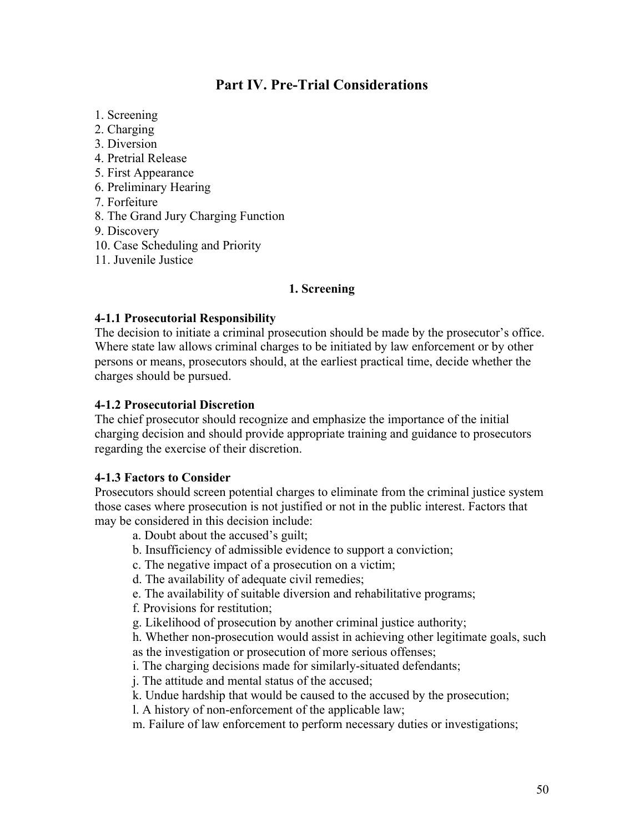# **Part IV. Pre-Trial Considerations**

- 1. Screening
- 2. Charging
- 3. Diversion
- 4. Pretrial Release
- 5. First Appearance
- 6. Preliminary Hearing
- 7. Forfeiture
- 8. The Grand Jury Charging Function

9. Discovery

- 10. Case Scheduling and Priority
- 11. Juvenile Justice

# **1. Screening**

# **4-1.1 Prosecutorial Responsibility**

The decision to initiate a criminal prosecution should be made by the prosecutor's office. Where state law allows criminal charges to be initiated by law enforcement or by other persons or means, prosecutors should, at the earliest practical time, decide whether the charges should be pursued.

# **4-1.2 Prosecutorial Discretion**

The chief prosecutor should recognize and emphasize the importance of the initial charging decision and should provide appropriate training and guidance to prosecutors regarding the exercise of their discretion.

# **4-1.3 Factors to Consider**

Prosecutors should screen potential charges to eliminate from the criminal justice system those cases where prosecution is not justified or not in the public interest. Factors that may be considered in this decision include:

- a. Doubt about the accused's guilt;
- b. Insufficiency of admissible evidence to support a conviction;
- c. The negative impact of a prosecution on a victim;
- d. The availability of adequate civil remedies;
- e. The availability of suitable diversion and rehabilitative programs;
- f. Provisions for restitution;
- g. Likelihood of prosecution by another criminal justice authority;
- h. Whether non-prosecution would assist in achieving other legitimate goals, such as the investigation or prosecution of more serious offenses;
- i. The charging decisions made for similarly-situated defendants;
- j. The attitude and mental status of the accused;
- k. Undue hardship that would be caused to the accused by the prosecution;
- l. A history of non-enforcement of the applicable law;
- m. Failure of law enforcement to perform necessary duties or investigations;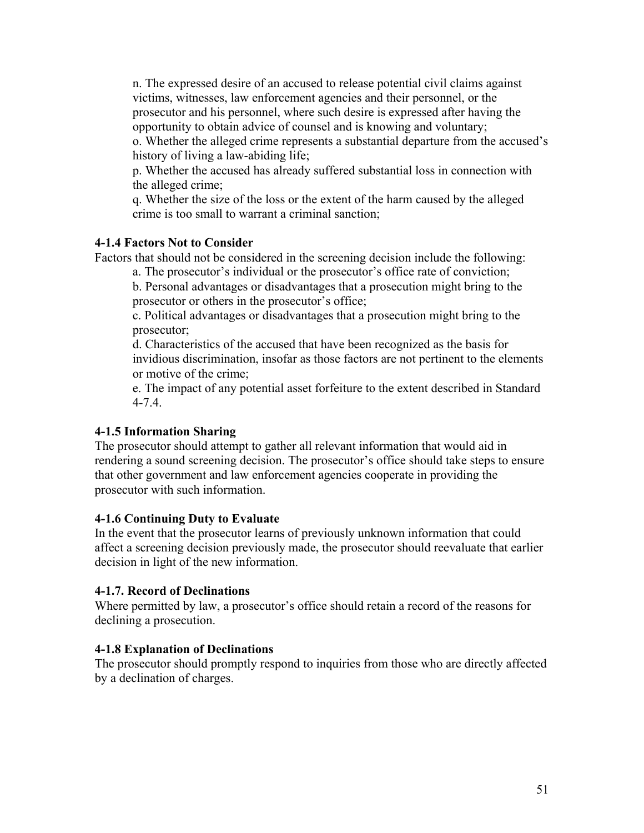n. The expressed desire of an accused to release potential civil claims against victims, witnesses, law enforcement agencies and their personnel, or the prosecutor and his personnel, where such desire is expressed after having the opportunity to obtain advice of counsel and is knowing and voluntary;

o. Whether the alleged crime represents a substantial departure from the accused's history of living a law-abiding life;

p. Whether the accused has already suffered substantial loss in connection with the alleged crime;

q. Whether the size of the loss or the extent of the harm caused by the alleged crime is too small to warrant a criminal sanction;

# **4-1.4 Factors Not to Consider**

Factors that should not be considered in the screening decision include the following:

a. The prosecutor's individual or the prosecutor's office rate of conviction;

b. Personal advantages or disadvantages that a prosecution might bring to the prosecutor or others in the prosecutor's office;

c. Political advantages or disadvantages that a prosecution might bring to the prosecutor;

d. Characteristics of the accused that have been recognized as the basis for invidious discrimination, insofar as those factors are not pertinent to the elements or motive of the crime;

e. The impact of any potential asset forfeiture to the extent described in Standard 4-7.4.

# **4-1.5 Information Sharing**

The prosecutor should attempt to gather all relevant information that would aid in rendering a sound screening decision. The prosecutor's office should take steps to ensure that other government and law enforcement agencies cooperate in providing the prosecutor with such information.

# **4-1.6 Continuing Duty to Evaluate**

In the event that the prosecutor learns of previously unknown information that could affect a screening decision previously made, the prosecutor should reevaluate that earlier decision in light of the new information.

# **4-1.7. Record of Declinations**

Where permitted by law, a prosecutor's office should retain a record of the reasons for declining a prosecution.

# **4-1.8 Explanation of Declinations**

The prosecutor should promptly respond to inquiries from those who are directly affected by a declination of charges.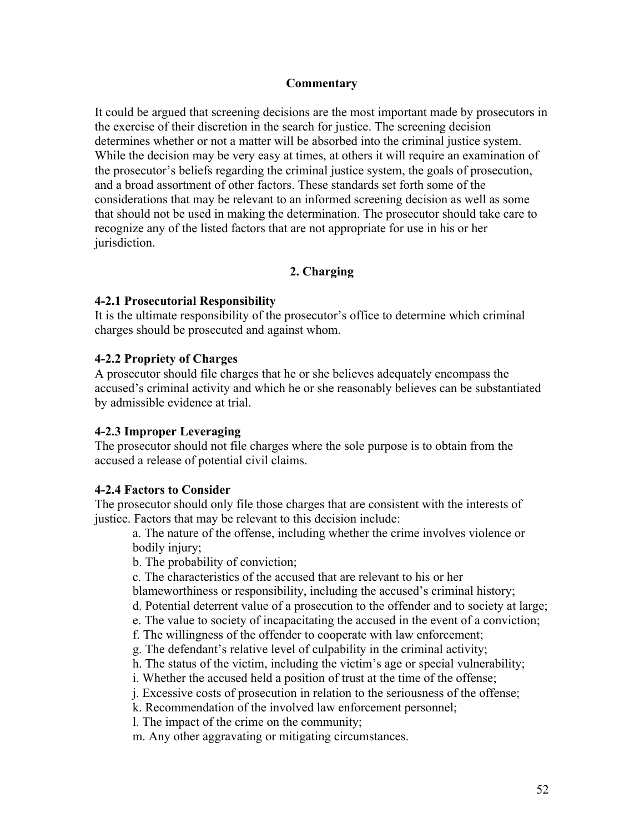#### **Commentary**

It could be argued that screening decisions are the most important made by prosecutors in the exercise of their discretion in the search for justice. The screening decision determines whether or not a matter will be absorbed into the criminal justice system. While the decision may be very easy at times, at others it will require an examination of the prosecutor's beliefs regarding the criminal justice system, the goals of prosecution, and a broad assortment of other factors. These standards set forth some of the considerations that may be relevant to an informed screening decision as well as some that should not be used in making the determination. The prosecutor should take care to recognize any of the listed factors that are not appropriate for use in his or her jurisdiction.

### **2. Charging**

#### **4-2.1 Prosecutorial Responsibility**

It is the ultimate responsibility of the prosecutor's office to determine which criminal charges should be prosecuted and against whom.

#### **4-2.2 Propriety of Charges**

A prosecutor should file charges that he or she believes adequately encompass the accused's criminal activity and which he or she reasonably believes can be substantiated by admissible evidence at trial.

#### **4-2.3 Improper Leveraging**

The prosecutor should not file charges where the sole purpose is to obtain from the accused a release of potential civil claims.

#### **4-2.4 Factors to Consider**

The prosecutor should only file those charges that are consistent with the interests of justice. Factors that may be relevant to this decision include:

a. The nature of the offense, including whether the crime involves violence or bodily injury;

- b. The probability of conviction;
- c. The characteristics of the accused that are relevant to his or her

blameworthiness or responsibility, including the accused's criminal history;

- d. Potential deterrent value of a prosecution to the offender and to society at large;
- e. The value to society of incapacitating the accused in the event of a conviction;
- f. The willingness of the offender to cooperate with law enforcement;
- g. The defendant's relative level of culpability in the criminal activity;
- h. The status of the victim, including the victim's age or special vulnerability;
- i. Whether the accused held a position of trust at the time of the offense;
- j. Excessive costs of prosecution in relation to the seriousness of the offense;
- k. Recommendation of the involved law enforcement personnel;
- l. The impact of the crime on the community;
- m. Any other aggravating or mitigating circumstances.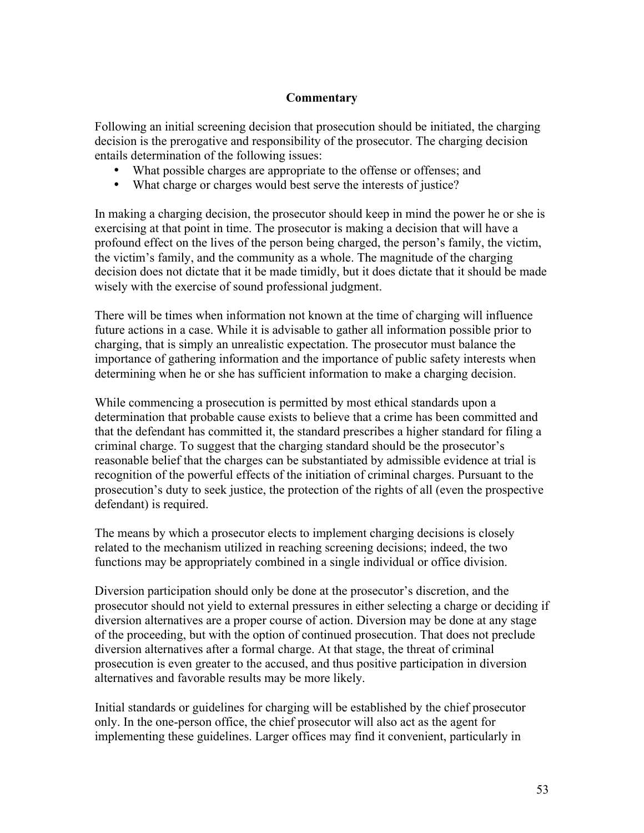### **Commentary**

Following an initial screening decision that prosecution should be initiated, the charging decision is the prerogative and responsibility of the prosecutor. The charging decision entails determination of the following issues:

- What possible charges are appropriate to the offense or offenses; and
- What charge or charges would best serve the interests of justice?

In making a charging decision, the prosecutor should keep in mind the power he or she is exercising at that point in time. The prosecutor is making a decision that will have a profound effect on the lives of the person being charged, the person's family, the victim, the victim's family, and the community as a whole. The magnitude of the charging decision does not dictate that it be made timidly, but it does dictate that it should be made wisely with the exercise of sound professional judgment.

There will be times when information not known at the time of charging will influence future actions in a case. While it is advisable to gather all information possible prior to charging, that is simply an unrealistic expectation. The prosecutor must balance the importance of gathering information and the importance of public safety interests when determining when he or she has sufficient information to make a charging decision.

While commencing a prosecution is permitted by most ethical standards upon a determination that probable cause exists to believe that a crime has been committed and that the defendant has committed it, the standard prescribes a higher standard for filing a criminal charge. To suggest that the charging standard should be the prosecutor's reasonable belief that the charges can be substantiated by admissible evidence at trial is recognition of the powerful effects of the initiation of criminal charges. Pursuant to the prosecution's duty to seek justice, the protection of the rights of all (even the prospective defendant) is required.

The means by which a prosecutor elects to implement charging decisions is closely related to the mechanism utilized in reaching screening decisions; indeed, the two functions may be appropriately combined in a single individual or office division.

Diversion participation should only be done at the prosecutor's discretion, and the prosecutor should not yield to external pressures in either selecting a charge or deciding if diversion alternatives are a proper course of action. Diversion may be done at any stage of the proceeding, but with the option of continued prosecution. That does not preclude diversion alternatives after a formal charge. At that stage, the threat of criminal prosecution is even greater to the accused, and thus positive participation in diversion alternatives and favorable results may be more likely.

Initial standards or guidelines for charging will be established by the chief prosecutor only. In the one-person office, the chief prosecutor will also act as the agent for implementing these guidelines. Larger offices may find it convenient, particularly in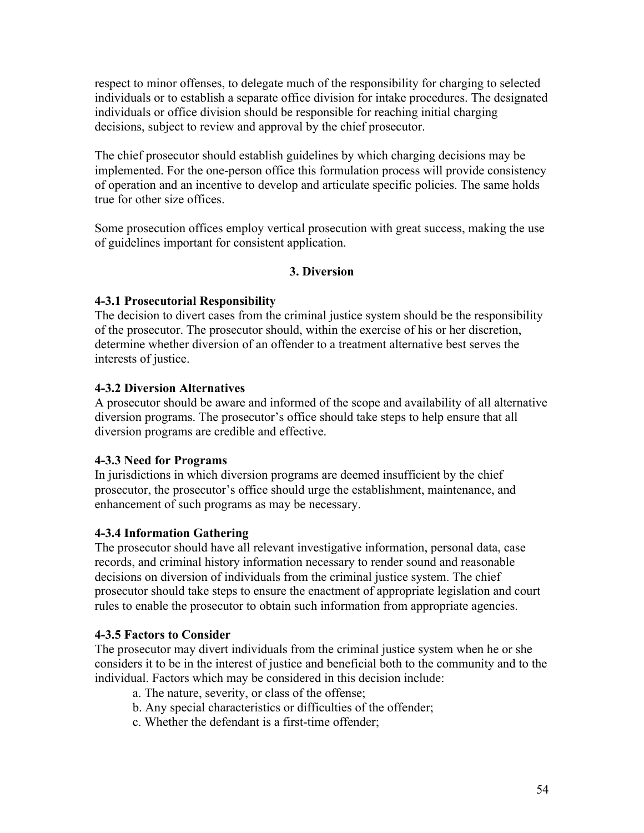respect to minor offenses, to delegate much of the responsibility for charging to selected individuals or to establish a separate office division for intake procedures. The designated individuals or office division should be responsible for reaching initial charging decisions, subject to review and approval by the chief prosecutor.

The chief prosecutor should establish guidelines by which charging decisions may be implemented. For the one-person office this formulation process will provide consistency of operation and an incentive to develop and articulate specific policies. The same holds true for other size offices.

Some prosecution offices employ vertical prosecution with great success, making the use of guidelines important for consistent application.

# **3. Diversion**

# **4-3.1 Prosecutorial Responsibility**

The decision to divert cases from the criminal justice system should be the responsibility of the prosecutor. The prosecutor should, within the exercise of his or her discretion, determine whether diversion of an offender to a treatment alternative best serves the interests of justice.

### **4-3.2 Diversion Alternatives**

A prosecutor should be aware and informed of the scope and availability of all alternative diversion programs. The prosecutor's office should take steps to help ensure that all diversion programs are credible and effective.

#### **4-3.3 Need for Programs**

In jurisdictions in which diversion programs are deemed insufficient by the chief prosecutor, the prosecutor's office should urge the establishment, maintenance, and enhancement of such programs as may be necessary.

# **4-3.4 Information Gathering**

The prosecutor should have all relevant investigative information, personal data, case records, and criminal history information necessary to render sound and reasonable decisions on diversion of individuals from the criminal justice system. The chief prosecutor should take steps to ensure the enactment of appropriate legislation and court rules to enable the prosecutor to obtain such information from appropriate agencies.

# **4-3.5 Factors to Consider**

The prosecutor may divert individuals from the criminal justice system when he or she considers it to be in the interest of justice and beneficial both to the community and to the individual. Factors which may be considered in this decision include:

- a. The nature, severity, or class of the offense;
- b. Any special characteristics or difficulties of the offender;
- c. Whether the defendant is a first-time offender;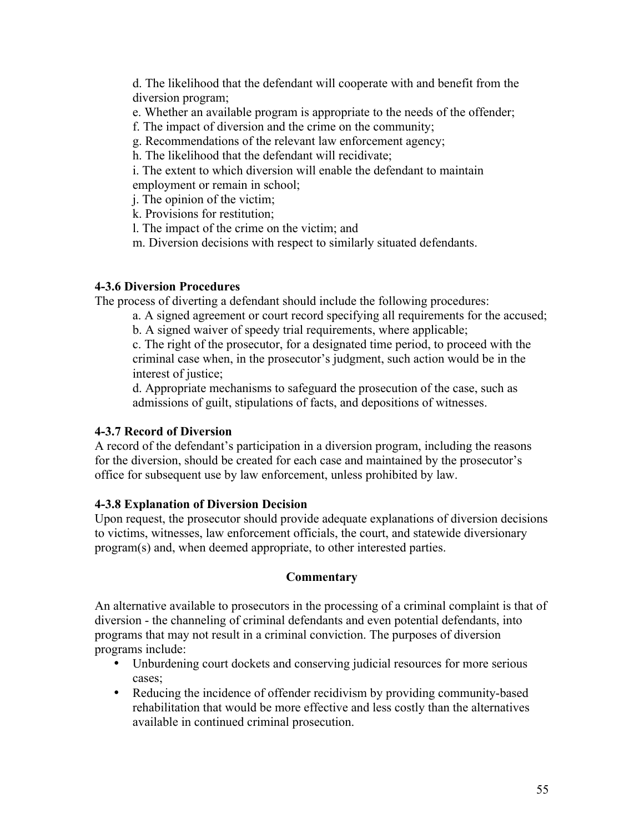d. The likelihood that the defendant will cooperate with and benefit from the diversion program;

- e. Whether an available program is appropriate to the needs of the offender;
- f. The impact of diversion and the crime on the community;
- g. Recommendations of the relevant law enforcement agency;
- h. The likelihood that the defendant will recidivate;

i. The extent to which diversion will enable the defendant to maintain employment or remain in school;

j. The opinion of the victim;

k. Provisions for restitution;

l. The impact of the crime on the victim; and

m. Diversion decisions with respect to similarly situated defendants.

### **4-3.6 Diversion Procedures**

The process of diverting a defendant should include the following procedures:

- a. A signed agreement or court record specifying all requirements for the accused;
- b. A signed waiver of speedy trial requirements, where applicable;

c. The right of the prosecutor, for a designated time period, to proceed with the criminal case when, in the prosecutor's judgment, such action would be in the interest of justice;

d. Appropriate mechanisms to safeguard the prosecution of the case, such as admissions of guilt, stipulations of facts, and depositions of witnesses.

# **4-3.7 Record of Diversion**

A record of the defendant's participation in a diversion program, including the reasons for the diversion, should be created for each case and maintained by the prosecutor's office for subsequent use by law enforcement, unless prohibited by law.

# **4-3.8 Explanation of Diversion Decision**

Upon request, the prosecutor should provide adequate explanations of diversion decisions to victims, witnesses, law enforcement officials, the court, and statewide diversionary program(s) and, when deemed appropriate, to other interested parties.

# **Commentary**

An alternative available to prosecutors in the processing of a criminal complaint is that of diversion - the channeling of criminal defendants and even potential defendants, into programs that may not result in a criminal conviction. The purposes of diversion programs include:

- Unburdening court dockets and conserving judicial resources for more serious cases;
- Reducing the incidence of offender recidivism by providing community-based rehabilitation that would be more effective and less costly than the alternatives available in continued criminal prosecution.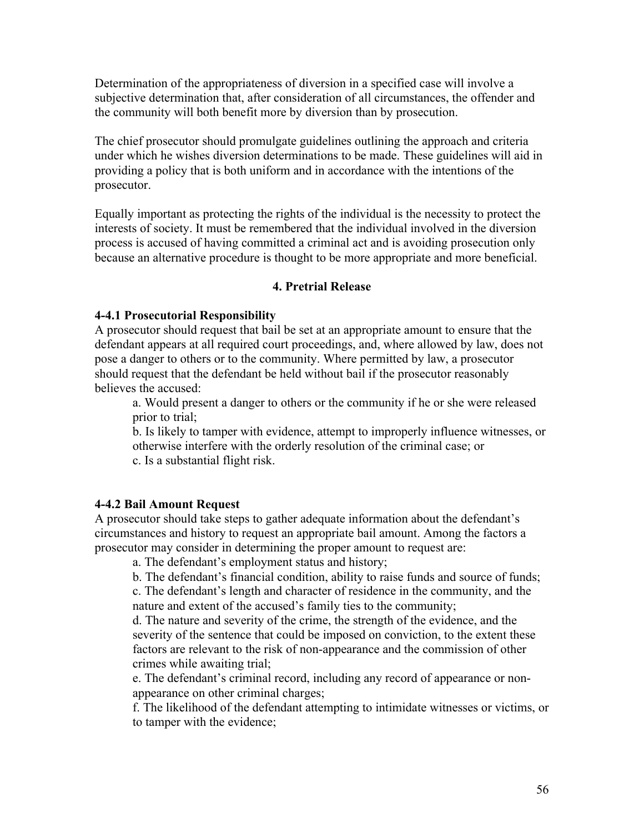Determination of the appropriateness of diversion in a specified case will involve a subjective determination that, after consideration of all circumstances, the offender and the community will both benefit more by diversion than by prosecution.

The chief prosecutor should promulgate guidelines outlining the approach and criteria under which he wishes diversion determinations to be made. These guidelines will aid in providing a policy that is both uniform and in accordance with the intentions of the prosecutor.

Equally important as protecting the rights of the individual is the necessity to protect the interests of society. It must be remembered that the individual involved in the diversion process is accused of having committed a criminal act and is avoiding prosecution only because an alternative procedure is thought to be more appropriate and more beneficial.

### **4. Pretrial Release**

#### **4-4.1 Prosecutorial Responsibility**

A prosecutor should request that bail be set at an appropriate amount to ensure that the defendant appears at all required court proceedings, and, where allowed by law, does not pose a danger to others or to the community. Where permitted by law, a prosecutor should request that the defendant be held without bail if the prosecutor reasonably believes the accused:

a. Would present a danger to others or the community if he or she were released prior to trial;

b. Is likely to tamper with evidence, attempt to improperly influence witnesses, or otherwise interfere with the orderly resolution of the criminal case; or c. Is a substantial flight risk.

#### **4-4.2 Bail Amount Request**

A prosecutor should take steps to gather adequate information about the defendant's circumstances and history to request an appropriate bail amount. Among the factors a prosecutor may consider in determining the proper amount to request are:

a. The defendant's employment status and history;

b. The defendant's financial condition, ability to raise funds and source of funds;

c. The defendant's length and character of residence in the community, and the nature and extent of the accused's family ties to the community;

d. The nature and severity of the crime, the strength of the evidence, and the severity of the sentence that could be imposed on conviction, to the extent these factors are relevant to the risk of non-appearance and the commission of other crimes while awaiting trial;

e. The defendant's criminal record, including any record of appearance or nonappearance on other criminal charges;

f. The likelihood of the defendant attempting to intimidate witnesses or victims, or to tamper with the evidence;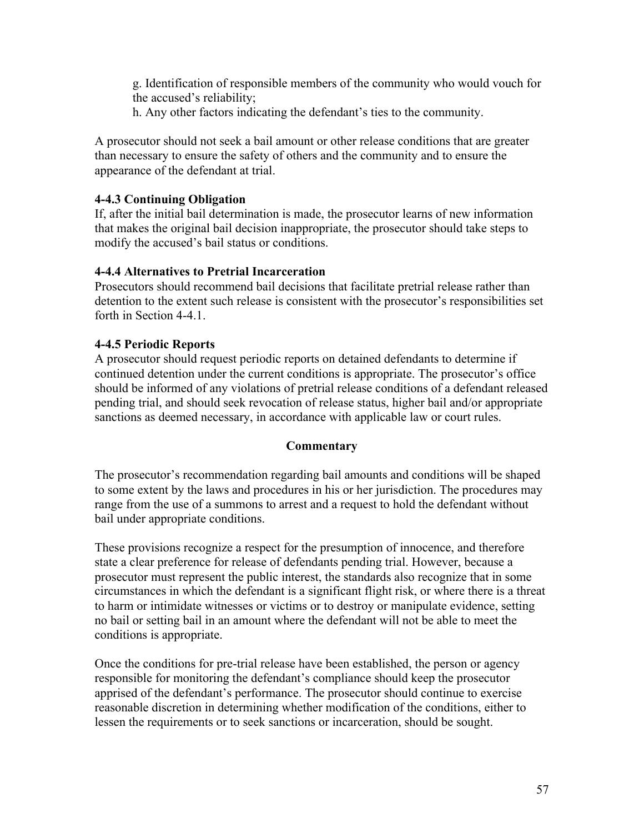g. Identification of responsible members of the community who would vouch for the accused's reliability;

h. Any other factors indicating the defendant's ties to the community.

A prosecutor should not seek a bail amount or other release conditions that are greater than necessary to ensure the safety of others and the community and to ensure the appearance of the defendant at trial.

### **4-4.3 Continuing Obligation**

If, after the initial bail determination is made, the prosecutor learns of new information that makes the original bail decision inappropriate, the prosecutor should take steps to modify the accused's bail status or conditions.

### **4-4.4 Alternatives to Pretrial Incarceration**

Prosecutors should recommend bail decisions that facilitate pretrial release rather than detention to the extent such release is consistent with the prosecutor's responsibilities set forth in Section 4-4.1.

# **4-4.5 Periodic Reports**

A prosecutor should request periodic reports on detained defendants to determine if continued detention under the current conditions is appropriate. The prosecutor's office should be informed of any violations of pretrial release conditions of a defendant released pending trial, and should seek revocation of release status, higher bail and/or appropriate sanctions as deemed necessary, in accordance with applicable law or court rules.

#### **Commentary**

The prosecutor's recommendation regarding bail amounts and conditions will be shaped to some extent by the laws and procedures in his or her jurisdiction. The procedures may range from the use of a summons to arrest and a request to hold the defendant without bail under appropriate conditions.

These provisions recognize a respect for the presumption of innocence, and therefore state a clear preference for release of defendants pending trial. However, because a prosecutor must represent the public interest, the standards also recognize that in some circumstances in which the defendant is a significant flight risk, or where there is a threat to harm or intimidate witnesses or victims or to destroy or manipulate evidence, setting no bail or setting bail in an amount where the defendant will not be able to meet the conditions is appropriate.

Once the conditions for pre-trial release have been established, the person or agency responsible for monitoring the defendant's compliance should keep the prosecutor apprised of the defendant's performance. The prosecutor should continue to exercise reasonable discretion in determining whether modification of the conditions, either to lessen the requirements or to seek sanctions or incarceration, should be sought.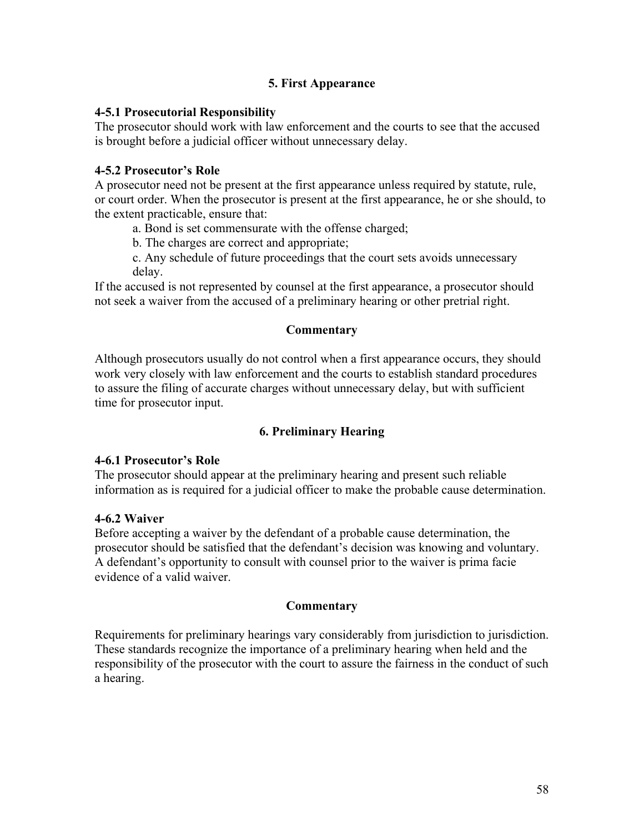# **5. First Appearance**

#### **4-5.1 Prosecutorial Responsibility**

The prosecutor should work with law enforcement and the courts to see that the accused is brought before a judicial officer without unnecessary delay.

### **4-5.2 Prosecutor's Role**

A prosecutor need not be present at the first appearance unless required by statute, rule, or court order. When the prosecutor is present at the first appearance, he or she should, to the extent practicable, ensure that:

a. Bond is set commensurate with the offense charged;

b. The charges are correct and appropriate;

c. Any schedule of future proceedings that the court sets avoids unnecessary delay.

If the accused is not represented by counsel at the first appearance, a prosecutor should not seek a waiver from the accused of a preliminary hearing or other pretrial right.

#### **Commentary**

Although prosecutors usually do not control when a first appearance occurs, they should work very closely with law enforcement and the courts to establish standard procedures to assure the filing of accurate charges without unnecessary delay, but with sufficient time for prosecutor input.

# **6. Preliminary Hearing**

#### **4-6.1 Prosecutor's Role**

The prosecutor should appear at the preliminary hearing and present such reliable information as is required for a judicial officer to make the probable cause determination.

### **4-6.2 Waiver**

Before accepting a waiver by the defendant of a probable cause determination, the prosecutor should be satisfied that the defendant's decision was knowing and voluntary. A defendant's opportunity to consult with counsel prior to the waiver is prima facie evidence of a valid waiver.

#### **Commentary**

Requirements for preliminary hearings vary considerably from jurisdiction to jurisdiction. These standards recognize the importance of a preliminary hearing when held and the responsibility of the prosecutor with the court to assure the fairness in the conduct of such a hearing.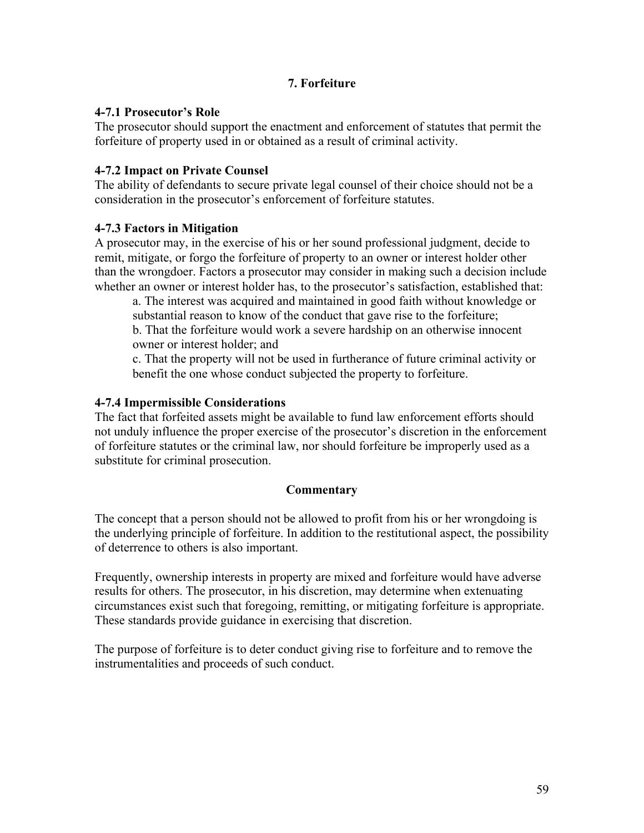# **7. Forfeiture**

### **4-7.1 Prosecutor's Role**

The prosecutor should support the enactment and enforcement of statutes that permit the forfeiture of property used in or obtained as a result of criminal activity.

# **4-7.2 Impact on Private Counsel**

The ability of defendants to secure private legal counsel of their choice should not be a consideration in the prosecutor's enforcement of forfeiture statutes.

# **4-7.3 Factors in Mitigation**

A prosecutor may, in the exercise of his or her sound professional judgment, decide to remit, mitigate, or forgo the forfeiture of property to an owner or interest holder other than the wrongdoer. Factors a prosecutor may consider in making such a decision include whether an owner or interest holder has, to the prosecutor's satisfaction, established that:

a. The interest was acquired and maintained in good faith without knowledge or substantial reason to know of the conduct that gave rise to the forfeiture; b. That the forfeiture would work a severe hardship on an otherwise innocent owner or interest holder; and

c. That the property will not be used in furtherance of future criminal activity or benefit the one whose conduct subjected the property to forfeiture.

#### **4-7.4 Impermissible Considerations**

The fact that forfeited assets might be available to fund law enforcement efforts should not unduly influence the proper exercise of the prosecutor's discretion in the enforcement of forfeiture statutes or the criminal law, nor should forfeiture be improperly used as a substitute for criminal prosecution.

#### **Commentary**

The concept that a person should not be allowed to profit from his or her wrongdoing is the underlying principle of forfeiture. In addition to the restitutional aspect, the possibility of deterrence to others is also important.

Frequently, ownership interests in property are mixed and forfeiture would have adverse results for others. The prosecutor, in his discretion, may determine when extenuating circumstances exist such that foregoing, remitting, or mitigating forfeiture is appropriate. These standards provide guidance in exercising that discretion.

The purpose of forfeiture is to deter conduct giving rise to forfeiture and to remove the instrumentalities and proceeds of such conduct.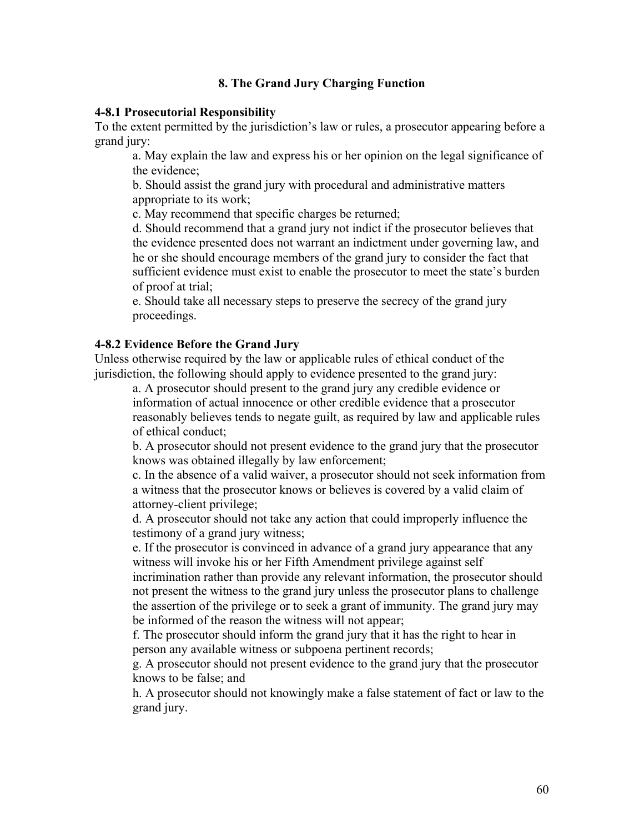### **8. The Grand Jury Charging Function**

#### **4-8.1 Prosecutorial Responsibility**

To the extent permitted by the jurisdiction's law or rules, a prosecutor appearing before a grand jury:

a. May explain the law and express his or her opinion on the legal significance of the evidence;

b. Should assist the grand jury with procedural and administrative matters appropriate to its work;

c. May recommend that specific charges be returned;

d. Should recommend that a grand jury not indict if the prosecutor believes that the evidence presented does not warrant an indictment under governing law, and he or she should encourage members of the grand jury to consider the fact that sufficient evidence must exist to enable the prosecutor to meet the state's burden of proof at trial;

e. Should take all necessary steps to preserve the secrecy of the grand jury proceedings.

#### **4-8.2 Evidence Before the Grand Jury**

Unless otherwise required by the law or applicable rules of ethical conduct of the jurisdiction, the following should apply to evidence presented to the grand jury:

a. A prosecutor should present to the grand jury any credible evidence or information of actual innocence or other credible evidence that a prosecutor reasonably believes tends to negate guilt, as required by law and applicable rules of ethical conduct;

b. A prosecutor should not present evidence to the grand jury that the prosecutor knows was obtained illegally by law enforcement;

c. In the absence of a valid waiver, a prosecutor should not seek information from a witness that the prosecutor knows or believes is covered by a valid claim of attorney-client privilege;

d. A prosecutor should not take any action that could improperly influence the testimony of a grand jury witness;

e. If the prosecutor is convinced in advance of a grand jury appearance that any witness will invoke his or her Fifth Amendment privilege against self

incrimination rather than provide any relevant information, the prosecutor should not present the witness to the grand jury unless the prosecutor plans to challenge the assertion of the privilege or to seek a grant of immunity. The grand jury may be informed of the reason the witness will not appear;

f. The prosecutor should inform the grand jury that it has the right to hear in person any available witness or subpoena pertinent records;

g. A prosecutor should not present evidence to the grand jury that the prosecutor knows to be false; and

h. A prosecutor should not knowingly make a false statement of fact or law to the grand jury.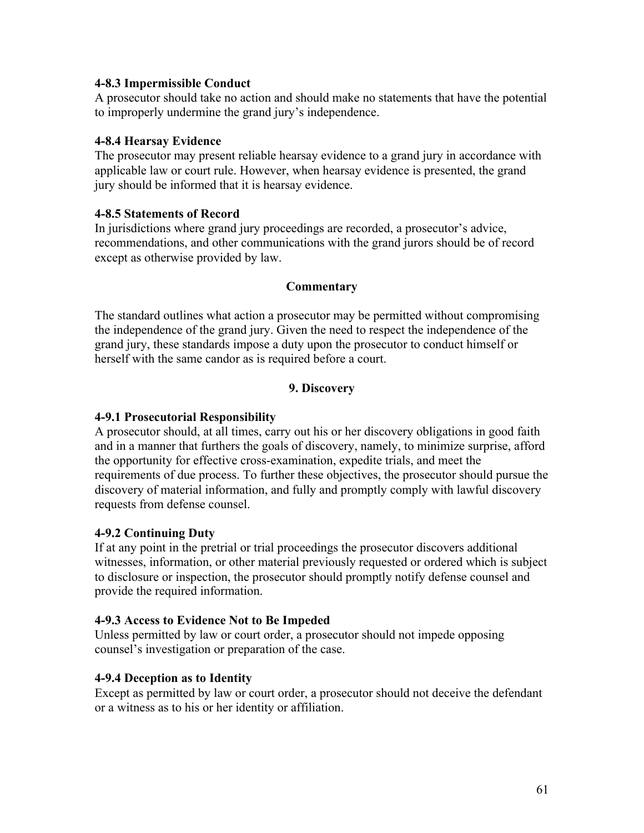### **4-8.3 Impermissible Conduct**

A prosecutor should take no action and should make no statements that have the potential to improperly undermine the grand jury's independence.

### **4-8.4 Hearsay Evidence**

The prosecutor may present reliable hearsay evidence to a grand jury in accordance with applicable law or court rule. However, when hearsay evidence is presented, the grand jury should be informed that it is hearsay evidence.

### **4-8.5 Statements of Record**

In jurisdictions where grand jury proceedings are recorded, a prosecutor's advice, recommendations, and other communications with the grand jurors should be of record except as otherwise provided by law.

### **Commentary**

The standard outlines what action a prosecutor may be permitted without compromising the independence of the grand jury. Given the need to respect the independence of the grand jury, these standards impose a duty upon the prosecutor to conduct himself or herself with the same candor as is required before a court.

# **9. Discovery**

### **4-9.1 Prosecutorial Responsibility**

A prosecutor should, at all times, carry out his or her discovery obligations in good faith and in a manner that furthers the goals of discovery, namely, to minimize surprise, afford the opportunity for effective cross-examination, expedite trials, and meet the requirements of due process. To further these objectives, the prosecutor should pursue the discovery of material information, and fully and promptly comply with lawful discovery requests from defense counsel.

#### **4-9.2 Continuing Duty**

If at any point in the pretrial or trial proceedings the prosecutor discovers additional witnesses, information, or other material previously requested or ordered which is subject to disclosure or inspection, the prosecutor should promptly notify defense counsel and provide the required information.

#### **4-9.3 Access to Evidence Not to Be Impeded**

Unless permitted by law or court order, a prosecutor should not impede opposing counsel's investigation or preparation of the case.

#### **4-9.4 Deception as to Identity**

Except as permitted by law or court order, a prosecutor should not deceive the defendant or a witness as to his or her identity or affiliation.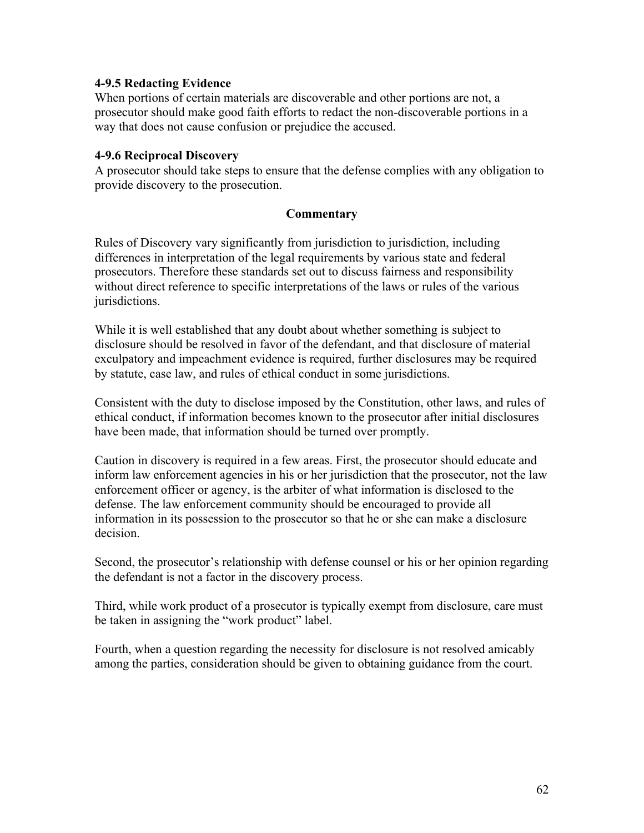### **4-9.5 Redacting Evidence**

When portions of certain materials are discoverable and other portions are not, a prosecutor should make good faith efforts to redact the non-discoverable portions in a way that does not cause confusion or prejudice the accused.

### **4-9.6 Reciprocal Discovery**

A prosecutor should take steps to ensure that the defense complies with any obligation to provide discovery to the prosecution.

#### **Commentary**

Rules of Discovery vary significantly from jurisdiction to jurisdiction, including differences in interpretation of the legal requirements by various state and federal prosecutors. Therefore these standards set out to discuss fairness and responsibility without direct reference to specific interpretations of the laws or rules of the various jurisdictions.

While it is well established that any doubt about whether something is subject to disclosure should be resolved in favor of the defendant, and that disclosure of material exculpatory and impeachment evidence is required, further disclosures may be required by statute, case law, and rules of ethical conduct in some jurisdictions.

Consistent with the duty to disclose imposed by the Constitution, other laws, and rules of ethical conduct, if information becomes known to the prosecutor after initial disclosures have been made, that information should be turned over promptly.

Caution in discovery is required in a few areas. First, the prosecutor should educate and inform law enforcement agencies in his or her jurisdiction that the prosecutor, not the law enforcement officer or agency, is the arbiter of what information is disclosed to the defense. The law enforcement community should be encouraged to provide all information in its possession to the prosecutor so that he or she can make a disclosure decision.

Second, the prosecutor's relationship with defense counsel or his or her opinion regarding the defendant is not a factor in the discovery process.

Third, while work product of a prosecutor is typically exempt from disclosure, care must be taken in assigning the "work product" label.

Fourth, when a question regarding the necessity for disclosure is not resolved amicably among the parties, consideration should be given to obtaining guidance from the court.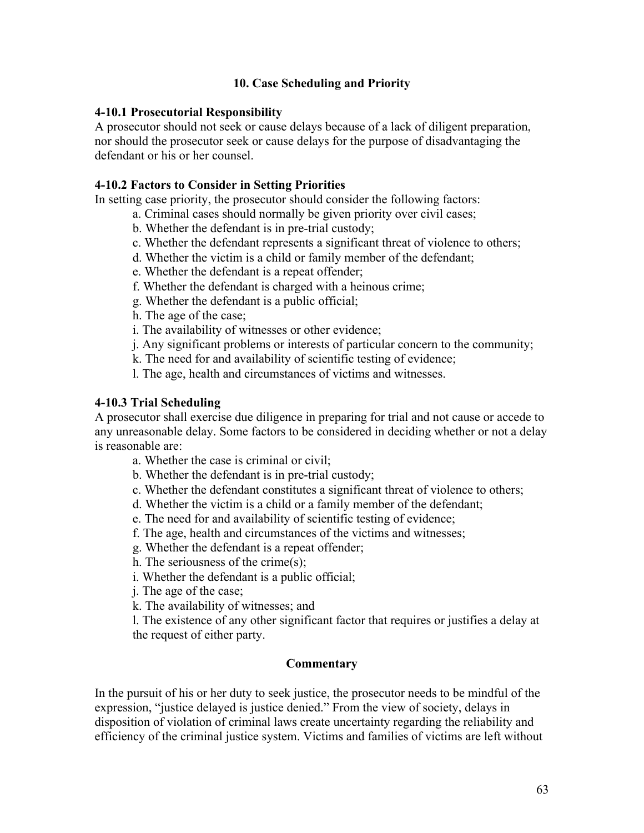### **10. Case Scheduling and Priority**

#### **4-10.1 Prosecutorial Responsibility**

A prosecutor should not seek or cause delays because of a lack of diligent preparation, nor should the prosecutor seek or cause delays for the purpose of disadvantaging the defendant or his or her counsel.

#### **4-10.2 Factors to Consider in Setting Priorities**

In setting case priority, the prosecutor should consider the following factors:

- a. Criminal cases should normally be given priority over civil cases;
- b. Whether the defendant is in pre-trial custody;
- c. Whether the defendant represents a significant threat of violence to others;
- d. Whether the victim is a child or family member of the defendant;
- e. Whether the defendant is a repeat offender;
- f. Whether the defendant is charged with a heinous crime;
- g. Whether the defendant is a public official;
- h. The age of the case;
- i. The availability of witnesses or other evidence;
- j. Any significant problems or interests of particular concern to the community;
- k. The need for and availability of scientific testing of evidence;
- l. The age, health and circumstances of victims and witnesses.

#### **4-10.3 Trial Scheduling**

A prosecutor shall exercise due diligence in preparing for trial and not cause or accede to any unreasonable delay. Some factors to be considered in deciding whether or not a delay is reasonable are:

- a. Whether the case is criminal or civil;
- b. Whether the defendant is in pre-trial custody;
- c. Whether the defendant constitutes a significant threat of violence to others;
- d. Whether the victim is a child or a family member of the defendant;
- e. The need for and availability of scientific testing of evidence;
- f. The age, health and circumstances of the victims and witnesses;
- g. Whether the defendant is a repeat offender;
- h. The seriousness of the crime(s);
- i. Whether the defendant is a public official;
- j. The age of the case;
- k. The availability of witnesses; and

l. The existence of any other significant factor that requires or justifies a delay at the request of either party.

#### **Commentary**

In the pursuit of his or her duty to seek justice, the prosecutor needs to be mindful of the expression, "justice delayed is justice denied." From the view of society, delays in disposition of violation of criminal laws create uncertainty regarding the reliability and efficiency of the criminal justice system. Victims and families of victims are left without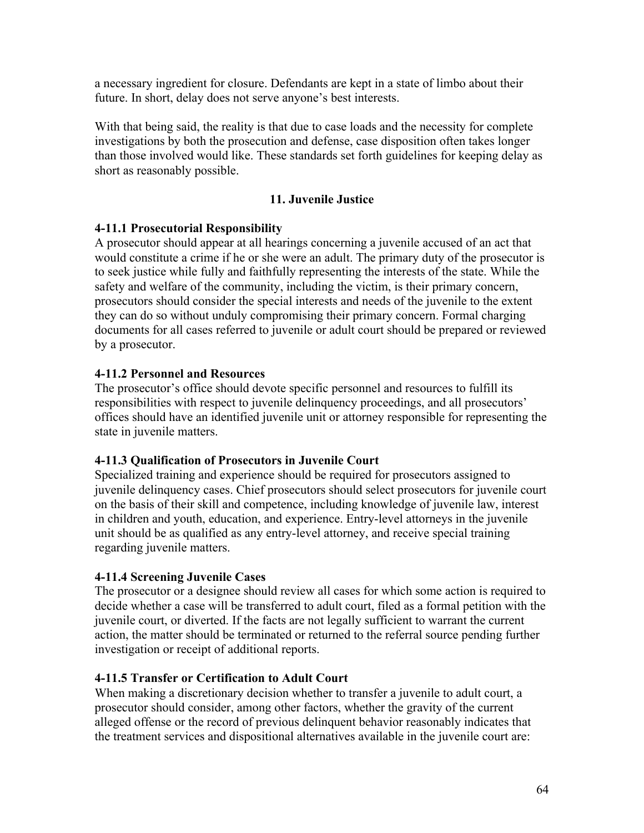a necessary ingredient for closure. Defendants are kept in a state of limbo about their future. In short, delay does not serve anyone's best interests.

With that being said, the reality is that due to case loads and the necessity for complete investigations by both the prosecution and defense, case disposition often takes longer than those involved would like. These standards set forth guidelines for keeping delay as short as reasonably possible.

## **11. Juvenile Justice**

## **4-11.1 Prosecutorial Responsibility**

A prosecutor should appear at all hearings concerning a juvenile accused of an act that would constitute a crime if he or she were an adult. The primary duty of the prosecutor is to seek justice while fully and faithfully representing the interests of the state. While the safety and welfare of the community, including the victim, is their primary concern, prosecutors should consider the special interests and needs of the juvenile to the extent they can do so without unduly compromising their primary concern. Formal charging documents for all cases referred to juvenile or adult court should be prepared or reviewed by a prosecutor.

## **4-11.2 Personnel and Resources**

The prosecutor's office should devote specific personnel and resources to fulfill its responsibilities with respect to juvenile delinquency proceedings, and all prosecutors' offices should have an identified juvenile unit or attorney responsible for representing the state in juvenile matters.

### **4-11.3 Qualification of Prosecutors in Juvenile Court**

Specialized training and experience should be required for prosecutors assigned to juvenile delinquency cases. Chief prosecutors should select prosecutors for juvenile court on the basis of their skill and competence, including knowledge of juvenile law, interest in children and youth, education, and experience. Entry-level attorneys in the juvenile unit should be as qualified as any entry-level attorney, and receive special training regarding juvenile matters.

### **4-11.4 Screening Juvenile Cases**

The prosecutor or a designee should review all cases for which some action is required to decide whether a case will be transferred to adult court, filed as a formal petition with the juvenile court, or diverted. If the facts are not legally sufficient to warrant the current action, the matter should be terminated or returned to the referral source pending further investigation or receipt of additional reports.

## **4-11.5 Transfer or Certification to Adult Court**

When making a discretionary decision whether to transfer a juvenile to adult court, a prosecutor should consider, among other factors, whether the gravity of the current alleged offense or the record of previous delinquent behavior reasonably indicates that the treatment services and dispositional alternatives available in the juvenile court are: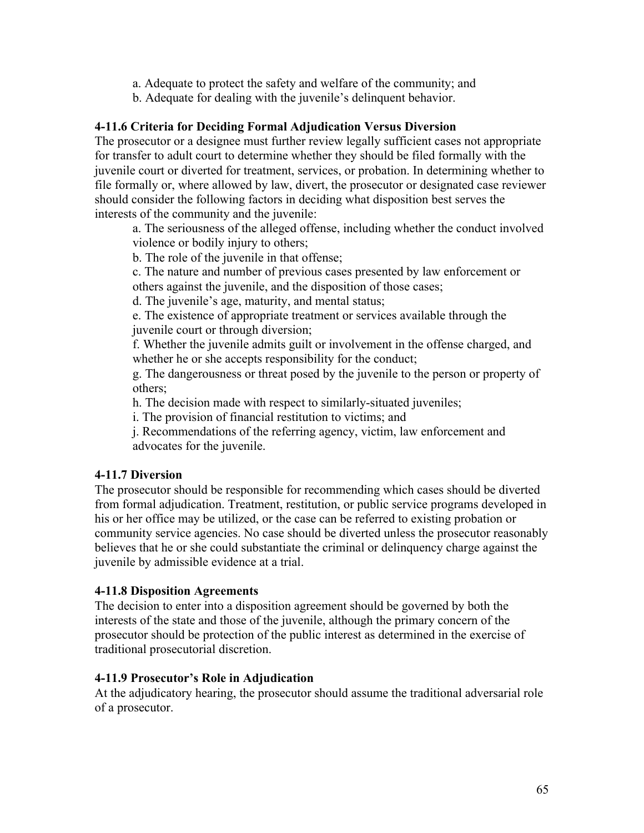- a. Adequate to protect the safety and welfare of the community; and
- b. Adequate for dealing with the juvenile's delinquent behavior.

## **4-11.6 Criteria for Deciding Formal Adjudication Versus Diversion**

The prosecutor or a designee must further review legally sufficient cases not appropriate for transfer to adult court to determine whether they should be filed formally with the juvenile court or diverted for treatment, services, or probation. In determining whether to file formally or, where allowed by law, divert, the prosecutor or designated case reviewer should consider the following factors in deciding what disposition best serves the interests of the community and the juvenile:

a. The seriousness of the alleged offense, including whether the conduct involved violence or bodily injury to others;

b. The role of the juvenile in that offense;

c. The nature and number of previous cases presented by law enforcement or others against the juvenile, and the disposition of those cases;

d. The juvenile's age, maturity, and mental status;

e. The existence of appropriate treatment or services available through the juvenile court or through diversion;

f. Whether the juvenile admits guilt or involvement in the offense charged, and whether he or she accepts responsibility for the conduct;

g. The dangerousness or threat posed by the juvenile to the person or property of others;

h. The decision made with respect to similarly-situated juveniles;

i. The provision of financial restitution to victims; and

j. Recommendations of the referring agency, victim, law enforcement and advocates for the juvenile.

## **4-11.7 Diversion**

The prosecutor should be responsible for recommending which cases should be diverted from formal adjudication. Treatment, restitution, or public service programs developed in his or her office may be utilized, or the case can be referred to existing probation or community service agencies. No case should be diverted unless the prosecutor reasonably believes that he or she could substantiate the criminal or delinquency charge against the juvenile by admissible evidence at a trial.

### **4-11.8 Disposition Agreements**

The decision to enter into a disposition agreement should be governed by both the interests of the state and those of the juvenile, although the primary concern of the prosecutor should be protection of the public interest as determined in the exercise of traditional prosecutorial discretion.

### **4-11.9 Prosecutor's Role in Adjudication**

At the adjudicatory hearing, the prosecutor should assume the traditional adversarial role of a prosecutor.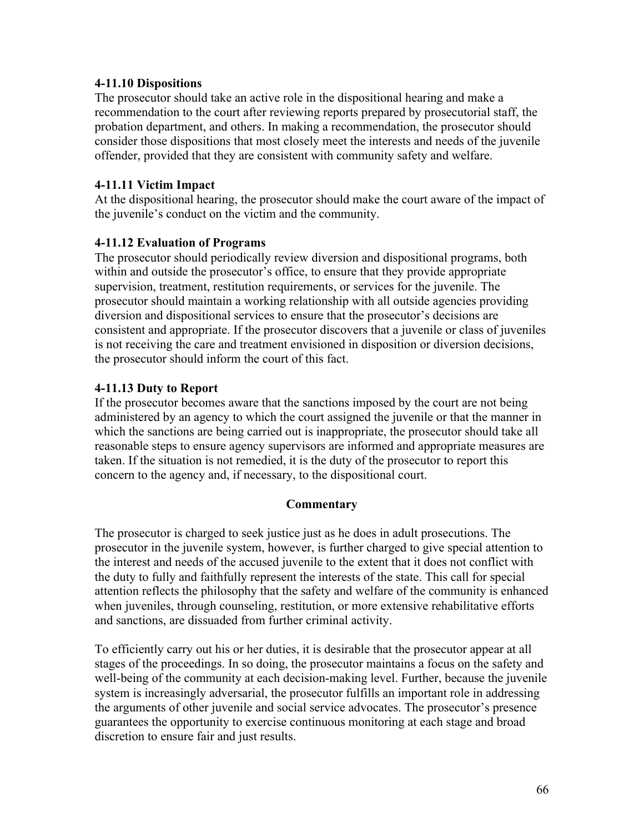## **4-11.10 Dispositions**

The prosecutor should take an active role in the dispositional hearing and make a recommendation to the court after reviewing reports prepared by prosecutorial staff, the probation department, and others. In making a recommendation, the prosecutor should consider those dispositions that most closely meet the interests and needs of the juvenile offender, provided that they are consistent with community safety and welfare.

## **4-11.11 Victim Impact**

At the dispositional hearing, the prosecutor should make the court aware of the impact of the juvenile's conduct on the victim and the community.

## **4-11.12 Evaluation of Programs**

The prosecutor should periodically review diversion and dispositional programs, both within and outside the prosecutor's office, to ensure that they provide appropriate supervision, treatment, restitution requirements, or services for the juvenile. The prosecutor should maintain a working relationship with all outside agencies providing diversion and dispositional services to ensure that the prosecutor's decisions are consistent and appropriate. If the prosecutor discovers that a juvenile or class of juveniles is not receiving the care and treatment envisioned in disposition or diversion decisions, the prosecutor should inform the court of this fact.

## **4-11.13 Duty to Report**

If the prosecutor becomes aware that the sanctions imposed by the court are not being administered by an agency to which the court assigned the juvenile or that the manner in which the sanctions are being carried out is inappropriate, the prosecutor should take all reasonable steps to ensure agency supervisors are informed and appropriate measures are taken. If the situation is not remedied, it is the duty of the prosecutor to report this concern to the agency and, if necessary, to the dispositional court.

### **Commentary**

The prosecutor is charged to seek justice just as he does in adult prosecutions. The prosecutor in the juvenile system, however, is further charged to give special attention to the interest and needs of the accused juvenile to the extent that it does not conflict with the duty to fully and faithfully represent the interests of the state. This call for special attention reflects the philosophy that the safety and welfare of the community is enhanced when juveniles, through counseling, restitution, or more extensive rehabilitative efforts and sanctions, are dissuaded from further criminal activity.

To efficiently carry out his or her duties, it is desirable that the prosecutor appear at all stages of the proceedings. In so doing, the prosecutor maintains a focus on the safety and well-being of the community at each decision-making level. Further, because the juvenile system is increasingly adversarial, the prosecutor fulfills an important role in addressing the arguments of other juvenile and social service advocates. The prosecutor's presence guarantees the opportunity to exercise continuous monitoring at each stage and broad discretion to ensure fair and just results.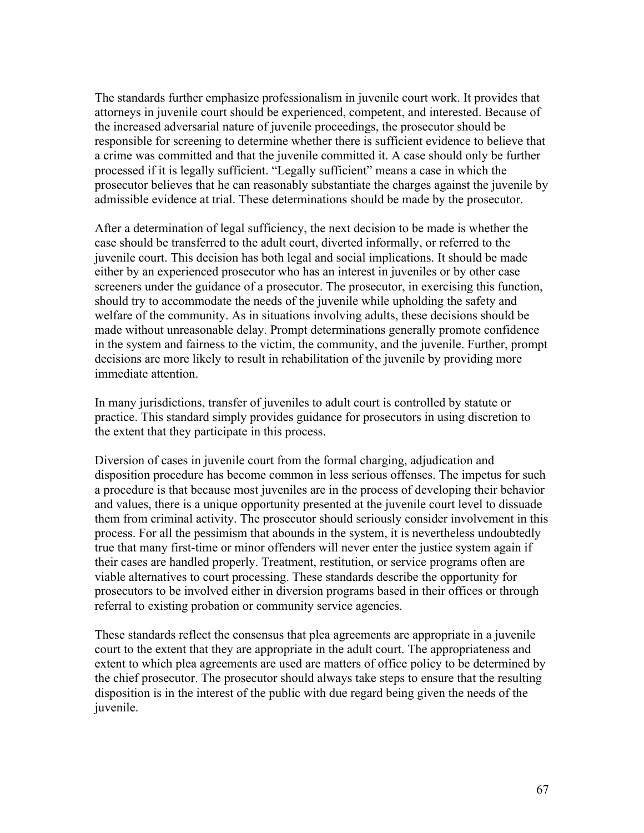The standards further emphasize professionalism in juvenile court work. It provides that attorneys in juvenile court should be experienced, competent, and interested. Because of the increased adversarial nature of juvenile proceedings, the prosecutor should be responsible for screening to determine whether there is sufficient evidence to believe that a crime was committed and that the juvenile committed it. A case should only be further processed if it is legally sufficient. "Legally sufficient" means a case in which the prosecutor believes that he can reasonably substantiate the charges against the juvenile by admissible evidence at trial. These determinations should be made by the prosecutor.

After a determination of legal sufficiency, the next decision to be made is whether the case should be transferred to the adult court, diverted informally, or referred to the juvenile court. This decision has both legal and social implications. It should be made either by an experienced prosecutor who has an interest in juveniles or by other case screeners under the guidance of a prosecutor. The prosecutor, in exercising this function, should try to accommodate the needs of the juvenile while upholding the safety and welfare of the community. As in situations involving adults, these decisions should be made without unreasonable delay. Prompt determinations generally promote confidence in the system and fairness to the victim, the community, and the juvenile. Further, prompt decisions are more likely to result in rehabilitation of the juvenile by providing more immediate attention.

In many jurisdictions, transfer of juveniles to adult court is controlled by statute or practice. This standard simply provides guidance for prosecutors in using discretion to the extent that they participate in this process.

Diversion of cases in juvenile court from the formal charging, adjudication and disposition procedure has become common in less serious offenses. The impetus for such a procedure is that because most juveniles are in the process of developing their behavior and values, there is a unique opportunity presented at the juvenile court level to dissuade them from criminal activity. The prosecutor should seriously consider involvement in this process. For all the pessimism that abounds in the system, it is nevertheless undoubtedly true that many first-time or minor offenders will never enter the justice system again if their cases are handled properly. Treatment, restitution, or service programs often are viable alternatives to court processing. These standards describe the opportunity for prosecutors to be involved either in diversion programs based in their offices or through referral to existing probation or community service agencies.

These standards reflect the consensus that plea agreements are appropriate in a juvenile court to the extent that they are appropriate in the adult court. The appropriateness and extent to which plea agreements are used are matters of office policy to be determined by the chief prosecutor. The prosecutor should always take steps to ensure that the resulting disposition is in the interest of the public with due regard being given the needs of the juvenile.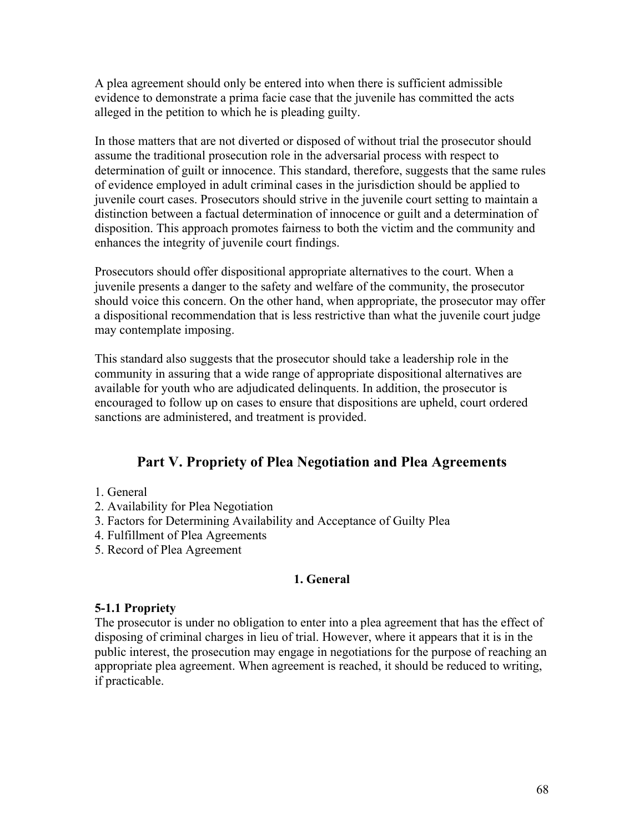A plea agreement should only be entered into when there is sufficient admissible evidence to demonstrate a prima facie case that the juvenile has committed the acts alleged in the petition to which he is pleading guilty.

In those matters that are not diverted or disposed of without trial the prosecutor should assume the traditional prosecution role in the adversarial process with respect to determination of guilt or innocence. This standard, therefore, suggests that the same rules of evidence employed in adult criminal cases in the jurisdiction should be applied to juvenile court cases. Prosecutors should strive in the juvenile court setting to maintain a distinction between a factual determination of innocence or guilt and a determination of disposition. This approach promotes fairness to both the victim and the community and enhances the integrity of juvenile court findings.

Prosecutors should offer dispositional appropriate alternatives to the court. When a juvenile presents a danger to the safety and welfare of the community, the prosecutor should voice this concern. On the other hand, when appropriate, the prosecutor may offer a dispositional recommendation that is less restrictive than what the juvenile court judge may contemplate imposing.

This standard also suggests that the prosecutor should take a leadership role in the community in assuring that a wide range of appropriate dispositional alternatives are available for youth who are adjudicated delinquents. In addition, the prosecutor is encouraged to follow up on cases to ensure that dispositions are upheld, court ordered sanctions are administered, and treatment is provided.

# **Part V. Propriety of Plea Negotiation and Plea Agreements**

- 1. General
- 2. Availability for Plea Negotiation
- 3. Factors for Determining Availability and Acceptance of Guilty Plea
- 4. Fulfillment of Plea Agreements
- 5. Record of Plea Agreement

## **1. General**

## **5-1.1 Propriety**

The prosecutor is under no obligation to enter into a plea agreement that has the effect of disposing of criminal charges in lieu of trial. However, where it appears that it is in the public interest, the prosecution may engage in negotiations for the purpose of reaching an appropriate plea agreement. When agreement is reached, it should be reduced to writing, if practicable.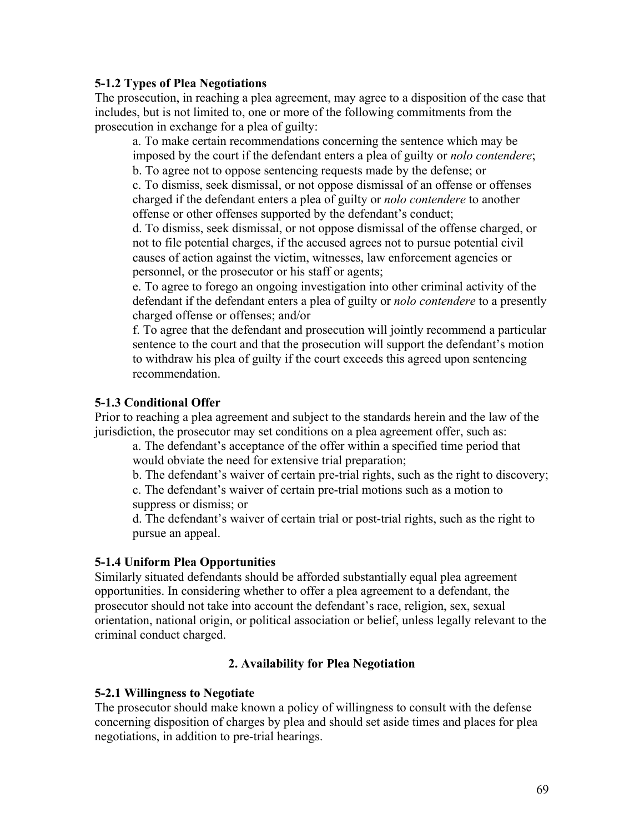## **5-1.2 Types of Plea Negotiations**

The prosecution, in reaching a plea agreement, may agree to a disposition of the case that includes, but is not limited to, one or more of the following commitments from the prosecution in exchange for a plea of guilty:

a. To make certain recommendations concerning the sentence which may be imposed by the court if the defendant enters a plea of guilty or *nolo contendere*; b. To agree not to oppose sentencing requests made by the defense; or

c. To dismiss, seek dismissal, or not oppose dismissal of an offense or offenses charged if the defendant enters a plea of guilty or *nolo contendere* to another offense or other offenses supported by the defendant's conduct;

d. To dismiss, seek dismissal, or not oppose dismissal of the offense charged, or not to file potential charges, if the accused agrees not to pursue potential civil causes of action against the victim, witnesses, law enforcement agencies or personnel, or the prosecutor or his staff or agents;

e. To agree to forego an ongoing investigation into other criminal activity of the defendant if the defendant enters a plea of guilty or *nolo contendere* to a presently charged offense or offenses; and/or

f. To agree that the defendant and prosecution will jointly recommend a particular sentence to the court and that the prosecution will support the defendant's motion to withdraw his plea of guilty if the court exceeds this agreed upon sentencing recommendation.

## **5-1.3 Conditional Offer**

Prior to reaching a plea agreement and subject to the standards herein and the law of the jurisdiction, the prosecutor may set conditions on a plea agreement offer, such as:

a. The defendant's acceptance of the offer within a specified time period that would obviate the need for extensive trial preparation;

b. The defendant's waiver of certain pre-trial rights, such as the right to discovery;

c. The defendant's waiver of certain pre-trial motions such as a motion to suppress or dismiss; or

d. The defendant's waiver of certain trial or post-trial rights, such as the right to pursue an appeal.

## **5-1.4 Uniform Plea Opportunities**

Similarly situated defendants should be afforded substantially equal plea agreement opportunities. In considering whether to offer a plea agreement to a defendant, the prosecutor should not take into account the defendant's race, religion, sex, sexual orientation, national origin, or political association or belief, unless legally relevant to the criminal conduct charged.

## **2. Availability for Plea Negotiation**

## **5-2.1 Willingness to Negotiate**

The prosecutor should make known a policy of willingness to consult with the defense concerning disposition of charges by plea and should set aside times and places for plea negotiations, in addition to pre-trial hearings.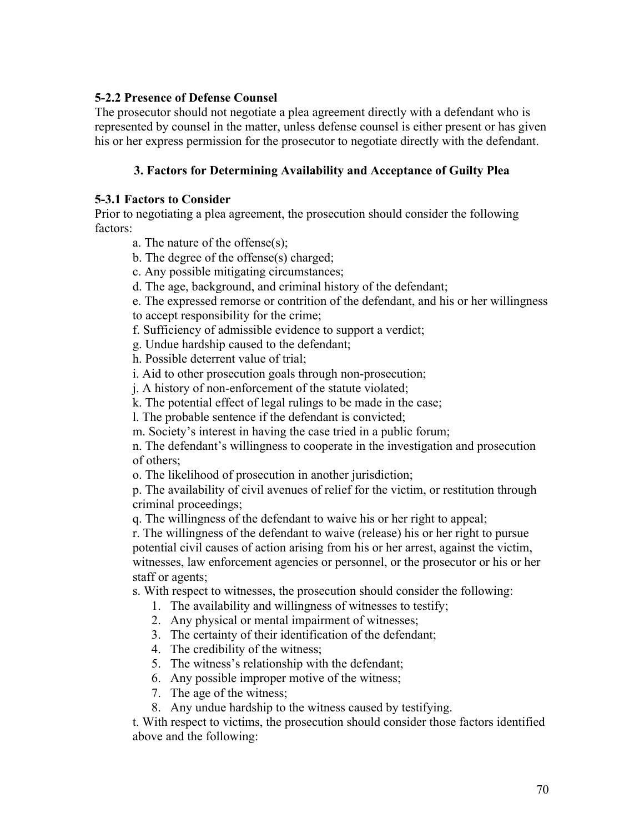## **5-2.2 Presence of Defense Counsel**

The prosecutor should not negotiate a plea agreement directly with a defendant who is represented by counsel in the matter, unless defense counsel is either present or has given his or her express permission for the prosecutor to negotiate directly with the defendant.

## **3. Factors for Determining Availability and Acceptance of Guilty Plea**

#### **5-3.1 Factors to Consider**

Prior to negotiating a plea agreement, the prosecution should consider the following factors:

- a. The nature of the offense(s);
- b. The degree of the offense(s) charged;
- c. Any possible mitigating circumstances;
- d. The age, background, and criminal history of the defendant;

e. The expressed remorse or contrition of the defendant, and his or her willingness to accept responsibility for the crime;

- f. Sufficiency of admissible evidence to support a verdict;
- g. Undue hardship caused to the defendant;
- h. Possible deterrent value of trial;
- i. Aid to other prosecution goals through non-prosecution;
- j. A history of non-enforcement of the statute violated;
- k. The potential effect of legal rulings to be made in the case;
- l. The probable sentence if the defendant is convicted;
- m. Society's interest in having the case tried in a public forum;

n. The defendant's willingness to cooperate in the investigation and prosecution of others;

o. The likelihood of prosecution in another jurisdiction;

p. The availability of civil avenues of relief for the victim, or restitution through criminal proceedings;

q. The willingness of the defendant to waive his or her right to appeal;

r. The willingness of the defendant to waive (release) his or her right to pursue potential civil causes of action arising from his or her arrest, against the victim, witnesses, law enforcement agencies or personnel, or the prosecutor or his or her staff or agents;

s. With respect to witnesses, the prosecution should consider the following:

- 1. The availability and willingness of witnesses to testify;
- 2. Any physical or mental impairment of witnesses;
- 3. The certainty of their identification of the defendant;
- 4. The credibility of the witness;
- 5. The witness's relationship with the defendant;
- 6. Any possible improper motive of the witness;
- 7. The age of the witness;
- 8. Any undue hardship to the witness caused by testifying.

t. With respect to victims, the prosecution should consider those factors identified above and the following: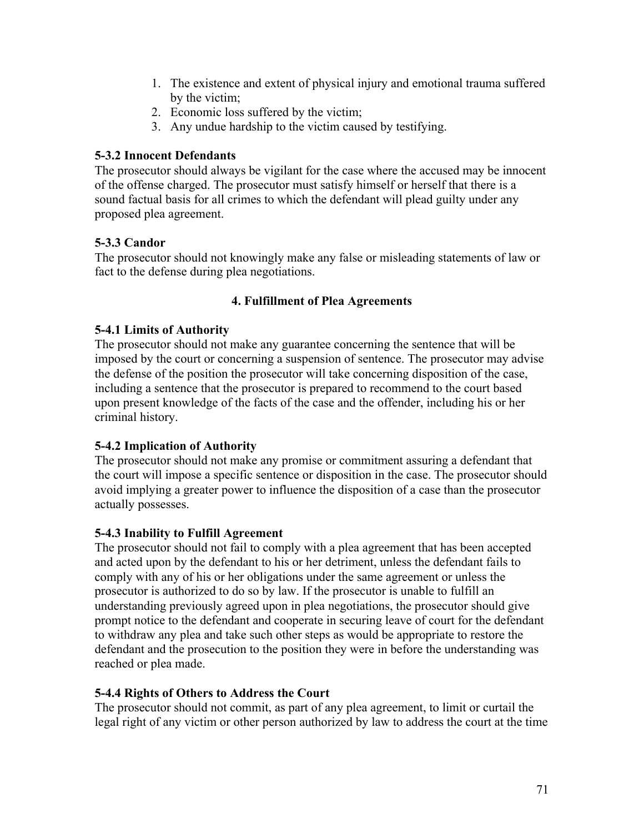- 1. The existence and extent of physical injury and emotional trauma suffered by the victim;
- 2. Economic loss suffered by the victim;
- 3. Any undue hardship to the victim caused by testifying.

## **5-3.2 Innocent Defendants**

The prosecutor should always be vigilant for the case where the accused may be innocent of the offense charged. The prosecutor must satisfy himself or herself that there is a sound factual basis for all crimes to which the defendant will plead guilty under any proposed plea agreement.

## **5-3.3 Candor**

The prosecutor should not knowingly make any false or misleading statements of law or fact to the defense during plea negotiations.

## **4. Fulfillment of Plea Agreements**

## **5-4.1 Limits of Authority**

The prosecutor should not make any guarantee concerning the sentence that will be imposed by the court or concerning a suspension of sentence. The prosecutor may advise the defense of the position the prosecutor will take concerning disposition of the case, including a sentence that the prosecutor is prepared to recommend to the court based upon present knowledge of the facts of the case and the offender, including his or her criminal history.

## **5-4.2 Implication of Authority**

The prosecutor should not make any promise or commitment assuring a defendant that the court will impose a specific sentence or disposition in the case. The prosecutor should avoid implying a greater power to influence the disposition of a case than the prosecutor actually possesses.

## **5-4.3 Inability to Fulfill Agreement**

The prosecutor should not fail to comply with a plea agreement that has been accepted and acted upon by the defendant to his or her detriment, unless the defendant fails to comply with any of his or her obligations under the same agreement or unless the prosecutor is authorized to do so by law. If the prosecutor is unable to fulfill an understanding previously agreed upon in plea negotiations, the prosecutor should give prompt notice to the defendant and cooperate in securing leave of court for the defendant to withdraw any plea and take such other steps as would be appropriate to restore the defendant and the prosecution to the position they were in before the understanding was reached or plea made.

## **5-4.4 Rights of Others to Address the Court**

The prosecutor should not commit, as part of any plea agreement, to limit or curtail the legal right of any victim or other person authorized by law to address the court at the time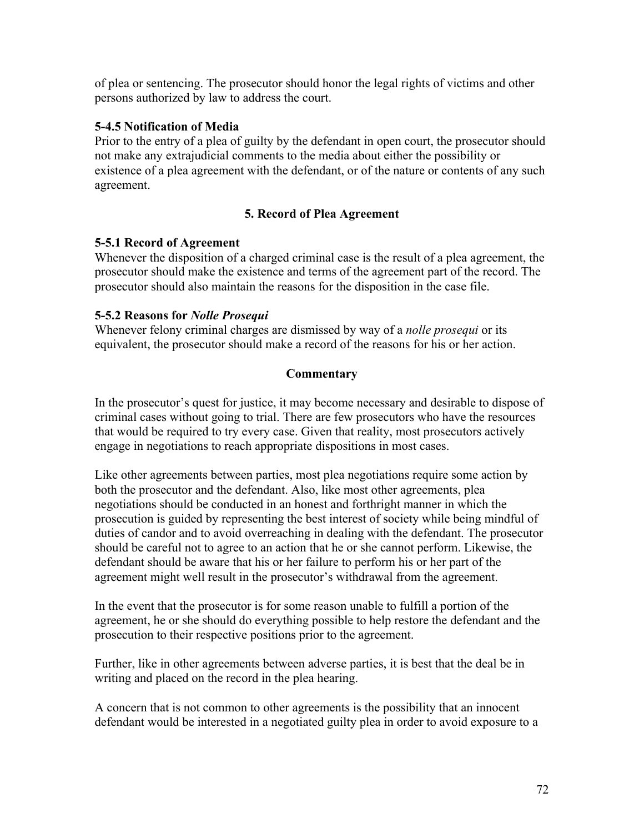of plea or sentencing. The prosecutor should honor the legal rights of victims and other persons authorized by law to address the court.

## **5-4.5 Notification of Media**

Prior to the entry of a plea of guilty by the defendant in open court, the prosecutor should not make any extrajudicial comments to the media about either the possibility or existence of a plea agreement with the defendant, or of the nature or contents of any such agreement.

## **5. Record of Plea Agreement**

## **5-5.1 Record of Agreement**

Whenever the disposition of a charged criminal case is the result of a plea agreement, the prosecutor should make the existence and terms of the agreement part of the record. The prosecutor should also maintain the reasons for the disposition in the case file.

## **5-5.2 Reasons for** *Nolle Prosequi*

Whenever felony criminal charges are dismissed by way of a *nolle prosequi* or its equivalent, the prosecutor should make a record of the reasons for his or her action.

## **Commentary**

In the prosecutor's quest for justice, it may become necessary and desirable to dispose of criminal cases without going to trial. There are few prosecutors who have the resources that would be required to try every case. Given that reality, most prosecutors actively engage in negotiations to reach appropriate dispositions in most cases.

Like other agreements between parties, most plea negotiations require some action by both the prosecutor and the defendant. Also, like most other agreements, plea negotiations should be conducted in an honest and forthright manner in which the prosecution is guided by representing the best interest of society while being mindful of duties of candor and to avoid overreaching in dealing with the defendant. The prosecutor should be careful not to agree to an action that he or she cannot perform. Likewise, the defendant should be aware that his or her failure to perform his or her part of the agreement might well result in the prosecutor's withdrawal from the agreement.

In the event that the prosecutor is for some reason unable to fulfill a portion of the agreement, he or she should do everything possible to help restore the defendant and the prosecution to their respective positions prior to the agreement.

Further, like in other agreements between adverse parties, it is best that the deal be in writing and placed on the record in the plea hearing.

A concern that is not common to other agreements is the possibility that an innocent defendant would be interested in a negotiated guilty plea in order to avoid exposure to a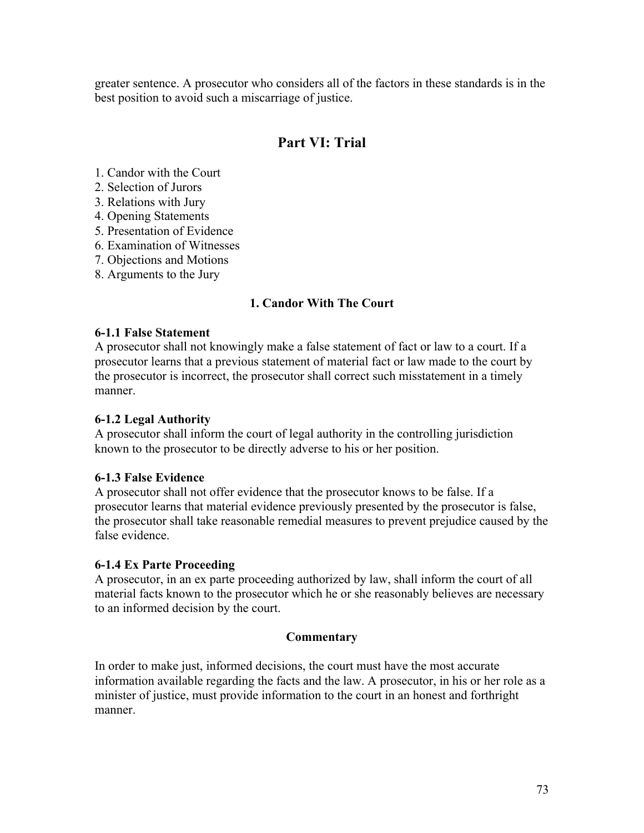greater sentence. A prosecutor who considers all of the factors in these standards is in the best position to avoid such a miscarriage of justice.

# **Part VI: Trial**

- 1. Candor with the Court
- 2. Selection of Jurors
- 3. Relations with Jury
- 4. Opening Statements
- 5. Presentation of Evidence
- 6. Examination of Witnesses
- 7. Objections and Motions
- 8. Arguments to the Jury

## **1. Candor With The Court**

### **6-1.1 False Statement**

A prosecutor shall not knowingly make a false statement of fact or law to a court. If a prosecutor learns that a previous statement of material fact or law made to the court by the prosecutor is incorrect, the prosecutor shall correct such misstatement in a timely manner.

### **6-1.2 Legal Authority**

A prosecutor shall inform the court of legal authority in the controlling jurisdiction known to the prosecutor to be directly adverse to his or her position.

### **6-1.3 False Evidence**

A prosecutor shall not offer evidence that the prosecutor knows to be false. If a prosecutor learns that material evidence previously presented by the prosecutor is false, the prosecutor shall take reasonable remedial measures to prevent prejudice caused by the false evidence.

### **6-1.4 Ex Parte Proceeding**

A prosecutor, in an ex parte proceeding authorized by law, shall inform the court of all material facts known to the prosecutor which he or she reasonably believes are necessary to an informed decision by the court.

### **Commentary**

In order to make just, informed decisions, the court must have the most accurate information available regarding the facts and the law. A prosecutor, in his or her role as a minister of justice, must provide information to the court in an honest and forthright manner.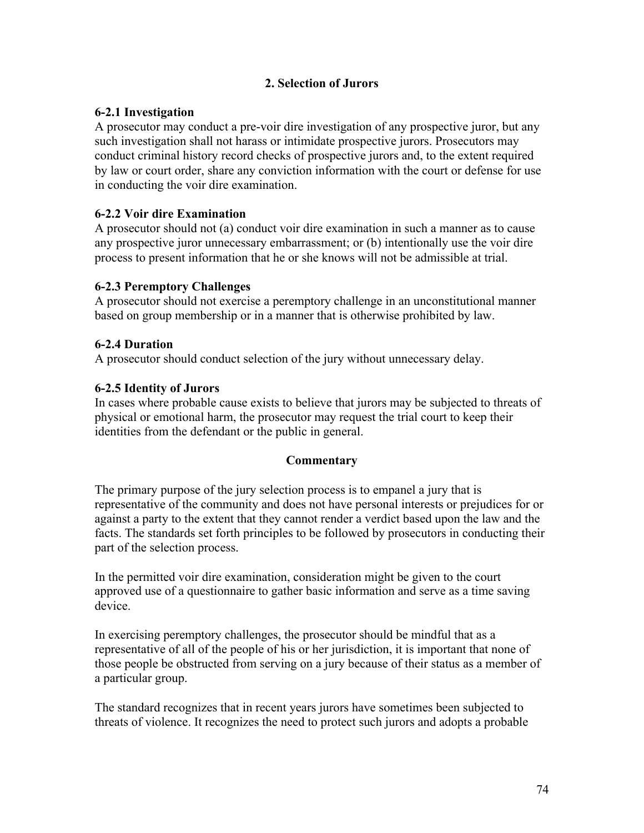## **2. Selection of Jurors**

## **6-2.1 Investigation**

A prosecutor may conduct a pre-voir dire investigation of any prospective juror, but any such investigation shall not harass or intimidate prospective jurors. Prosecutors may conduct criminal history record checks of prospective jurors and, to the extent required by law or court order, share any conviction information with the court or defense for use in conducting the voir dire examination.

## **6-2.2 Voir dire Examination**

A prosecutor should not (a) conduct voir dire examination in such a manner as to cause any prospective juror unnecessary embarrassment; or (b) intentionally use the voir dire process to present information that he or she knows will not be admissible at trial.

## **6-2.3 Peremptory Challenges**

A prosecutor should not exercise a peremptory challenge in an unconstitutional manner based on group membership or in a manner that is otherwise prohibited by law.

## **6-2.4 Duration**

A prosecutor should conduct selection of the jury without unnecessary delay.

## **6-2.5 Identity of Jurors**

In cases where probable cause exists to believe that jurors may be subjected to threats of physical or emotional harm, the prosecutor may request the trial court to keep their identities from the defendant or the public in general.

## **Commentary**

The primary purpose of the jury selection process is to empanel a jury that is representative of the community and does not have personal interests or prejudices for or against a party to the extent that they cannot render a verdict based upon the law and the facts. The standards set forth principles to be followed by prosecutors in conducting their part of the selection process.

In the permitted voir dire examination, consideration might be given to the court approved use of a questionnaire to gather basic information and serve as a time saving device.

In exercising peremptory challenges, the prosecutor should be mindful that as a representative of all of the people of his or her jurisdiction, it is important that none of those people be obstructed from serving on a jury because of their status as a member of a particular group.

The standard recognizes that in recent years jurors have sometimes been subjected to threats of violence. It recognizes the need to protect such jurors and adopts a probable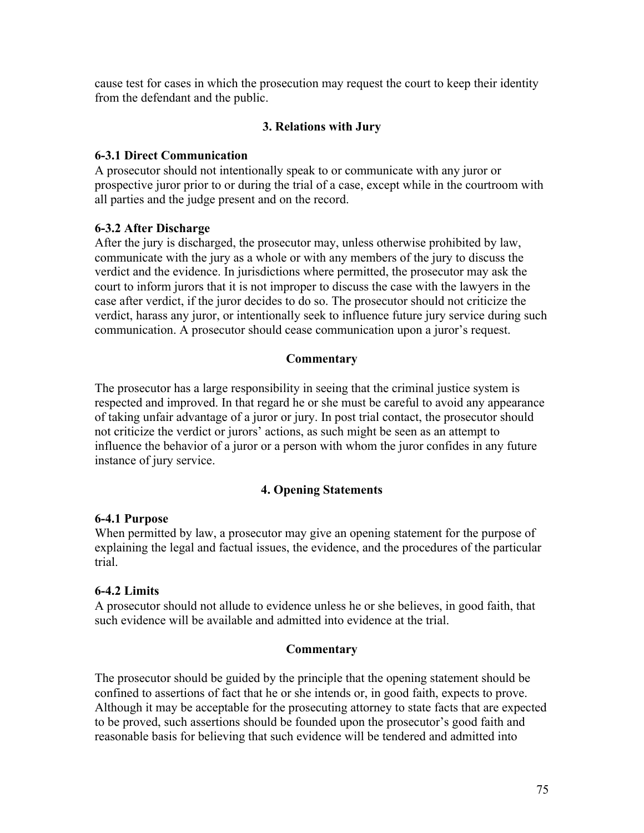cause test for cases in which the prosecution may request the court to keep their identity from the defendant and the public.

## **3. Relations with Jury**

## **6-3.1 Direct Communication**

A prosecutor should not intentionally speak to or communicate with any juror or prospective juror prior to or during the trial of a case, except while in the courtroom with all parties and the judge present and on the record.

## **6-3.2 After Discharge**

After the jury is discharged, the prosecutor may, unless otherwise prohibited by law, communicate with the jury as a whole or with any members of the jury to discuss the verdict and the evidence. In jurisdictions where permitted, the prosecutor may ask the court to inform jurors that it is not improper to discuss the case with the lawyers in the case after verdict, if the juror decides to do so. The prosecutor should not criticize the verdict, harass any juror, or intentionally seek to influence future jury service during such communication. A prosecutor should cease communication upon a juror's request.

## **Commentary**

The prosecutor has a large responsibility in seeing that the criminal justice system is respected and improved. In that regard he or she must be careful to avoid any appearance of taking unfair advantage of a juror or jury. In post trial contact, the prosecutor should not criticize the verdict or jurors' actions, as such might be seen as an attempt to influence the behavior of a juror or a person with whom the juror confides in any future instance of jury service.

## **4. Opening Statements**

## **6-4.1 Purpose**

When permitted by law, a prosecutor may give an opening statement for the purpose of explaining the legal and factual issues, the evidence, and the procedures of the particular trial.

## **6-4.2 Limits**

A prosecutor should not allude to evidence unless he or she believes, in good faith, that such evidence will be available and admitted into evidence at the trial.

## **Commentary**

The prosecutor should be guided by the principle that the opening statement should be confined to assertions of fact that he or she intends or, in good faith, expects to prove. Although it may be acceptable for the prosecuting attorney to state facts that are expected to be proved, such assertions should be founded upon the prosecutor's good faith and reasonable basis for believing that such evidence will be tendered and admitted into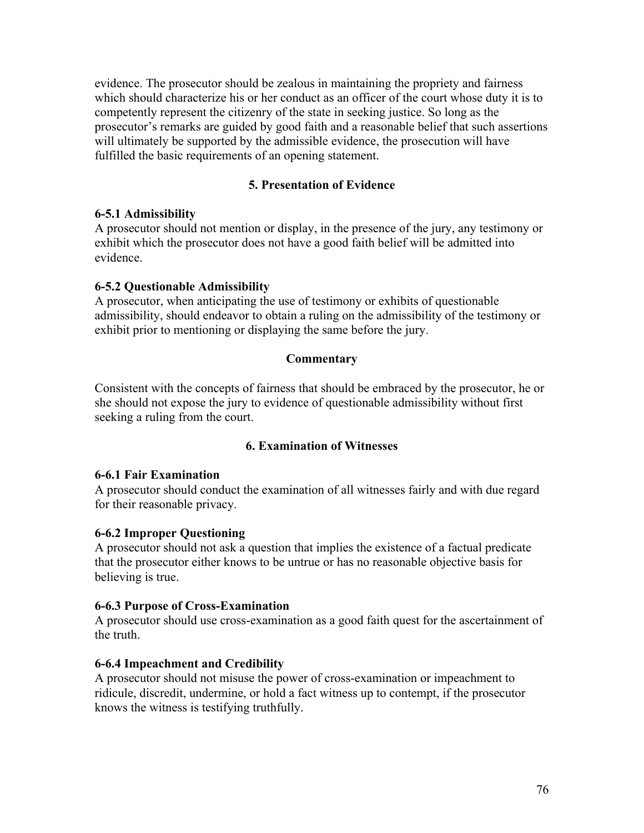evidence. The prosecutor should be zealous in maintaining the propriety and fairness which should characterize his or her conduct as an officer of the court whose duty it is to competently represent the citizenry of the state in seeking justice. So long as the prosecutor's remarks are guided by good faith and a reasonable belief that such assertions will ultimately be supported by the admissible evidence, the prosecution will have fulfilled the basic requirements of an opening statement.

### **5. Presentation of Evidence**

## **6-5.1 Admissibility**

A prosecutor should not mention or display, in the presence of the jury, any testimony or exhibit which the prosecutor does not have a good faith belief will be admitted into evidence.

## **6-5.2 Questionable Admissibility**

A prosecutor, when anticipating the use of testimony or exhibits of questionable admissibility, should endeavor to obtain a ruling on the admissibility of the testimony or exhibit prior to mentioning or displaying the same before the jury.

## **Commentary**

Consistent with the concepts of fairness that should be embraced by the prosecutor, he or she should not expose the jury to evidence of questionable admissibility without first seeking a ruling from the court.

### **6. Examination of Witnesses**

### **6-6.1 Fair Examination**

A prosecutor should conduct the examination of all witnesses fairly and with due regard for their reasonable privacy.

### **6-6.2 Improper Questioning**

A prosecutor should not ask a question that implies the existence of a factual predicate that the prosecutor either knows to be untrue or has no reasonable objective basis for believing is true.

### **6-6.3 Purpose of Cross-Examination**

A prosecutor should use cross-examination as a good faith quest for the ascertainment of the truth.

### **6-6.4 Impeachment and Credibility**

A prosecutor should not misuse the power of cross-examination or impeachment to ridicule, discredit, undermine, or hold a fact witness up to contempt, if the prosecutor knows the witness is testifying truthfully.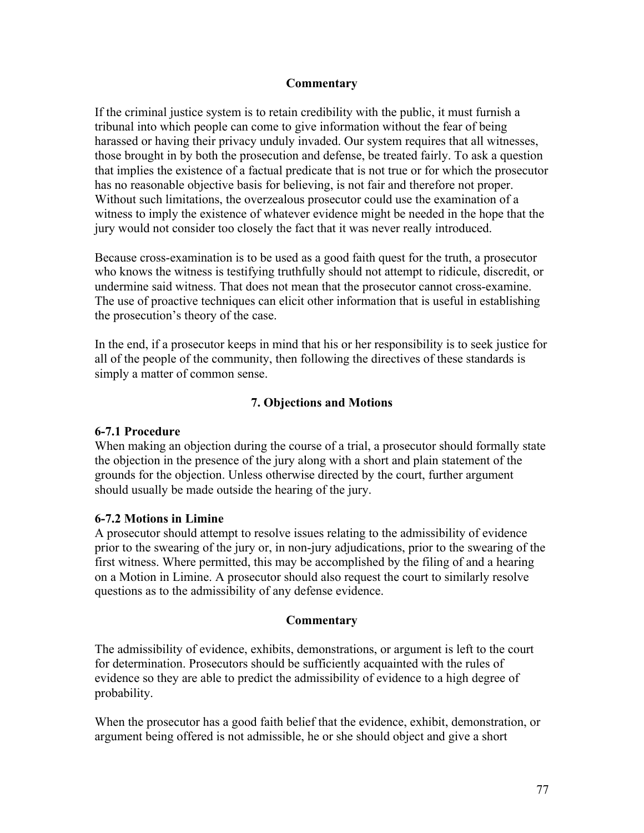#### **Commentary**

If the criminal justice system is to retain credibility with the public, it must furnish a tribunal into which people can come to give information without the fear of being harassed or having their privacy unduly invaded. Our system requires that all witnesses, those brought in by both the prosecution and defense, be treated fairly. To ask a question that implies the existence of a factual predicate that is not true or for which the prosecutor has no reasonable objective basis for believing, is not fair and therefore not proper. Without such limitations, the overzealous prosecutor could use the examination of a witness to imply the existence of whatever evidence might be needed in the hope that the jury would not consider too closely the fact that it was never really introduced.

Because cross-examination is to be used as a good faith quest for the truth, a prosecutor who knows the witness is testifying truthfully should not attempt to ridicule, discredit, or undermine said witness. That does not mean that the prosecutor cannot cross-examine. The use of proactive techniques can elicit other information that is useful in establishing the prosecution's theory of the case.

In the end, if a prosecutor keeps in mind that his or her responsibility is to seek justice for all of the people of the community, then following the directives of these standards is simply a matter of common sense.

## **7. Objections and Motions**

### **6-7.1 Procedure**

When making an objection during the course of a trial, a prosecutor should formally state the objection in the presence of the jury along with a short and plain statement of the grounds for the objection. Unless otherwise directed by the court, further argument should usually be made outside the hearing of the jury.

### **6-7.2 Motions in Limine**

A prosecutor should attempt to resolve issues relating to the admissibility of evidence prior to the swearing of the jury or, in non-jury adjudications, prior to the swearing of the first witness. Where permitted, this may be accomplished by the filing of and a hearing on a Motion in Limine. A prosecutor should also request the court to similarly resolve questions as to the admissibility of any defense evidence.

### **Commentary**

The admissibility of evidence, exhibits, demonstrations, or argument is left to the court for determination. Prosecutors should be sufficiently acquainted with the rules of evidence so they are able to predict the admissibility of evidence to a high degree of probability.

When the prosecutor has a good faith belief that the evidence, exhibit, demonstration, or argument being offered is not admissible, he or she should object and give a short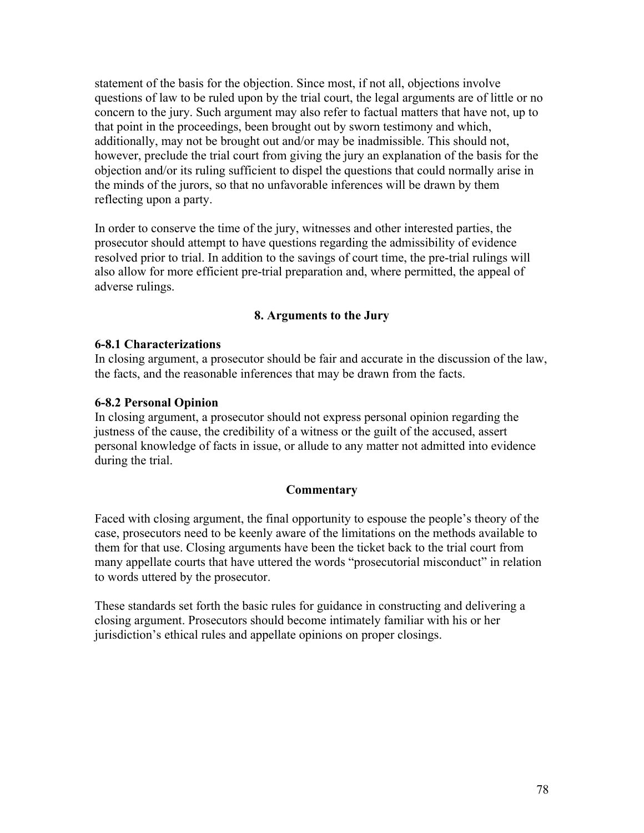statement of the basis for the objection. Since most, if not all, objections involve questions of law to be ruled upon by the trial court, the legal arguments are of little or no concern to the jury. Such argument may also refer to factual matters that have not, up to that point in the proceedings, been brought out by sworn testimony and which, additionally, may not be brought out and/or may be inadmissible. This should not, however, preclude the trial court from giving the jury an explanation of the basis for the objection and/or its ruling sufficient to dispel the questions that could normally arise in the minds of the jurors, so that no unfavorable inferences will be drawn by them reflecting upon a party.

In order to conserve the time of the jury, witnesses and other interested parties, the prosecutor should attempt to have questions regarding the admissibility of evidence resolved prior to trial. In addition to the savings of court time, the pre-trial rulings will also allow for more efficient pre-trial preparation and, where permitted, the appeal of adverse rulings.

## **8. Arguments to the Jury**

### **6-8.1 Characterizations**

In closing argument, a prosecutor should be fair and accurate in the discussion of the law, the facts, and the reasonable inferences that may be drawn from the facts.

## **6-8.2 Personal Opinion**

In closing argument, a prosecutor should not express personal opinion regarding the justness of the cause, the credibility of a witness or the guilt of the accused, assert personal knowledge of facts in issue, or allude to any matter not admitted into evidence during the trial.

### **Commentary**

Faced with closing argument, the final opportunity to espouse the people's theory of the case, prosecutors need to be keenly aware of the limitations on the methods available to them for that use. Closing arguments have been the ticket back to the trial court from many appellate courts that have uttered the words "prosecutorial misconduct" in relation to words uttered by the prosecutor.

These standards set forth the basic rules for guidance in constructing and delivering a closing argument. Prosecutors should become intimately familiar with his or her jurisdiction's ethical rules and appellate opinions on proper closings.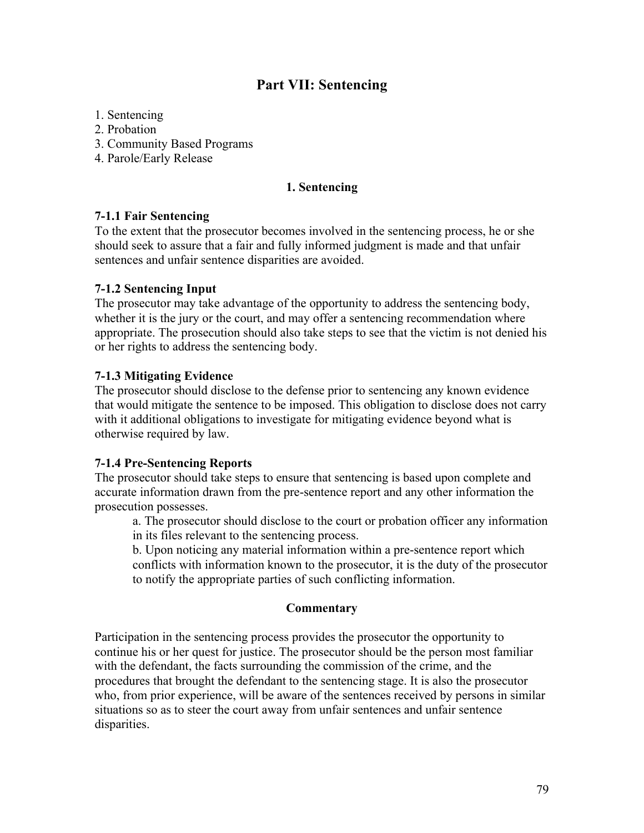## **Part VII: Sentencing**

### 1. Sentencing

2. Probation

3. Community Based Programs

4. Parole/Early Release

## **1. Sentencing**

## **7-1.1 Fair Sentencing**

To the extent that the prosecutor becomes involved in the sentencing process, he or she should seek to assure that a fair and fully informed judgment is made and that unfair sentences and unfair sentence disparities are avoided.

## **7-1.2 Sentencing Input**

The prosecutor may take advantage of the opportunity to address the sentencing body, whether it is the jury or the court, and may offer a sentencing recommendation where appropriate. The prosecution should also take steps to see that the victim is not denied his or her rights to address the sentencing body.

## **7-1.3 Mitigating Evidence**

The prosecutor should disclose to the defense prior to sentencing any known evidence that would mitigate the sentence to be imposed. This obligation to disclose does not carry with it additional obligations to investigate for mitigating evidence beyond what is otherwise required by law.

## **7-1.4 Pre-Sentencing Reports**

The prosecutor should take steps to ensure that sentencing is based upon complete and accurate information drawn from the pre-sentence report and any other information the prosecution possesses.

a. The prosecutor should disclose to the court or probation officer any information in its files relevant to the sentencing process.

b. Upon noticing any material information within a pre-sentence report which conflicts with information known to the prosecutor, it is the duty of the prosecutor to notify the appropriate parties of such conflicting information.

### **Commentary**

Participation in the sentencing process provides the prosecutor the opportunity to continue his or her quest for justice. The prosecutor should be the person most familiar with the defendant, the facts surrounding the commission of the crime, and the procedures that brought the defendant to the sentencing stage. It is also the prosecutor who, from prior experience, will be aware of the sentences received by persons in similar situations so as to steer the court away from unfair sentences and unfair sentence disparities.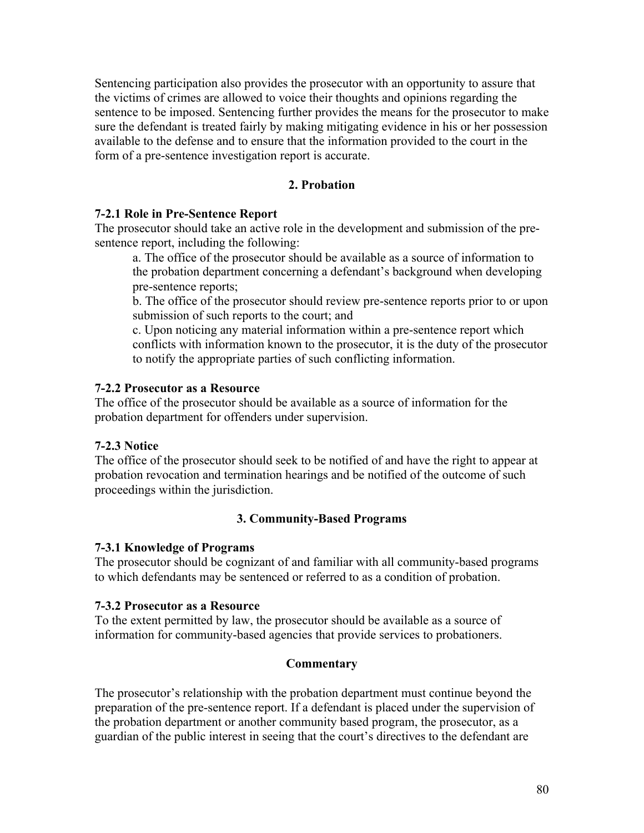Sentencing participation also provides the prosecutor with an opportunity to assure that the victims of crimes are allowed to voice their thoughts and opinions regarding the sentence to be imposed. Sentencing further provides the means for the prosecutor to make sure the defendant is treated fairly by making mitigating evidence in his or her possession available to the defense and to ensure that the information provided to the court in the form of a pre-sentence investigation report is accurate.

### **2. Probation**

### **7-2.1 Role in Pre-Sentence Report**

The prosecutor should take an active role in the development and submission of the presentence report, including the following:

a. The office of the prosecutor should be available as a source of information to the probation department concerning a defendant's background when developing pre-sentence reports;

b. The office of the prosecutor should review pre-sentence reports prior to or upon submission of such reports to the court; and

c. Upon noticing any material information within a pre-sentence report which conflicts with information known to the prosecutor, it is the duty of the prosecutor to notify the appropriate parties of such conflicting information.

### **7-2.2 Prosecutor as a Resource**

The office of the prosecutor should be available as a source of information for the probation department for offenders under supervision.

### **7-2.3 Notice**

The office of the prosecutor should seek to be notified of and have the right to appear at probation revocation and termination hearings and be notified of the outcome of such proceedings within the jurisdiction.

### **3. Community-Based Programs**

#### **7-3.1 Knowledge of Programs**

The prosecutor should be cognizant of and familiar with all community-based programs to which defendants may be sentenced or referred to as a condition of probation.

#### **7-3.2 Prosecutor as a Resource**

To the extent permitted by law, the prosecutor should be available as a source of information for community-based agencies that provide services to probationers.

#### **Commentary**

The prosecutor's relationship with the probation department must continue beyond the preparation of the pre-sentence report. If a defendant is placed under the supervision of the probation department or another community based program, the prosecutor, as a guardian of the public interest in seeing that the court's directives to the defendant are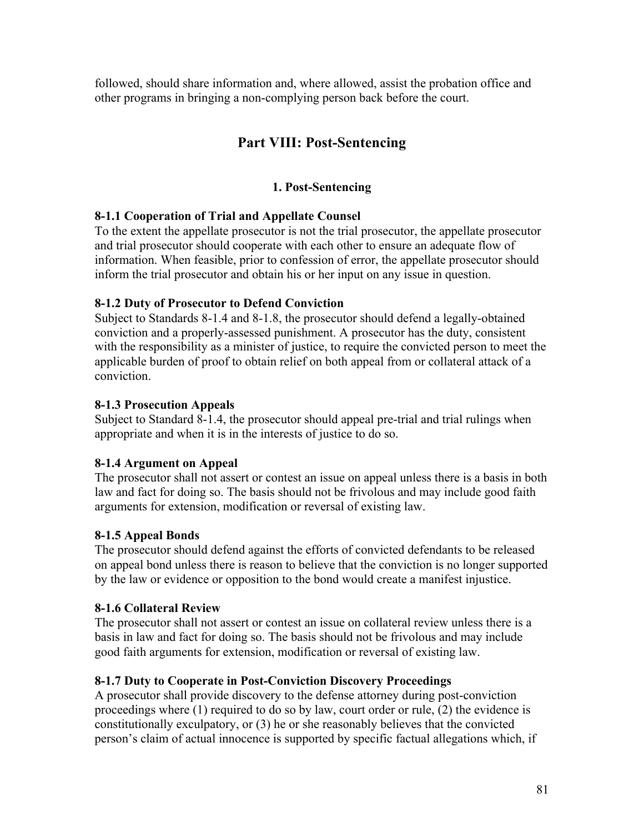followed, should share information and, where allowed, assist the probation office and other programs in bringing a non-complying person back before the court.

# **Part VIII: Post-Sentencing**

## **1. Post-Sentencing**

## **8-1.1 Cooperation of Trial and Appellate Counsel**

To the extent the appellate prosecutor is not the trial prosecutor, the appellate prosecutor and trial prosecutor should cooperate with each other to ensure an adequate flow of information. When feasible, prior to confession of error, the appellate prosecutor should inform the trial prosecutor and obtain his or her input on any issue in question.

## **8-1.2 Duty of Prosecutor to Defend Conviction**

Subject to Standards 8-1.4 and 8-1.8, the prosecutor should defend a legally-obtained conviction and a properly-assessed punishment. A prosecutor has the duty, consistent with the responsibility as a minister of justice, to require the convicted person to meet the applicable burden of proof to obtain relief on both appeal from or collateral attack of a conviction.

## **8-1.3 Prosecution Appeals**

Subject to Standard 8-1.4, the prosecutor should appeal pre-trial and trial rulings when appropriate and when it is in the interests of justice to do so.

## **8-1.4 Argument on Appeal**

The prosecutor shall not assert or contest an issue on appeal unless there is a basis in both law and fact for doing so. The basis should not be frivolous and may include good faith arguments for extension, modification or reversal of existing law.

## **8-1.5 Appeal Bonds**

The prosecutor should defend against the efforts of convicted defendants to be released on appeal bond unless there is reason to believe that the conviction is no longer supported by the law or evidence or opposition to the bond would create a manifest injustice.

## **8-1.6 Collateral Review**

The prosecutor shall not assert or contest an issue on collateral review unless there is a basis in law and fact for doing so. The basis should not be frivolous and may include good faith arguments for extension, modification or reversal of existing law.

## **8-1.7 Duty to Cooperate in Post-Conviction Discovery Proceedings**

A prosecutor shall provide discovery to the defense attorney during post-conviction proceedings where (1) required to do so by law, court order or rule, (2) the evidence is constitutionally exculpatory, or (3) he or she reasonably believes that the convicted person's claim of actual innocence is supported by specific factual allegations which, if